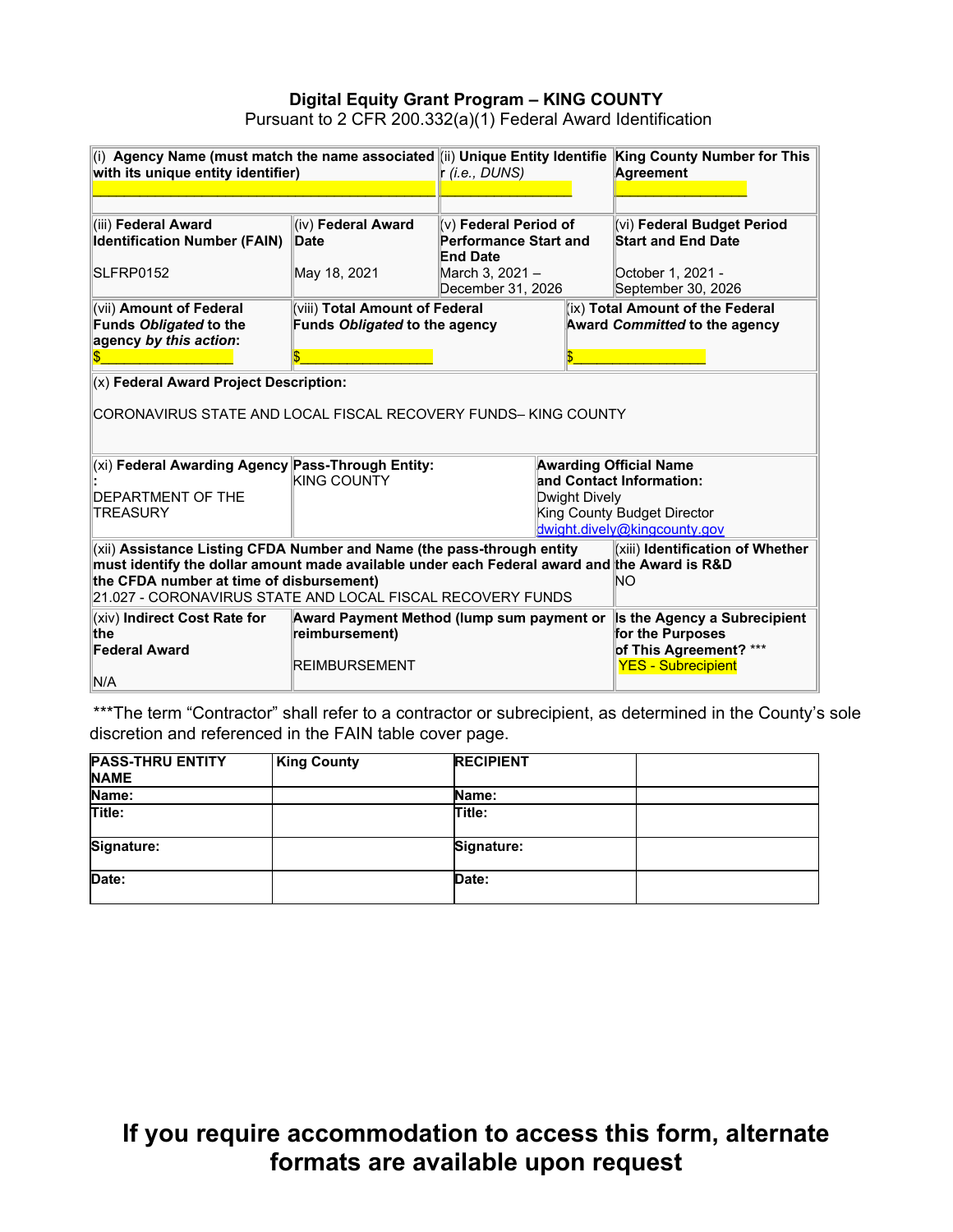### **Digital Equity Grant Program – KING COUNTY** Pursuant to 2 CFR 200.332(a)(1) Federal Award Identification

| (i) Agency Name (must match the name associated (ii) Unique Entity Identifie King County Number for This<br>with its unique entity identifier)                                                                                                                                                                             |                                                                                     | r (i.e., DUNS)                                                    |                                                                                                         | Agreement                                                                |
|----------------------------------------------------------------------------------------------------------------------------------------------------------------------------------------------------------------------------------------------------------------------------------------------------------------------------|-------------------------------------------------------------------------------------|-------------------------------------------------------------------|---------------------------------------------------------------------------------------------------------|--------------------------------------------------------------------------|
|                                                                                                                                                                                                                                                                                                                            |                                                                                     |                                                                   |                                                                                                         |                                                                          |
| (iii) Federal Award<br><b>Identification Number (FAIN)</b>                                                                                                                                                                                                                                                                 | (iv) Federal Award<br><b>Date</b>                                                   | (v) Federal Period of<br>Performance Start and<br><b>End Date</b> |                                                                                                         | (vi) Federal Budget Period<br><b>Start and End Date</b>                  |
| SLFRP0152                                                                                                                                                                                                                                                                                                                  | May 18, 2021                                                                        | March 3, 2021 -<br>December 31, 2026                              |                                                                                                         | October 1, 2021 -<br>September 30, 2026                                  |
| (vii) Amount of Federal<br>Funds Obligated to the<br>agency by this action:                                                                                                                                                                                                                                                | (viii) Total Amount of Federal<br>Funds Obligated to the agency                     |                                                                   |                                                                                                         | (ix) Total Amount of the Federal<br><b>Award Committed to the agency</b> |
| $(x)$ Federal Award Project Description:                                                                                                                                                                                                                                                                                   |                                                                                     |                                                                   |                                                                                                         |                                                                          |
| CORONAVIRUS STATE AND LOCAL FISCAL RECOVERY FUNDS- KING COUNTY                                                                                                                                                                                                                                                             |                                                                                     |                                                                   |                                                                                                         |                                                                          |
| (xi) Federal Awarding Agency Pass-Through Entity:<br><b>Awarding Official Name</b>                                                                                                                                                                                                                                         |                                                                                     |                                                                   |                                                                                                         |                                                                          |
| <b>DEPARTMENT OF THE</b><br><b>TREASURY</b>                                                                                                                                                                                                                                                                                | <b>KING COUNTY</b><br>Dwight Dively                                                 |                                                                   | and Contact Information:<br>King County Budget Director<br>dwight.dively@kingcounty.gov                 |                                                                          |
| (xii) Assistance Listing CFDA Number and Name (the pass-through entity<br>(xiii) Identification of Whether<br>must identify the dollar amount made available under each Federal award and the Award is R&D<br>the CFDA number at time of disbursement)<br>NΟ<br>21.027 - CORONAVIRUS STATE AND LOCAL FISCAL RECOVERY FUNDS |                                                                                     |                                                                   |                                                                                                         |                                                                          |
| (xiv) Indirect Cost Rate for<br><b>the</b><br><b>Federal Award</b><br>N/A                                                                                                                                                                                                                                                  | Award Payment Method (lump sum payment or<br>reimbursement)<br><b>REIMBURSEMENT</b> |                                                                   | Is the Agency a Subrecipient<br>for the Purposes<br>of This Agreement? ***<br><b>YES - Subrecipient</b> |                                                                          |

\*\*\*The term "Contractor" shall refer to a contractor or subrecipient, as determined in the County's sole discretion and referenced in the FAIN table cover page.

| <b>PASS-THRU ENTITY</b><br><b>NAME</b> | <b>King County</b> | <b>RECIPIENT</b> |  |
|----------------------------------------|--------------------|------------------|--|
| Name:                                  |                    | Name:            |  |
| Title:                                 |                    | Title:           |  |
| Signature:                             |                    | Signature:       |  |
| Date:                                  |                    | Date:            |  |

# **If you require accommodation to access this form, alternate formats are available upon request**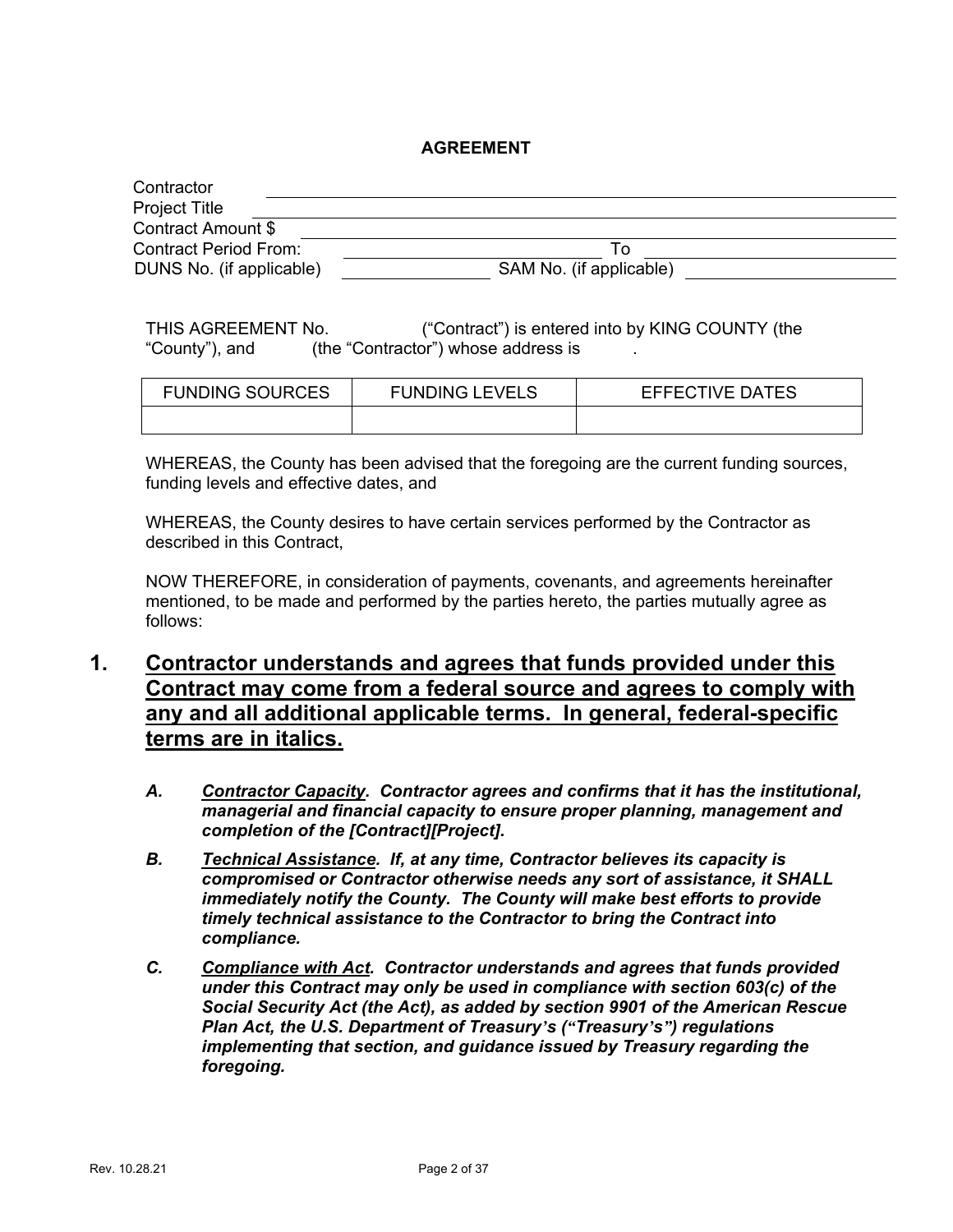### **AGREEMENT**

| Contractor                   |                         |  |
|------------------------------|-------------------------|--|
| <b>Project Title</b>         |                         |  |
| Contract Amount \$           |                         |  |
| <b>Contract Period From:</b> | ١o                      |  |
| DUNS No. (if applicable)     | SAM No. (if applicable) |  |

THIS AGREEMENT No. ("Contract") is entered into by KING COUNTY (the "County"), and (the "Contractor") whose address is

| <b>FUNDING SOURCES</b> | <b>FUNDING LEVELS</b> | <b>EFFECTIVE DATES</b> |
|------------------------|-----------------------|------------------------|
|                        |                       |                        |

WHEREAS, the County has been advised that the foregoing are the current funding sources, funding levels and effective dates, and

WHEREAS, the County desires to have certain services performed by the Contractor as described in this Contract,

NOW THEREFORE, in consideration of payments, covenants, and agreements hereinafter mentioned, to be made and performed by the parties hereto, the parties mutually agree as follows:

# **1. Contractor understands and agrees that funds provided under this Contract may come from a federal source and agrees to comply with any and all additional applicable terms. In general, federal-specific terms are in italics.**

- *A. Contractor Capacity. Contractor agrees and confirms that it has the institutional, managerial and financial capacity to ensure proper planning, management and completion of the [Contract][Project].*
- *B. Technical Assistance. If, at any time, Contractor believes its capacity is compromised or Contractor otherwise needs any sort of assistance, it SHALL immediately notify the County. The County will make best efforts to provide timely technical assistance to the Contractor to bring the Contract into compliance.*
- *C. Compliance with Act. Contractor understands and agrees that funds provided under this Contract may only be used in compliance with section 603(c) of the Social Security Act (the Act), as added by section 9901 of the American Rescue Plan Act, the U.S. Department of Treasury's ("Treasury's") regulations implementing that section, and guidance issued by Treasury regarding the foregoing.*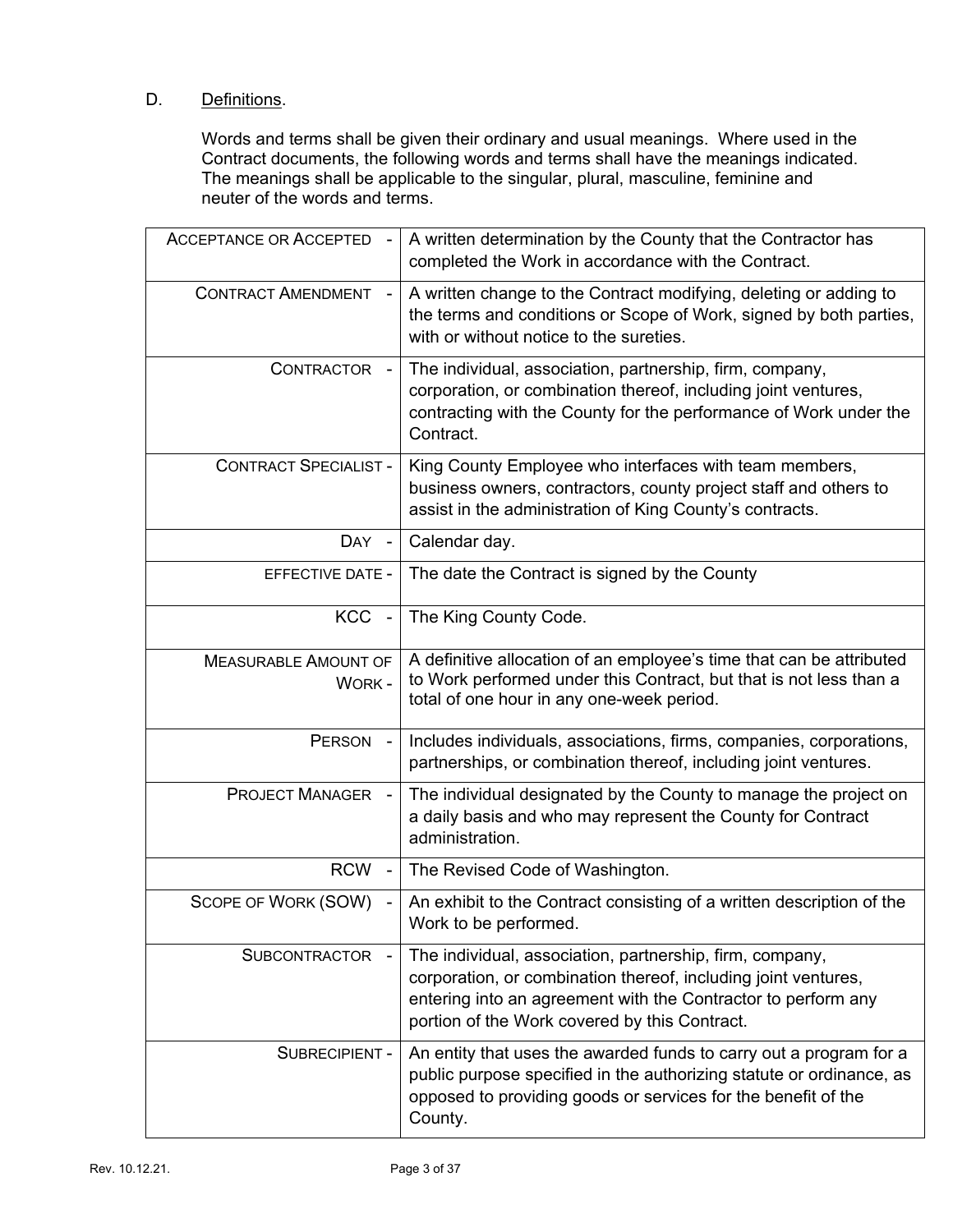### D. Definitions.

Words and terms shall be given their ordinary and usual meanings. Where used in the Contract documents, the following words and terms shall have the meanings indicated. The meanings shall be applicable to the singular, plural, masculine, feminine and neuter of the words and terms.

| <b>ACCEPTANCE OR ACCEPTED</b>               | A written determination by the County that the Contractor has<br>completed the Work in accordance with the Contract.                                                                                                                         |
|---------------------------------------------|----------------------------------------------------------------------------------------------------------------------------------------------------------------------------------------------------------------------------------------------|
| <b>CONTRACT AMENDMENT</b>                   | A written change to the Contract modifying, deleting or adding to<br>the terms and conditions or Scope of Work, signed by both parties,<br>with or without notice to the sureties.                                                           |
| <b>CONTRACTOR</b>                           | The individual, association, partnership, firm, company,<br>corporation, or combination thereof, including joint ventures,<br>contracting with the County for the performance of Work under the<br>Contract.                                 |
| <b>CONTRACT SPECIALIST -</b>                | King County Employee who interfaces with team members,<br>business owners, contractors, county project staff and others to<br>assist in the administration of King County's contracts.                                                       |
| <b>DAY</b>                                  | Calendar day.                                                                                                                                                                                                                                |
| <b>EFFECTIVE DATE -</b>                     | The date the Contract is signed by the County                                                                                                                                                                                                |
| KCC -                                       | The King County Code.                                                                                                                                                                                                                        |
| <b>MEASURABLE AMOUNT OF</b><br><b>WORK-</b> | A definitive allocation of an employee's time that can be attributed<br>to Work performed under this Contract, but that is not less than a<br>total of one hour in any one-week period.                                                      |
| <b>PERSON</b><br>$\blacksquare$             | Includes individuals, associations, firms, companies, corporations,<br>partnerships, or combination thereof, including joint ventures.                                                                                                       |
| <b>PROJECT MANAGER</b>                      | The individual designated by the County to manage the project on<br>a daily basis and who may represent the County for Contract<br>administration.                                                                                           |
| <b>RCW</b>                                  | The Revised Code of Washington.                                                                                                                                                                                                              |
| SCOPE OF WORK (SOW)                         | An exhibit to the Contract consisting of a written description of the<br>Work to be performed.                                                                                                                                               |
| <b>SUBCONTRACTOR</b>                        | The individual, association, partnership, firm, company,<br>corporation, or combination thereof, including joint ventures,<br>entering into an agreement with the Contractor to perform any<br>portion of the Work covered by this Contract. |
| SUBRECIPIENT -                              | An entity that uses the awarded funds to carry out a program for a<br>public purpose specified in the authorizing statute or ordinance, as<br>opposed to providing goods or services for the benefit of the<br>County.                       |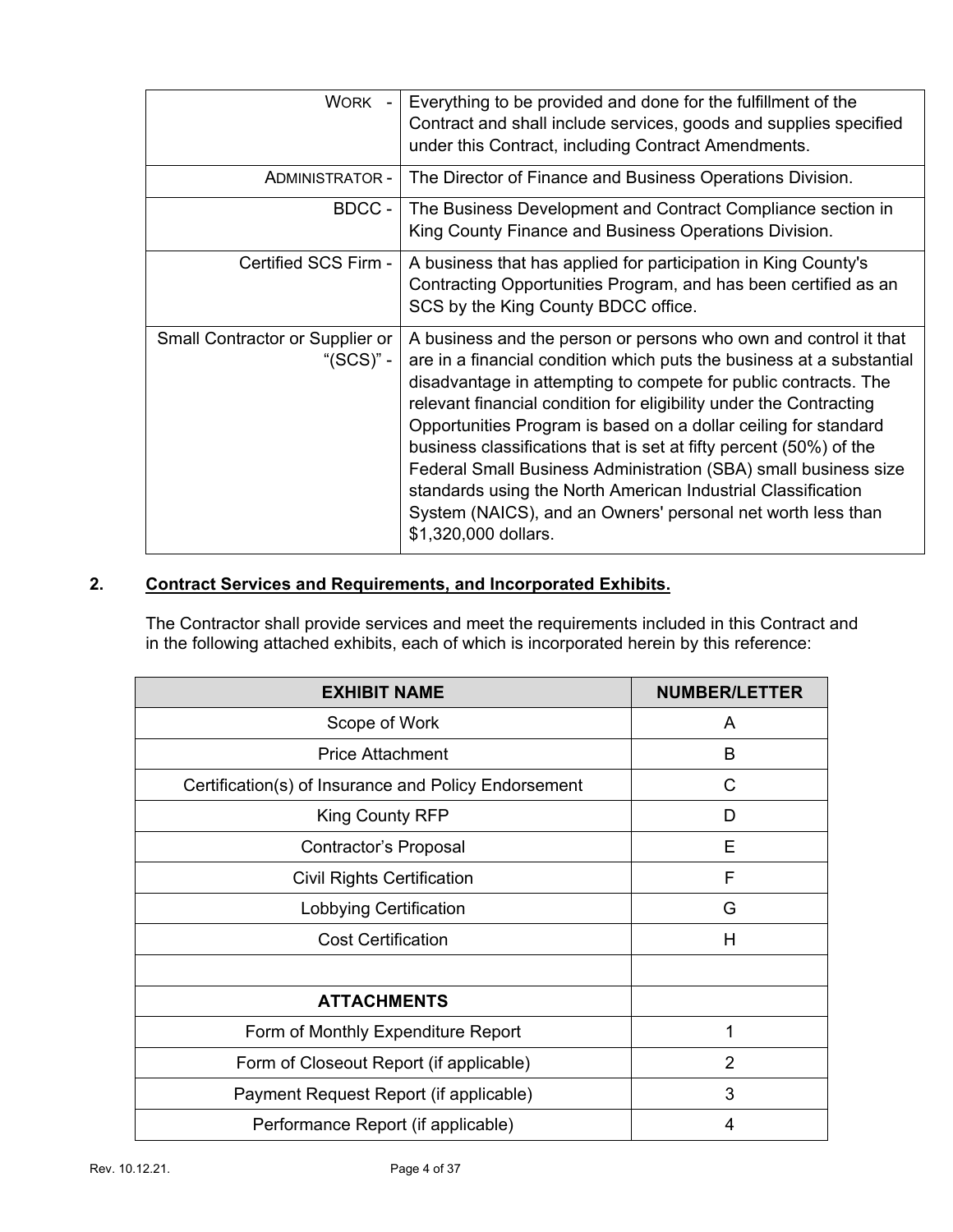| WORK -                                       | Everything to be provided and done for the fulfillment of the<br>Contract and shall include services, goods and supplies specified<br>under this Contract, including Contract Amendments.                                                                                                                                                                                                                                                                                                                                                                                                                                                             |
|----------------------------------------------|-------------------------------------------------------------------------------------------------------------------------------------------------------------------------------------------------------------------------------------------------------------------------------------------------------------------------------------------------------------------------------------------------------------------------------------------------------------------------------------------------------------------------------------------------------------------------------------------------------------------------------------------------------|
| ADMINISTRATOR -                              | The Director of Finance and Business Operations Division.                                                                                                                                                                                                                                                                                                                                                                                                                                                                                                                                                                                             |
| BDCC -                                       | The Business Development and Contract Compliance section in<br>King County Finance and Business Operations Division.                                                                                                                                                                                                                                                                                                                                                                                                                                                                                                                                  |
| Certified SCS Firm -                         | A business that has applied for participation in King County's<br>Contracting Opportunities Program, and has been certified as an<br>SCS by the King County BDCC office.                                                                                                                                                                                                                                                                                                                                                                                                                                                                              |
| Small Contractor or Supplier or<br>"(SCS)" - | A business and the person or persons who own and control it that<br>are in a financial condition which puts the business at a substantial<br>disadvantage in attempting to compete for public contracts. The<br>relevant financial condition for eligibility under the Contracting<br>Opportunities Program is based on a dollar ceiling for standard<br>business classifications that is set at fifty percent (50%) of the<br>Federal Small Business Administration (SBA) small business size<br>standards using the North American Industrial Classification<br>System (NAICS), and an Owners' personal net worth less than<br>\$1,320,000 dollars. |

## **2. Contract Services and Requirements, and Incorporated Exhibits.**

The Contractor shall provide services and meet the requirements included in this Contract and in the following attached exhibits, each of which is incorporated herein by this reference:

| <b>EXHIBIT NAME</b>                                  | <b>NUMBER/LETTER</b> |
|------------------------------------------------------|----------------------|
| Scope of Work                                        | A                    |
| <b>Price Attachment</b>                              | B                    |
| Certification(s) of Insurance and Policy Endorsement | C                    |
| King County RFP                                      | D                    |
| Contractor's Proposal                                | Е                    |
| <b>Civil Rights Certification</b>                    | F                    |
| Lobbying Certification                               | G                    |
| <b>Cost Certification</b>                            | H                    |
|                                                      |                      |
| <b>ATTACHMENTS</b>                                   |                      |
| Form of Monthly Expenditure Report                   | 1                    |
| Form of Closeout Report (if applicable)              | 2                    |
| Payment Request Report (if applicable)               | 3                    |
| Performance Report (if applicable)                   | 4                    |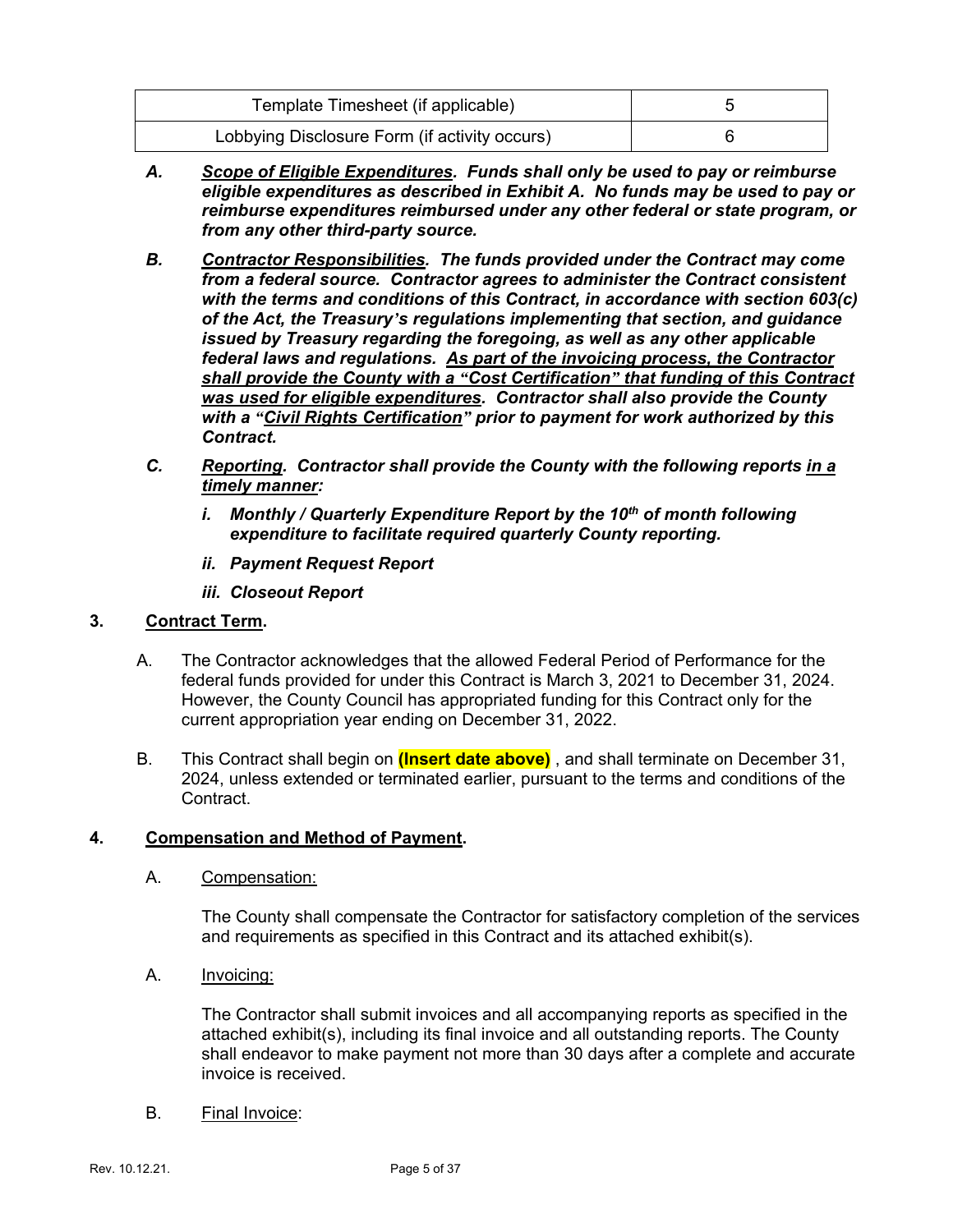| Template Timesheet (if applicable)            |  |
|-----------------------------------------------|--|
| Lobbying Disclosure Form (if activity occurs) |  |

- *A. Scope of Eligible Expenditures. Funds shall only be used to pay or reimburse eligible expenditures as described in Exhibit A. No funds may be used to pay or reimburse expenditures reimbursed under any other federal or state program, or from any other third-party source.*
- *B. Contractor Responsibilities. The funds provided under the Contract may come from a federal source. Contractor agrees to administer the Contract consistent with the terms and conditions of this Contract, in accordance with section 603(c) of the Act, the Treasury's regulations implementing that section, and guidance issued by Treasury regarding the foregoing, as well as any other applicable federal laws and regulations. As part of the invoicing process, the Contractor shall provide the County with a "Cost Certification" that funding of this Contract was used for eligible expenditures. Contractor shall also provide the County with a "Civil Rights Certification" prior to payment for work authorized by this Contract.*
- *C. Reporting. Contractor shall provide the County with the following reports in a timely manner:*
	- *i. Monthly / Quarterly Expenditure Report by the 10th of month following expenditure to facilitate required quarterly County reporting.*
	- *ii. Payment Request Report*
	- *iii. Closeout Report*

### **3. Contract Term.**

- A. The Contractor acknowledges that the allowed Federal Period of Performance for the federal funds provided for under this Contract is March 3, 2021 to December 31, 2024. However, the County Council has appropriated funding for this Contract only for the current appropriation year ending on December 31, 2022.
- B. This Contract shall begin on **(Insert date above)** , and shall terminate on December 31, 2024, unless extended or terminated earlier, pursuant to the terms and conditions of the Contract.

### **4. Compensation and Method of Payment.**

A. Compensation:

The County shall compensate the Contractor for satisfactory completion of the services and requirements as specified in this Contract and its attached exhibit(s).

A. Invoicing:

The Contractor shall submit invoices and all accompanying reports as specified in the attached exhibit(s), including its final invoice and all outstanding reports. The County shall endeavor to make payment not more than 30 days after a complete and accurate invoice is received.

B. Final Invoice: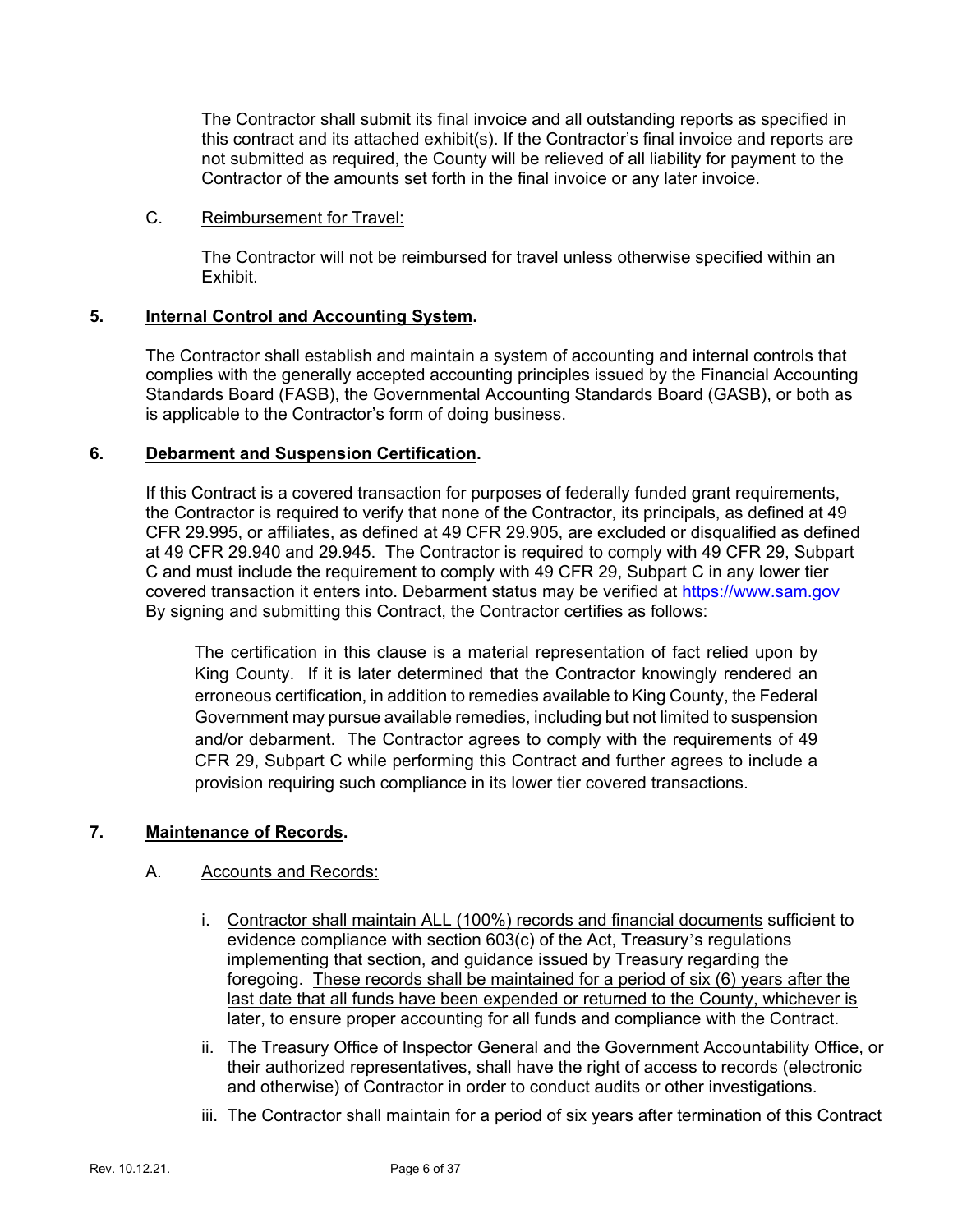The Contractor shall submit its final invoice and all outstanding reports as specified in this contract and its attached exhibit(s). If the Contractor's final invoice and reports are not submitted as required, the County will be relieved of all liability for payment to the Contractor of the amounts set forth in the final invoice or any later invoice.

### C. Reimbursement for Travel:

The Contractor will not be reimbursed for travel unless otherwise specified within an Exhibit.

### **5. Internal Control and Accounting System.**

The Contractor shall establish and maintain a system of accounting and internal controls that complies with the generally accepted accounting principles issued by the Financial Accounting Standards Board (FASB), the Governmental Accounting Standards Board (GASB), or both as is applicable to the Contractor's form of doing business.

### **6. Debarment and Suspension Certification.**

If this Contract is a covered transaction for purposes of federally funded grant requirements, the Contractor is required to verify that none of the Contractor, its principals, as defined at 49 CFR 29.995, or affiliates, as defined at 49 CFR 29.905, are excluded or disqualified as defined at 49 CFR 29.940 and 29.945. The Contractor is required to comply with 49 CFR 29, Subpart C and must include the requirement to comply with 49 CFR 29, Subpart C in any lower tier covered transaction it enters into. Debarment status may be verified at [https://www.sam.gov](https://www.sam.gov/) By signing and submitting this Contract, the Contractor certifies as follows:

The certification in this clause is a material representation of fact relied upon by King County. If it is later determined that the Contractor knowingly rendered an erroneous certification, in addition to remedies available to King County, the Federal Government may pursue available remedies, including but not limited to suspension and/or debarment. The Contractor agrees to comply with the requirements of 49 CFR 29, Subpart C while performing this Contract and further agrees to include a provision requiring such compliance in its lower tier covered transactions.

### **7. Maintenance of Records.**

### A. Accounts and Records:

- i. Contractor shall maintain ALL (100%) records and financial documents sufficient to evidence compliance with section 603(c) of the Act, Treasury's regulations implementing that section, and guidance issued by Treasury regarding the foregoing. These records shall be maintained for a period of six (6) years after the last date that all funds have been expended or returned to the County, whichever is later, to ensure proper accounting for all funds and compliance with the Contract.
- ii. The Treasury Office of Inspector General and the Government Accountability Office, or their authorized representatives, shall have the right of access to records (electronic and otherwise) of Contractor in order to conduct audits or other investigations.
- iii. The Contractor shall maintain for a period of six years after termination of this Contract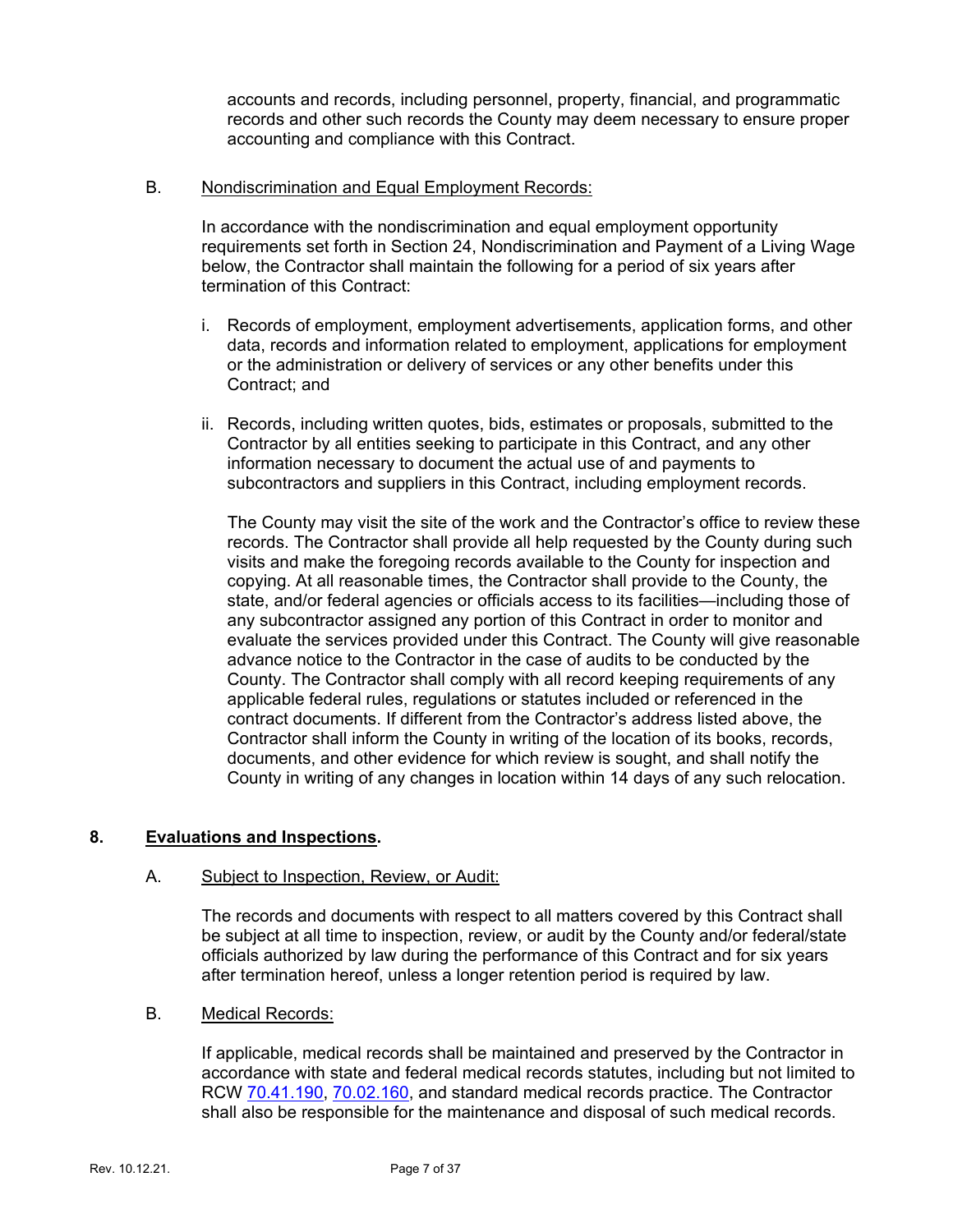accounts and records, including personnel, property, financial, and programmatic records and other such records the County may deem necessary to ensure proper accounting and compliance with this Contract.

### B. Nondiscrimination and Equal Employment Records:

In accordance with the nondiscrimination and equal employment opportunity requirements set forth in Section 24, Nondiscrimination and Payment of a Living Wage below, the Contractor shall maintain the following for a period of six years after termination of this Contract:

- i. Records of employment, employment advertisements, application forms, and other data, records and information related to employment, applications for employment or the administration or delivery of services or any other benefits under this Contract; and
- ii. Records, including written quotes, bids, estimates or proposals, submitted to the Contractor by all entities seeking to participate in this Contract, and any other information necessary to document the actual use of and payments to subcontractors and suppliers in this Contract, including employment records.

The County may visit the site of the work and the Contractor's office to review these records. The Contractor shall provide all help requested by the County during such visits and make the foregoing records available to the County for inspection and copying. At all reasonable times, the Contractor shall provide to the County, the state, and/or federal agencies or officials access to its facilities—including those of any subcontractor assigned any portion of this Contract in order to monitor and evaluate the services provided under this Contract. The County will give reasonable advance notice to the Contractor in the case of audits to be conducted by the County. The Contractor shall comply with all record keeping requirements of any applicable federal rules, regulations or statutes included or referenced in the contract documents. If different from the Contractor's address listed above, the Contractor shall inform the County in writing of the location of its books, records, documents, and other evidence for which review is sought, and shall notify the County in writing of any changes in location within 14 days of any such relocation.

### **8. Evaluations and Inspections.**

### A. Subject to Inspection, Review, or Audit:

The records and documents with respect to all matters covered by this Contract shall be subject at all time to inspection, review, or audit by the County and/or federal/state officials authorized by law during the performance of this Contract and for six years after termination hereof, unless a longer retention period is required by law.

### B. Medical Records:

If applicable, medical records shall be maintained and preserved by the Contractor in accordance with state and federal medical records statutes, including but not limited to RCW [70.41.190,](https://apps.leg.wa.gov/rcw/default.aspx?cite=70.41.190) [70.02.160,](https://apps.leg.wa.gov/RCW/default.aspx?cite=70.02.160) and standard medical records practice. The Contractor shall also be responsible for the maintenance and disposal of such medical records.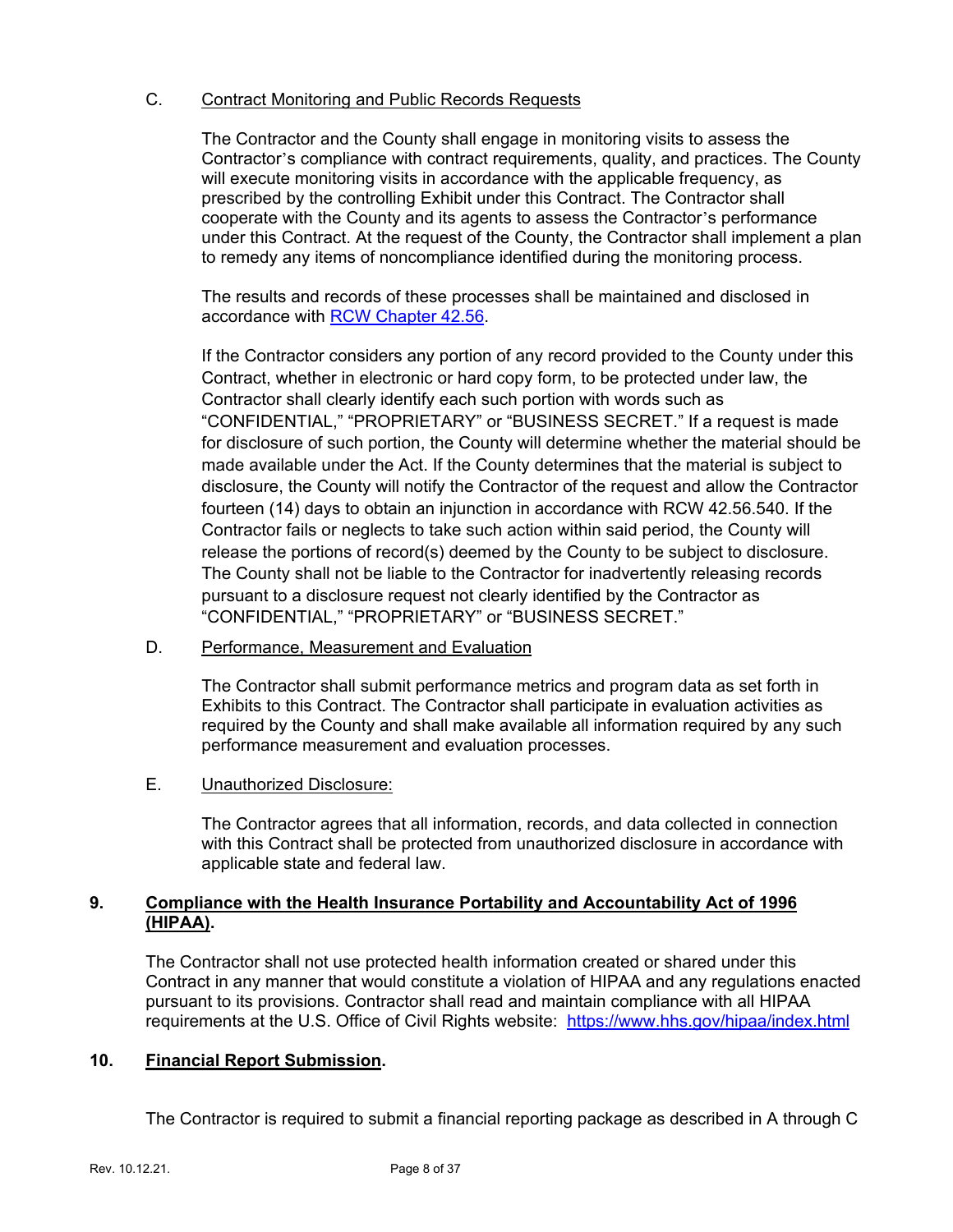### C. Contract Monitoring and Public Records Requests

The Contractor and the County shall engage in monitoring visits to assess the Contractor's compliance with contract requirements, quality, and practices. The County will execute monitoring visits in accordance with the applicable frequency, as prescribed by the controlling Exhibit under this Contract. The Contractor shall cooperate with the County and its agents to assess the Contractor's performance under this Contract. At the request of the County, the Contractor shall implement a plan to remedy any items of noncompliance identified during the monitoring process.

The results and records of these processes shall be maintained and disclosed in accordance with [RCW Chapter 42.56.](https://apps.leg.wa.gov/RCW/default.aspx?cite=42.56)

If the Contractor considers any portion of any record provided to the County under this Contract, whether in electronic or hard copy form, to be protected under law, the Contractor shall clearly identify each such portion with words such as "CONFIDENTIAL," "PROPRIETARY" or "BUSINESS SECRET." If a request is made for disclosure of such portion, the County will determine whether the material should be made available under the Act. If the County determines that the material is subject to disclosure, the County will notify the Contractor of the request and allow the Contractor fourteen (14) days to obtain an injunction in accordance with RCW 42.56.540. If the Contractor fails or neglects to take such action within said period, the County will release the portions of record(s) deemed by the County to be subject to disclosure. The County shall not be liable to the Contractor for inadvertently releasing records pursuant to a disclosure request not clearly identified by the Contractor as "CONFIDENTIAL," "PROPRIETARY" or "BUSINESS SECRET."

### D. Performance, Measurement and Evaluation

The Contractor shall submit performance metrics and program data as set forth in Exhibits to this Contract. The Contractor shall participate in evaluation activities as required by the County and shall make available all information required by any such performance measurement and evaluation processes.

### E. Unauthorized Disclosure:

The Contractor agrees that all information, records, and data collected in connection with this Contract shall be protected from unauthorized disclosure in accordance with applicable state and federal law.

### **9. Compliance with the Health Insurance Portability and Accountability Act of 1996 (HIPAA).**

The Contractor shall not use protected health information created or shared under this Contract in any manner that would constitute a violation of HIPAA and any regulations enacted pursuant to its provisions. Contractor shall read and maintain compliance with all HIPAA requirements at the U.S. Office of Civil Rights website: <https://www.hhs.gov/hipaa/index.html>

### **10. Financial Report Submission.**

The Contractor is required to submit a financial reporting package as described in A through C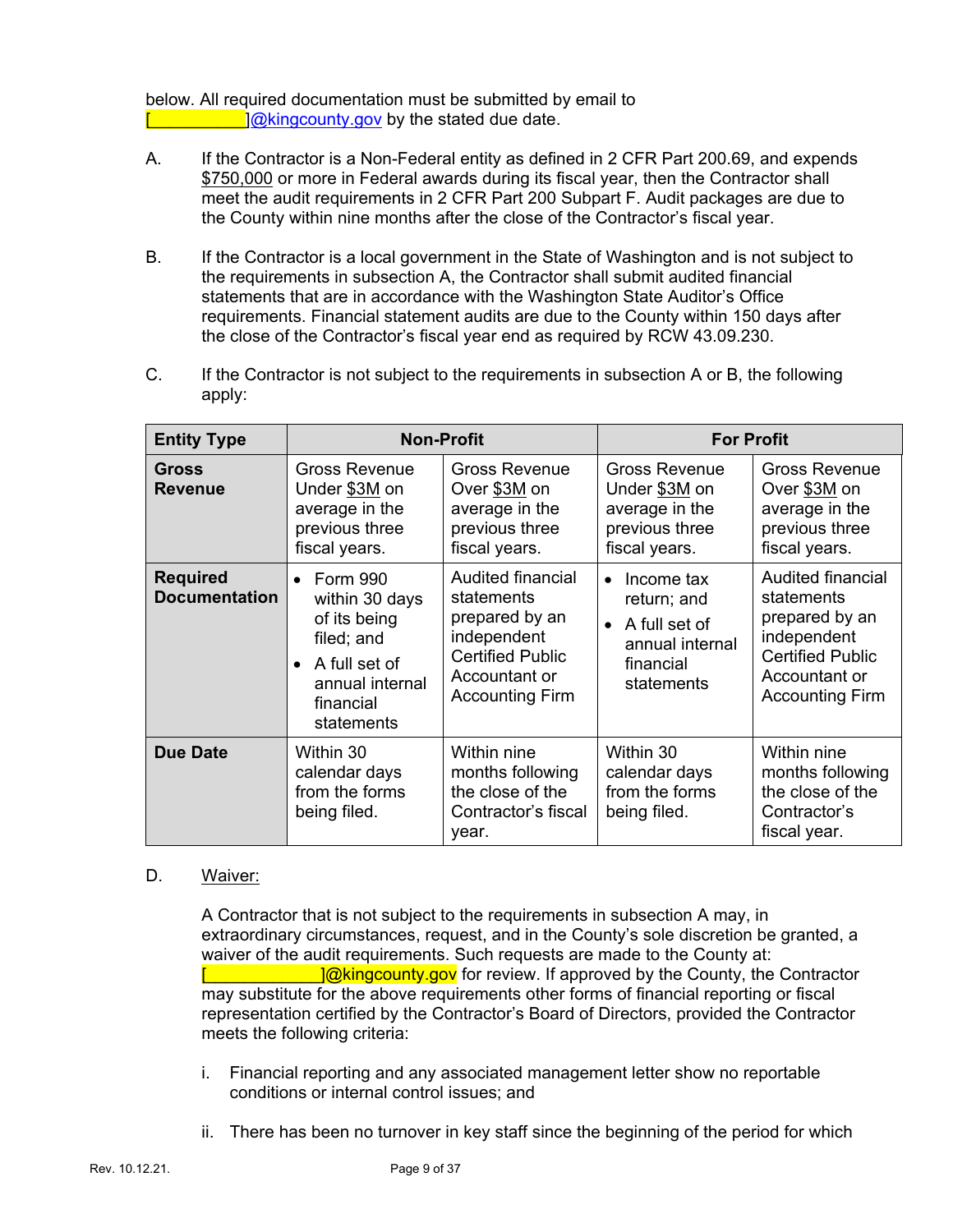below. All required documentation must be submitted by email to  $\sqrt{\omega_{\text{kingcounty.gov}}}$  by the stated due date.

- A. If the Contractor is a Non-Federal entity as defined in 2 CFR Part 200.69, and expends \$750,000 or more in Federal awards during its fiscal year, then the Contractor shall meet the audit requirements in 2 CFR Part 200 Subpart F. Audit packages are due to the County within nine months after the close of the Contractor's fiscal year.
- B. If the Contractor is a local government in the State of Washington and is not subject to the requirements in subsection A, the Contractor shall submit audited financial statements that are in accordance with the Washington State Auditor's Office requirements. Financial statement audits are due to the County within 150 days after the close of the Contractor's fiscal year end as required by RCW 43.09.230.
- C. If the Contractor is not subject to the requirements in subsection A or B, the following apply:

| <b>Entity Type</b>                      | <b>Non-Profit</b>                                                                                                                                        |                                                                                                                                        | <b>For Profit</b>                                                                                                  |                                                                                                                                        |
|-----------------------------------------|----------------------------------------------------------------------------------------------------------------------------------------------------------|----------------------------------------------------------------------------------------------------------------------------------------|--------------------------------------------------------------------------------------------------------------------|----------------------------------------------------------------------------------------------------------------------------------------|
| Gross<br><b>Revenue</b>                 | <b>Gross Revenue</b><br>Under \$3M on<br>average in the<br>previous three<br>fiscal years.                                                               | <b>Gross Revenue</b><br>Over \$3M on<br>average in the<br>previous three<br>fiscal years.                                              | <b>Gross Revenue</b><br>Under \$3M on<br>average in the<br>previous three<br>fiscal years.                         | <b>Gross Revenue</b><br>Over \$3M on<br>average in the<br>previous three<br>fiscal years.                                              |
| <b>Required</b><br><b>Documentation</b> | <b>Form 990</b><br>$\bullet$<br>within 30 days<br>of its being<br>filed; and<br>A full set of<br>$\bullet$<br>annual internal<br>financial<br>statements | Audited financial<br>statements<br>prepared by an<br>independent<br><b>Certified Public</b><br>Accountant or<br><b>Accounting Firm</b> | Income tax<br>$\bullet$<br>return; and<br>A full set of<br>$\bullet$<br>annual internal<br>financial<br>statements | Audited financial<br>statements<br>prepared by an<br>independent<br><b>Certified Public</b><br>Accountant or<br><b>Accounting Firm</b> |
| <b>Due Date</b>                         | Within 30<br>calendar days<br>from the forms<br>being filed.                                                                                             | Within nine<br>months following<br>the close of the<br>Contractor's fiscal<br>year.                                                    | Within 30<br>calendar days<br>from the forms<br>being filed.                                                       | Within nine<br>months following<br>the close of the<br>Contractor's<br>fiscal year.                                                    |

### D. Waiver:

A Contractor that is not subject to the requirements in subsection A may, in extraordinary circumstances, request, and in the County's sole discretion be granted, a waiver of the audit requirements. Such requests are made to the County at: **I** @kingcounty.gov for review. If approved by the County, the Contractor may substitute for the above requirements other forms of financial reporting or fiscal representation certified by the Contractor's Board of Directors, provided the Contractor meets the following criteria:

- i. Financial reporting and any associated management letter show no reportable conditions or internal control issues; and
- ii. There has been no turnover in key staff since the beginning of the period for which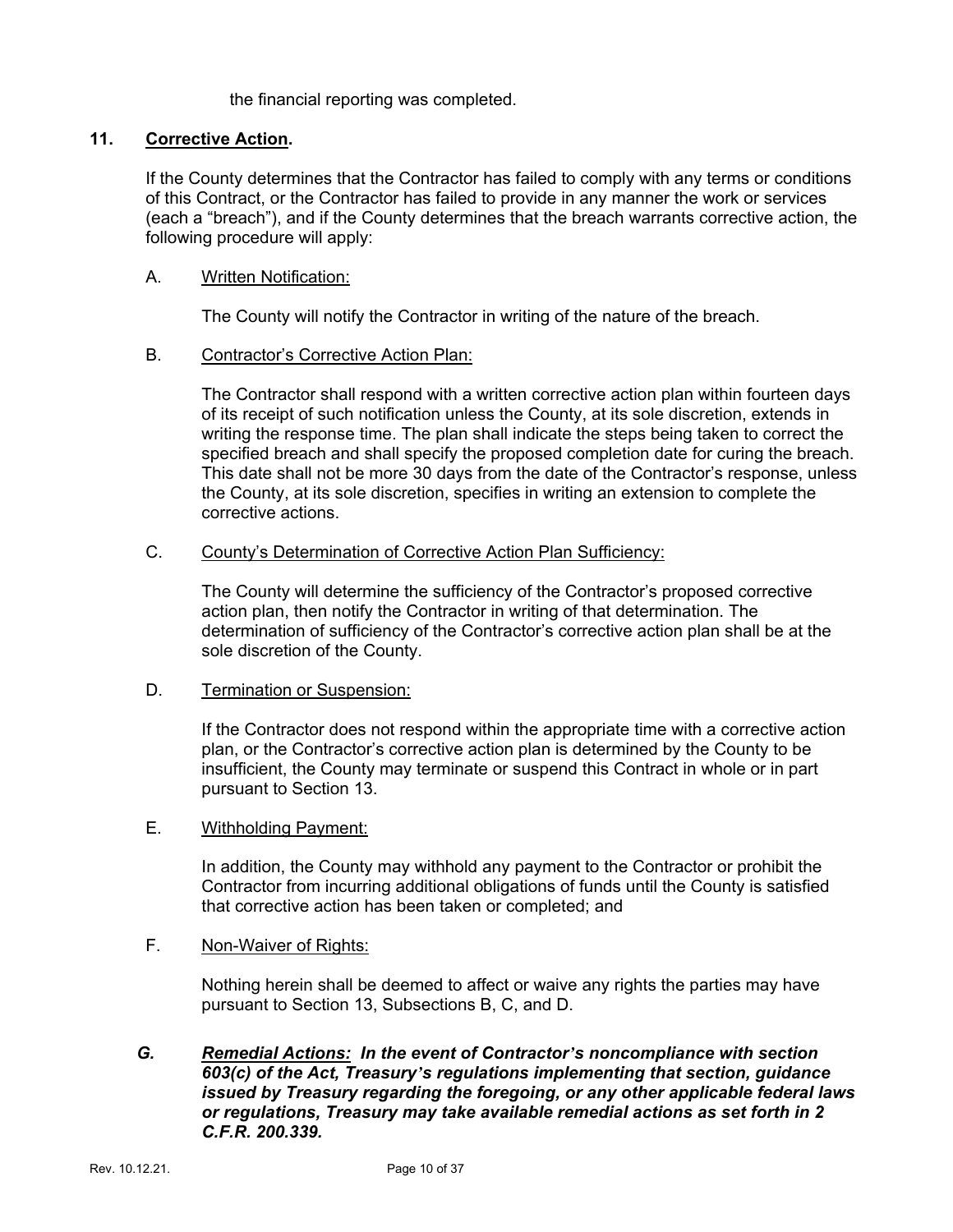the financial reporting was completed.

### **11. Corrective Action.**

If the County determines that the Contractor has failed to comply with any terms or conditions of this Contract, or the Contractor has failed to provide in any manner the work or services (each a "breach"), and if the County determines that the breach warrants corrective action, the following procedure will apply:

#### A. Written Notification:

The County will notify the Contractor in writing of the nature of the breach.

#### B. Contractor's Corrective Action Plan:

The Contractor shall respond with a written corrective action plan within fourteen days of its receipt of such notification unless the County, at its sole discretion, extends in writing the response time. The plan shall indicate the steps being taken to correct the specified breach and shall specify the proposed completion date for curing the breach. This date shall not be more 30 days from the date of the Contractor's response, unless the County, at its sole discretion, specifies in writing an extension to complete the corrective actions.

#### C. County's Determination of Corrective Action Plan Sufficiency:

The County will determine the sufficiency of the Contractor's proposed corrective action plan, then notify the Contractor in writing of that determination. The determination of sufficiency of the Contractor's corrective action plan shall be at the sole discretion of the County.

### D. Termination or Suspension:

If the Contractor does not respond within the appropriate time with a corrective action plan, or the Contractor's corrective action plan is determined by the County to be insufficient, the County may terminate or suspend this Contract in whole or in part pursuant to Section 13.

#### E. Withholding Payment:

In addition, the County may withhold any payment to the Contractor or prohibit the Contractor from incurring additional obligations of funds until the County is satisfied that corrective action has been taken or completed; and

### F. Non-Waiver of Rights:

Nothing herein shall be deemed to affect or waive any rights the parties may have pursuant to Section 13, Subsections B, C, and D.

### *G. Remedial Actions: In the event of Contractor's noncompliance with section 603(c) of the Act, Treasury's regulations implementing that section, guidance issued by Treasury regarding the foregoing, or any other applicable federal laws or regulations, Treasury may take available remedial actions as set forth in 2 C.F.R. 200.339.*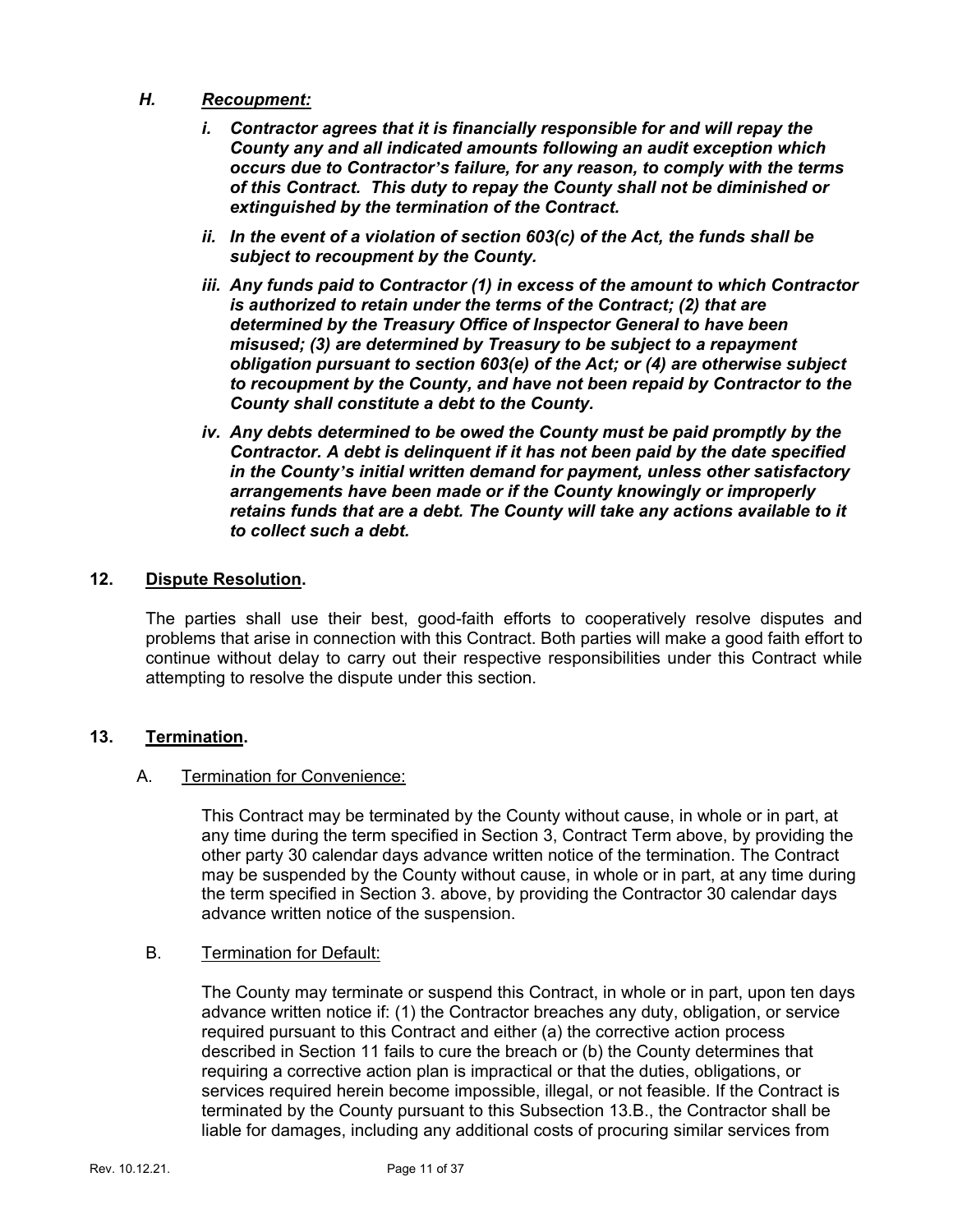### *H. Recoupment:*

- *i. Contractor agrees that it is financially responsible for and will repay the County any and all indicated amounts following an audit exception which occurs due to Contractor's failure, for any reason, to comply with the terms of this Contract. This duty to repay the County shall not be diminished or extinguished by the termination of the Contract.*
- *ii. In the event of a violation of section 603(c) of the Act, the funds shall be subject to recoupment by the County.*
- *iii. Any funds paid to Contractor (1) in excess of the amount to which Contractor is authorized to retain under the terms of the Contract; (2) that are determined by the Treasury Office of Inspector General to have been misused; (3) are determined by Treasury to be subject to a repayment obligation pursuant to section 603(e) of the Act; or (4) are otherwise subject to recoupment by the County, and have not been repaid by Contractor to the County shall constitute a debt to the County.*
- *iv. Any debts determined to be owed the County must be paid promptly by the Contractor. A debt is delinquent if it has not been paid by the date specified in the County's initial written demand for payment, unless other satisfactory arrangements have been made or if the County knowingly or improperly retains funds that are a debt. The County will take any actions available to it to collect such a debt.*

### **12. Dispute Resolution.**

The parties shall use their best, good-faith efforts to cooperatively resolve disputes and problems that arise in connection with this Contract. Both parties will make a good faith effort to continue without delay to carry out their respective responsibilities under this Contract while attempting to resolve the dispute under this section.

### **13. Termination.**

### A. Termination for Convenience:

This Contract may be terminated by the County without cause, in whole or in part, at any time during the term specified in Section 3, Contract Term above, by providing the other party 30 calendar days advance written notice of the termination. The Contract may be suspended by the County without cause, in whole or in part, at any time during the term specified in Section 3. above, by providing the Contractor 30 calendar days advance written notice of the suspension.

### B. Termination for Default:

The County may terminate or suspend this Contract, in whole or in part, upon ten days advance written notice if: (1) the Contractor breaches any duty, obligation, or service required pursuant to this Contract and either (a) the corrective action process described in Section 11 fails to cure the breach or (b) the County determines that requiring a corrective action plan is impractical or that the duties, obligations, or services required herein become impossible, illegal, or not feasible. If the Contract is terminated by the County pursuant to this Subsection 13.B., the Contractor shall be liable for damages, including any additional costs of procuring similar services from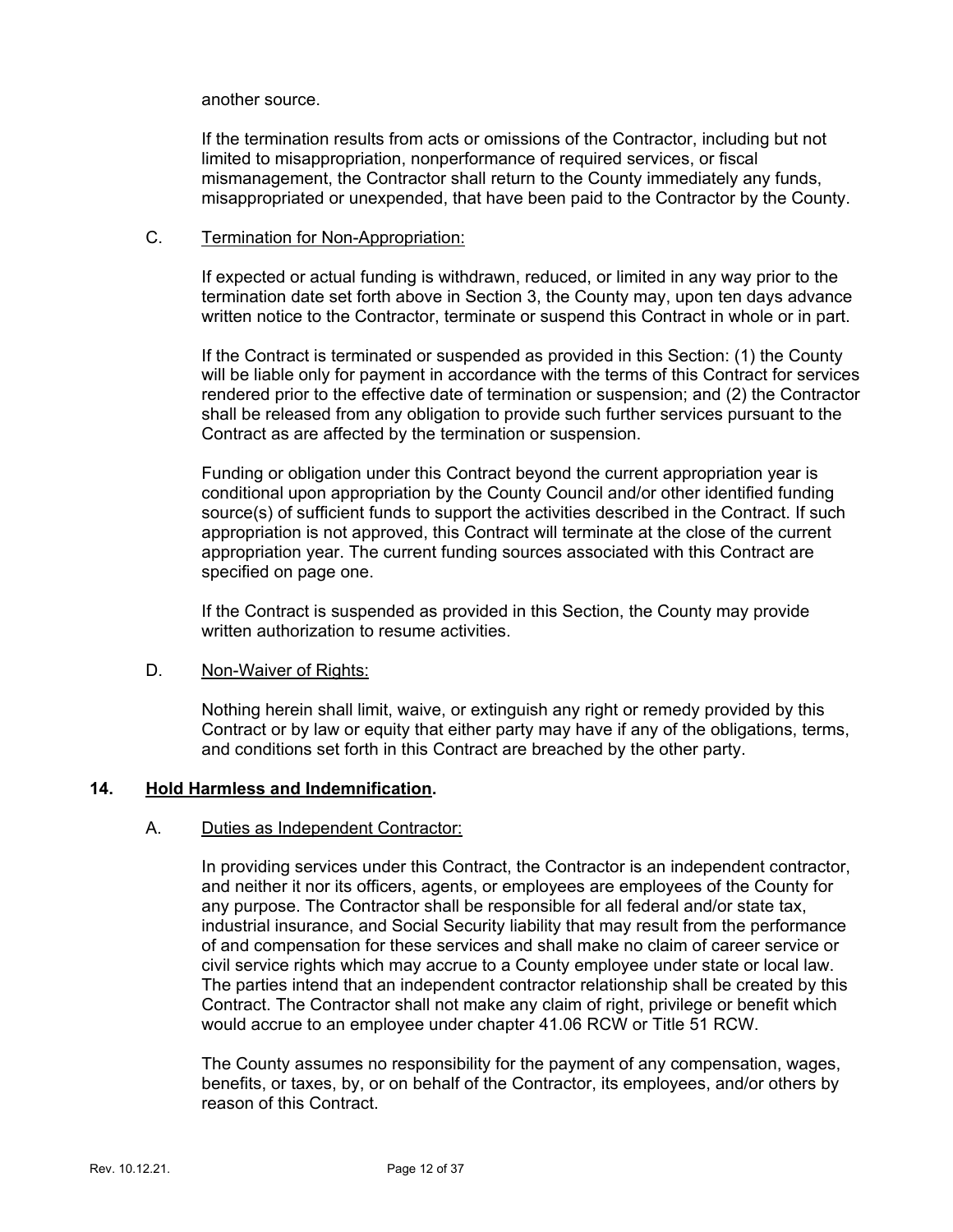#### another source.

If the termination results from acts or omissions of the Contractor, including but not limited to misappropriation, nonperformance of required services, or fiscal mismanagement, the Contractor shall return to the County immediately any funds, misappropriated or unexpended, that have been paid to the Contractor by the County.

#### C. Termination for Non-Appropriation:

If expected or actual funding is withdrawn, reduced, or limited in any way prior to the termination date set forth above in Section 3, the County may, upon ten days advance written notice to the Contractor, terminate or suspend this Contract in whole or in part.

If the Contract is terminated or suspended as provided in this Section: (1) the County will be liable only for payment in accordance with the terms of this Contract for services rendered prior to the effective date of termination or suspension; and (2) the Contractor shall be released from any obligation to provide such further services pursuant to the Contract as are affected by the termination or suspension.

Funding or obligation under this Contract beyond the current appropriation year is conditional upon appropriation by the County Council and/or other identified funding source(s) of sufficient funds to support the activities described in the Contract. If such appropriation is not approved, this Contract will terminate at the close of the current appropriation year. The current funding sources associated with this Contract are specified on page one.

If the Contract is suspended as provided in this Section, the County may provide written authorization to resume activities.

### D. Non-Waiver of Rights:

Nothing herein shall limit, waive, or extinguish any right or remedy provided by this Contract or by law or equity that either party may have if any of the obligations, terms, and conditions set forth in this Contract are breached by the other party.

### **14. Hold Harmless and Indemnification.**

### A. Duties as Independent Contractor:

In providing services under this Contract, the Contractor is an independent contractor, and neither it nor its officers, agents, or employees are employees of the County for any purpose. The Contractor shall be responsible for all federal and/or state tax, industrial insurance, and Social Security liability that may result from the performance of and compensation for these services and shall make no claim of career service or civil service rights which may accrue to a County employee under state or local law. The parties intend that an independent contractor relationship shall be created by this Contract. The Contractor shall not make any claim of right, privilege or benefit which would accrue to an employee under chapter 41.06 RCW or Title 51 RCW.

The County assumes no responsibility for the payment of any compensation, wages, benefits, or taxes, by, or on behalf of the Contractor, its employees, and/or others by reason of this Contract.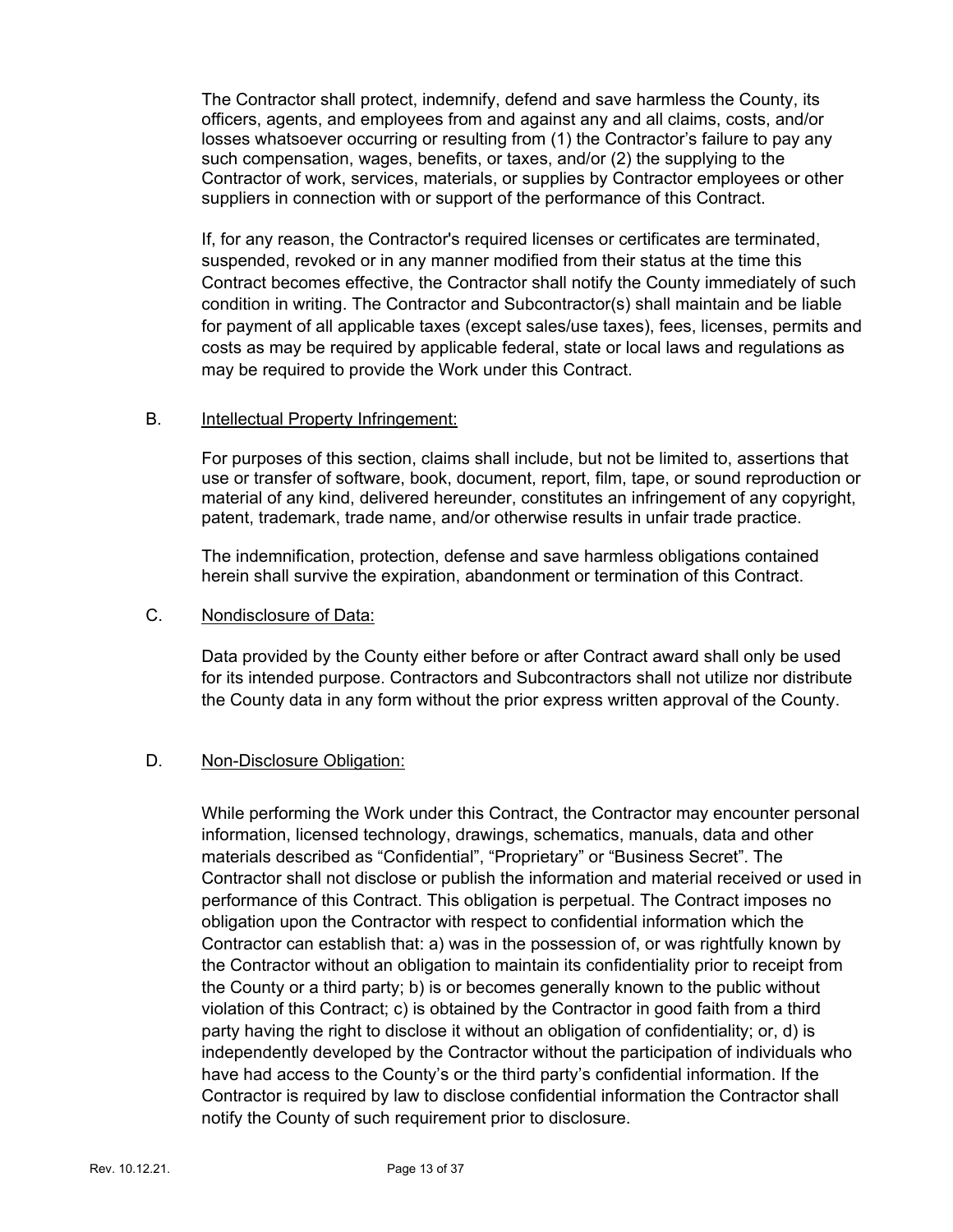The Contractor shall protect, indemnify, defend and save harmless the County, its officers, agents, and employees from and against any and all claims, costs, and/or losses whatsoever occurring or resulting from (1) the Contractor's failure to pay any such compensation, wages, benefits, or taxes, and/or (2) the supplying to the Contractor of work, services, materials, or supplies by Contractor employees or other suppliers in connection with or support of the performance of this Contract.

If, for any reason, the Contractor's required licenses or certificates are terminated, suspended, revoked or in any manner modified from their status at the time this Contract becomes effective, the Contractor shall notify the County immediately of such condition in writing. The Contractor and Subcontractor(s) shall maintain and be liable for payment of all applicable taxes (except sales/use taxes), fees, licenses, permits and costs as may be required by applicable federal, state or local laws and regulations as may be required to provide the Work under this Contract.

### B. **Intellectual Property Infringement:**

For purposes of this section, claims shall include, but not be limited to, assertions that use or transfer of software, book, document, report, film, tape, or sound reproduction or material of any kind, delivered hereunder, constitutes an infringement of any copyright, patent, trademark, trade name, and/or otherwise results in unfair trade practice.

The indemnification, protection, defense and save harmless obligations contained herein shall survive the expiration, abandonment or termination of this Contract.

### C. Nondisclosure of Data:

Data provided by the County either before or after Contract award shall only be used for its intended purpose. Contractors and Subcontractors shall not utilize nor distribute the County data in any form without the prior express written approval of the County.

### D. Non-Disclosure Obligation:

While performing the Work under this Contract, the Contractor may encounter personal information, licensed technology, drawings, schematics, manuals, data and other materials described as "Confidential", "Proprietary" or "Business Secret". The Contractor shall not disclose or publish the information and material received or used in performance of this Contract. This obligation is perpetual. The Contract imposes no obligation upon the Contractor with respect to confidential information which the Contractor can establish that: a) was in the possession of, or was rightfully known by the Contractor without an obligation to maintain its confidentiality prior to receipt from the County or a third party; b) is or becomes generally known to the public without violation of this Contract; c) is obtained by the Contractor in good faith from a third party having the right to disclose it without an obligation of confidentiality; or, d) is independently developed by the Contractor without the participation of individuals who have had access to the County's or the third party's confidential information. If the Contractor is required by law to disclose confidential information the Contractor shall notify the County of such requirement prior to disclosure.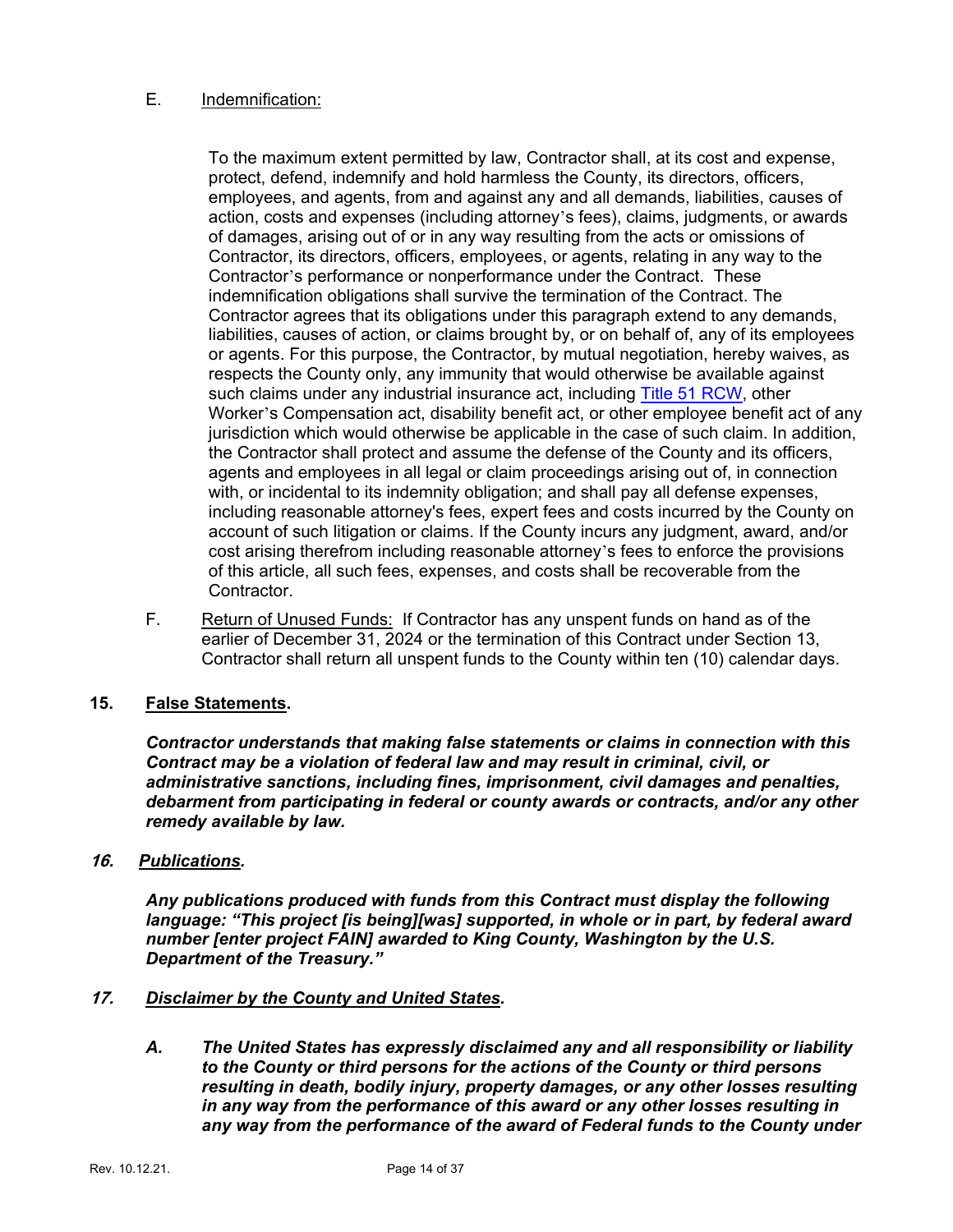### E. Indemnification:

To the maximum extent permitted by law, Contractor shall, at its cost and expense, protect, defend, indemnify and hold harmless the County, its directors, officers, employees, and agents, from and against any and all demands, liabilities, causes of action, costs and expenses (including attorney's fees), claims, judgments, or awards of damages, arising out of or in any way resulting from the acts or omissions of Contractor, its directors, officers, employees, or agents, relating in any way to the Contractor's performance or nonperformance under the Contract. These indemnification obligations shall survive the termination of the Contract. The Contractor agrees that its obligations under this paragraph extend to any demands, liabilities, causes of action, or claims brought by, or on behalf of, any of its employees or agents. For this purpose, the Contractor, by mutual negotiation, hereby waives, as respects the County only, any immunity that would otherwise be available against such claims under any industrial insurance act, including [Title 51 RCW,](https://apps.leg.wa.gov/RCW/default.aspx?cite=51) other Worker's Compensation act, disability benefit act, or other employee benefit act of any jurisdiction which would otherwise be applicable in the case of such claim. In addition, the Contractor shall protect and assume the defense of the County and its officers, agents and employees in all legal or claim proceedings arising out of, in connection with, or incidental to its indemnity obligation; and shall pay all defense expenses, including reasonable attorney's fees, expert fees and costs incurred by the County on account of such litigation or claims. If the County incurs any judgment, award, and/or cost arising therefrom including reasonable attorney's fees to enforce the provisions of this article, all such fees, expenses, and costs shall be recoverable from the Contractor.

F. Return of Unused Funds: If Contractor has any unspent funds on hand as of the earlier of December 31, 2024 or the termination of this Contract under Section 13, Contractor shall return all unspent funds to the County within ten (10) calendar days.

### **15. False Statements.**

*Contractor understands that making false statements or claims in connection with this Contract may be a violation of federal law and may result in criminal, civil, or administrative sanctions, including fines, imprisonment, civil damages and penalties, debarment from participating in federal or county awards or contracts, and/or any other remedy available by law.*

### **16.** *Publications.*

*Any publications produced with funds from this Contract must display the following language: "This project [is being][was] supported, in whole or in part, by federal award number [enter project FAIN] awarded to King County, Washington by the U.S. Department of the Treasury."*

### **17.** *Disclaimer by the County and United States.*

*A. The United States has expressly disclaimed any and all responsibility or liability to the County or third persons for the actions of the County or third persons resulting in death, bodily injury, property damages, or any other losses resulting in any way from the performance of this award or any other losses resulting in any way from the performance of the award of Federal funds to the County under*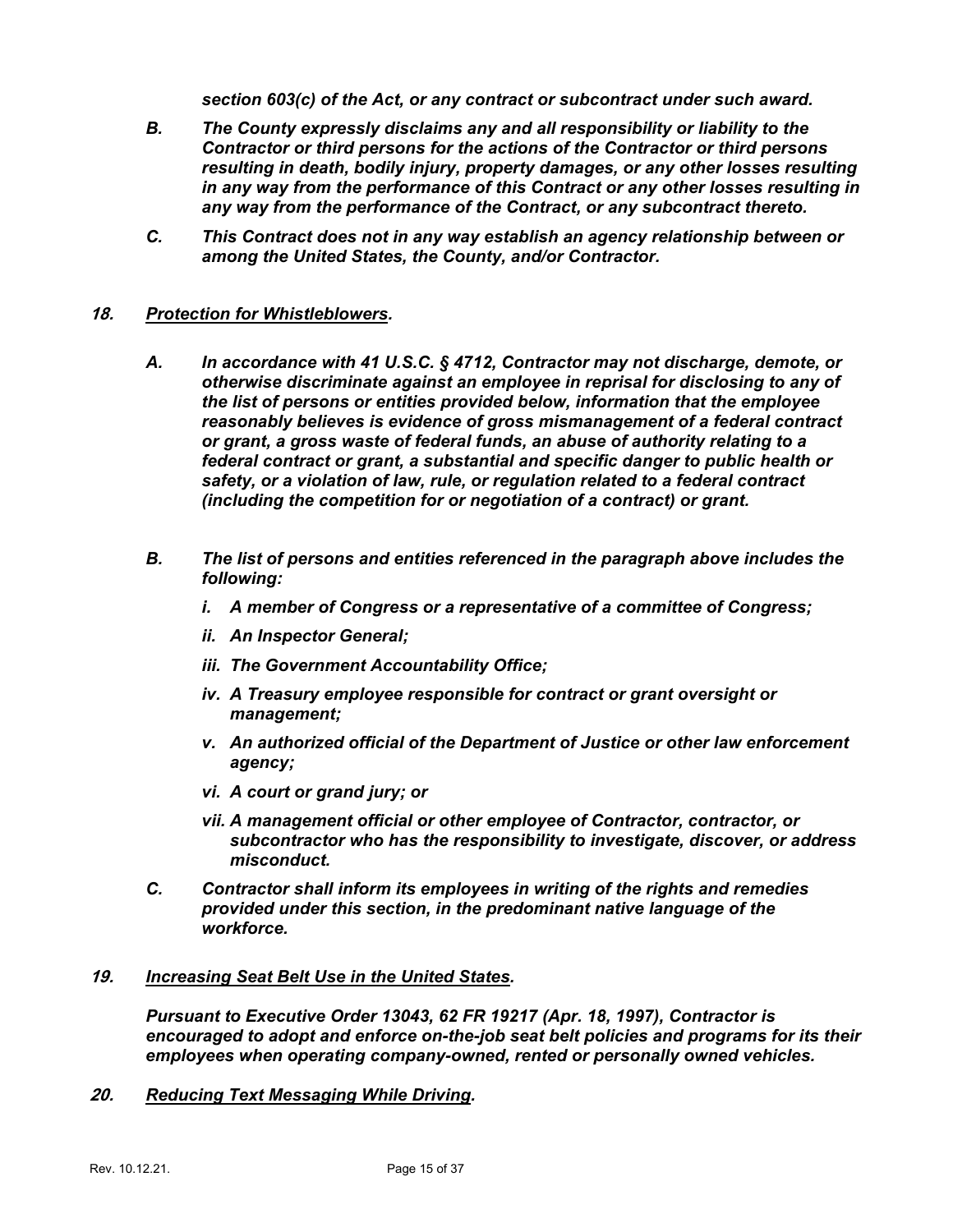*section 603(c) of the Act, or any contract or subcontract under such award.*

- *B. The County expressly disclaims any and all responsibility or liability to the Contractor or third persons for the actions of the Contractor or third persons resulting in death, bodily injury, property damages, or any other losses resulting in any way from the performance of this Contract or any other losses resulting in any way from the performance of the Contract, or any subcontract thereto.*
- *C. This Contract does not in any way establish an agency relationship between or among the United States, the County, and/or Contractor.*

### **18.** *Protection for Whistleblowers.*

- *A. In accordance with 41 U.S.C. § 4712, Contractor may not discharge, demote, or otherwise discriminate against an employee in reprisal for disclosing to any of the list of persons or entities provided below, information that the employee reasonably believes is evidence of gross mismanagement of a federal contract or grant, a gross waste of federal funds, an abuse of authority relating to a federal contract or grant, a substantial and specific danger to public health or safety, or a violation of law, rule, or regulation related to a federal contract (including the competition for or negotiation of a contract) or grant.*
- *B. The list of persons and entities referenced in the paragraph above includes the following:*
	- *i. A member of Congress or a representative of a committee of Congress;*
	- *ii. An Inspector General;*
	- *iii. The Government Accountability Office;*
	- *iv. A Treasury employee responsible for contract or grant oversight or management;*
	- *v. An authorized official of the Department of Justice or other law enforcement agency;*
	- *vi. A court or grand jury; or*
	- *vii. A management official or other employee of Contractor, contractor, or subcontractor who has the responsibility to investigate, discover, or address misconduct.*
- *C. Contractor shall inform its employees in writing of the rights and remedies provided under this section, in the predominant native language of the workforce.*

### **19.** *Increasing Seat Belt Use in the United States.*

*Pursuant to Executive Order 13043, 62 FR 19217 (Apr. 18, 1997), Contractor is encouraged to adopt and enforce on-the-job seat belt policies and programs for its their employees when operating company-owned, rented or personally owned vehicles.*

**20.** *Reducing Text Messaging While Driving.*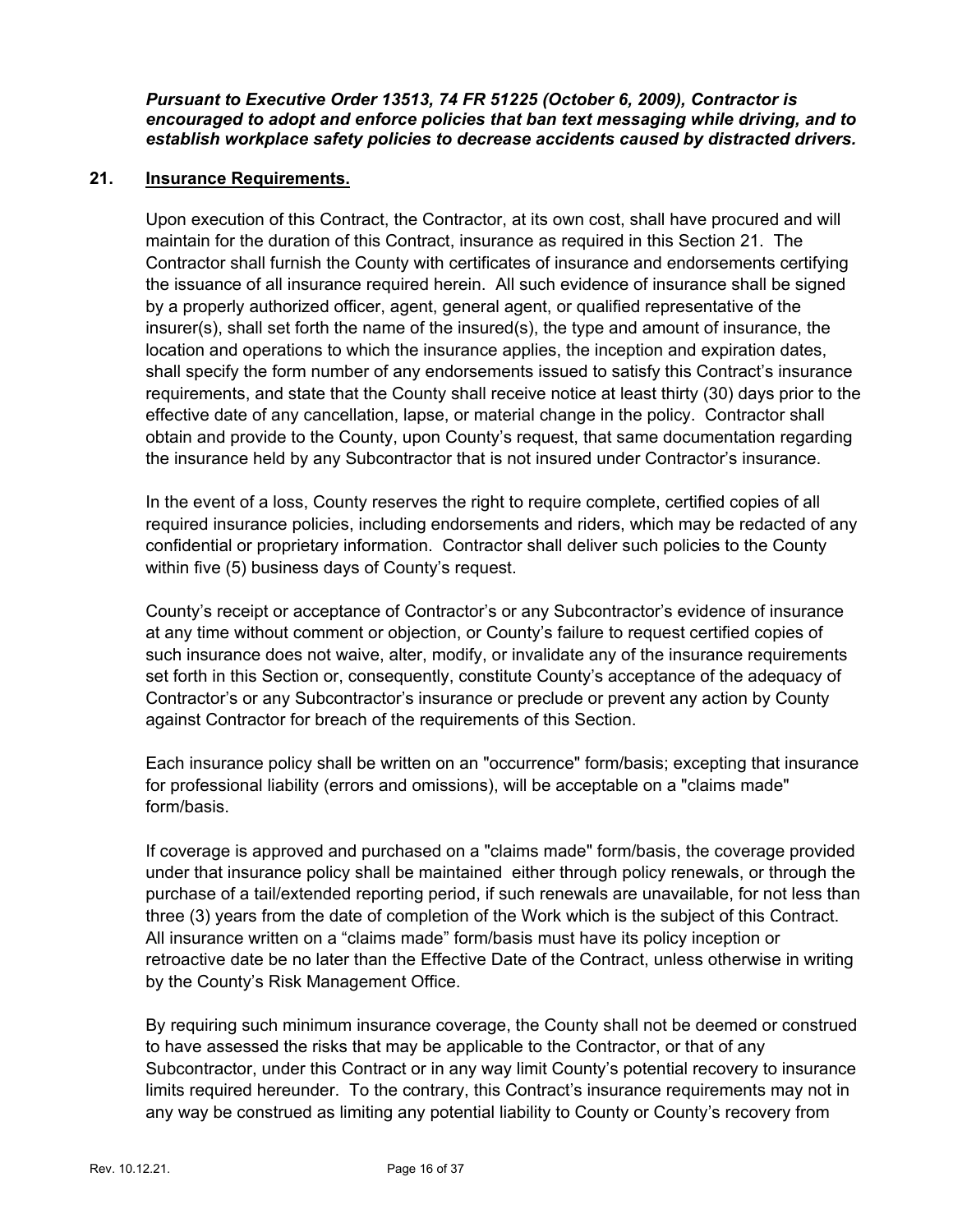*Pursuant to Executive Order 13513, 74 FR 51225 (October 6, 2009), Contractor is encouraged to adopt and enforce policies that ban text messaging while driving, and to establish workplace safety policies to decrease accidents caused by distracted drivers.* 

### **21. Insurance Requirements.**

Upon execution of this Contract, the Contractor, at its own cost, shall have procured and will maintain for the duration of this Contract, insurance as required in this Section 21. The Contractor shall furnish the County with certificates of insurance and endorsements certifying the issuance of all insurance required herein. All such evidence of insurance shall be signed by a properly authorized officer, agent, general agent, or qualified representative of the insurer(s), shall set forth the name of the insured(s), the type and amount of insurance, the location and operations to which the insurance applies, the inception and expiration dates, shall specify the form number of any endorsements issued to satisfy this Contract's insurance requirements, and state that the County shall receive notice at least thirty (30) days prior to the effective date of any cancellation, lapse, or material change in the policy. Contractor shall obtain and provide to the County, upon County's request, that same documentation regarding the insurance held by any Subcontractor that is not insured under Contractor's insurance.

In the event of a loss, County reserves the right to require complete, certified copies of all required insurance policies, including endorsements and riders, which may be redacted of any confidential or proprietary information. Contractor shall deliver such policies to the County within five (5) business days of County's request.

County's receipt or acceptance of Contractor's or any Subcontractor's evidence of insurance at any time without comment or objection, or County's failure to request certified copies of such insurance does not waive, alter, modify, or invalidate any of the insurance requirements set forth in this Section or, consequently, constitute County's acceptance of the adequacy of Contractor's or any Subcontractor's insurance or preclude or prevent any action by County against Contractor for breach of the requirements of this Section.

Each insurance policy shall be written on an "occurrence" form/basis; excepting that insurance for professional liability (errors and omissions), will be acceptable on a "claims made" form/basis.

If coverage is approved and purchased on a "claims made" form/basis, the coverage provided under that insurance policy shall be maintained either through policy renewals, or through the purchase of a tail/extended reporting period, if such renewals are unavailable, for not less than three (3) years from the date of completion of the Work which is the subject of this Contract. All insurance written on a "claims made" form/basis must have its policy inception or retroactive date be no later than the Effective Date of the Contract, unless otherwise in writing by the County's Risk Management Office.

By requiring such minimum insurance coverage, the County shall not be deemed or construed to have assessed the risks that may be applicable to the Contractor, or that of any Subcontractor, under this Contract or in any way limit County's potential recovery to insurance limits required hereunder. To the contrary, this Contract's insurance requirements may not in any way be construed as limiting any potential liability to County or County's recovery from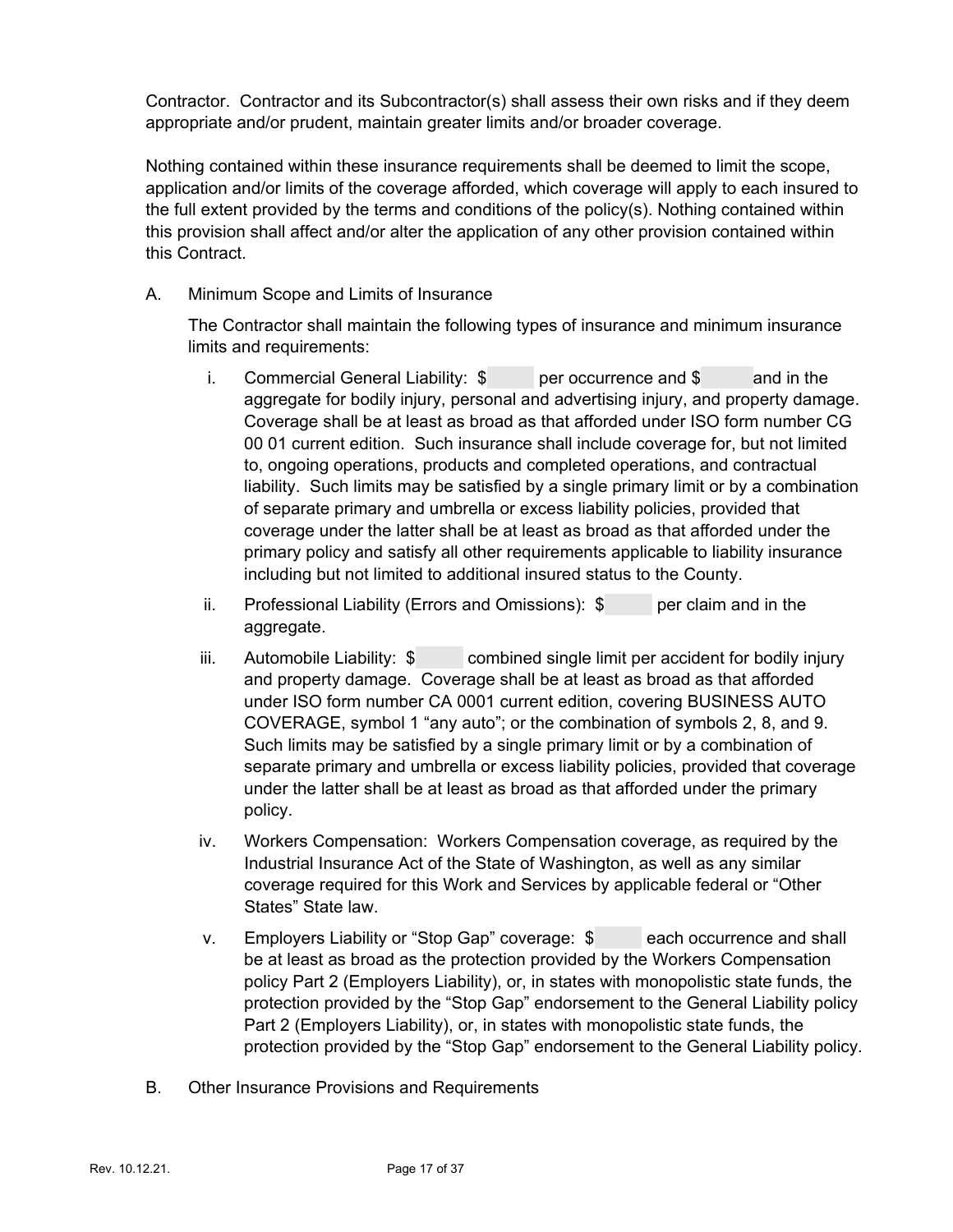Contractor. Contractor and its Subcontractor(s) shall assess their own risks and if they deem appropriate and/or prudent, maintain greater limits and/or broader coverage.

Nothing contained within these insurance requirements shall be deemed to limit the scope, application and/or limits of the coverage afforded, which coverage will apply to each insured to the full extent provided by the terms and conditions of the policy(s). Nothing contained within this provision shall affect and/or alter the application of any other provision contained within this Contract.

A. Minimum Scope and Limits of Insurance

The Contractor shall maintain the following types of insurance and minimum insurance limits and requirements:

- i. Commercial General Liability: \$ per occurrence and \$ and in the aggregate for bodily injury, personal and advertising injury, and property damage. Coverage shall be at least as broad as that afforded under ISO form number CG 00 01 current edition. Such insurance shall include coverage for, but not limited to, ongoing operations, products and completed operations, and contractual liability. Such limits may be satisfied by a single primary limit or by a combination of separate primary and umbrella or excess liability policies, provided that coverage under the latter shall be at least as broad as that afforded under the primary policy and satisfy all other requirements applicable to liability insurance including but not limited to additional insured status to the County.
- ii. Professional Liability (Errors and Omissions):  $\sin$  per claim and in the aggregate.
- iii. Automobile Liability: \$ combined single limit per accident for bodily injury and property damage. Coverage shall be at least as broad as that afforded under ISO form number CA 0001 current edition, covering BUSINESS AUTO COVERAGE, symbol 1 "any auto"; or the combination of symbols 2, 8, and 9. Such limits may be satisfied by a single primary limit or by a combination of separate primary and umbrella or excess liability policies, provided that coverage under the latter shall be at least as broad as that afforded under the primary policy.
- iv. Workers Compensation: Workers Compensation coverage, as required by the Industrial Insurance Act of the State of Washington, as well as any similar coverage required for this Work and Services by applicable federal or "Other States" State law.
- v. Employers Liability or "Stop Gap" coverage: \$ each occurrence and shall be at least as broad as the protection provided by the Workers Compensation policy Part 2 (Employers Liability), or, in states with monopolistic state funds, the protection provided by the "Stop Gap" endorsement to the General Liability policy Part 2 (Employers Liability), or, in states with monopolistic state funds, the protection provided by the "Stop Gap" endorsement to the General Liability policy.
- B. Other Insurance Provisions and Requirements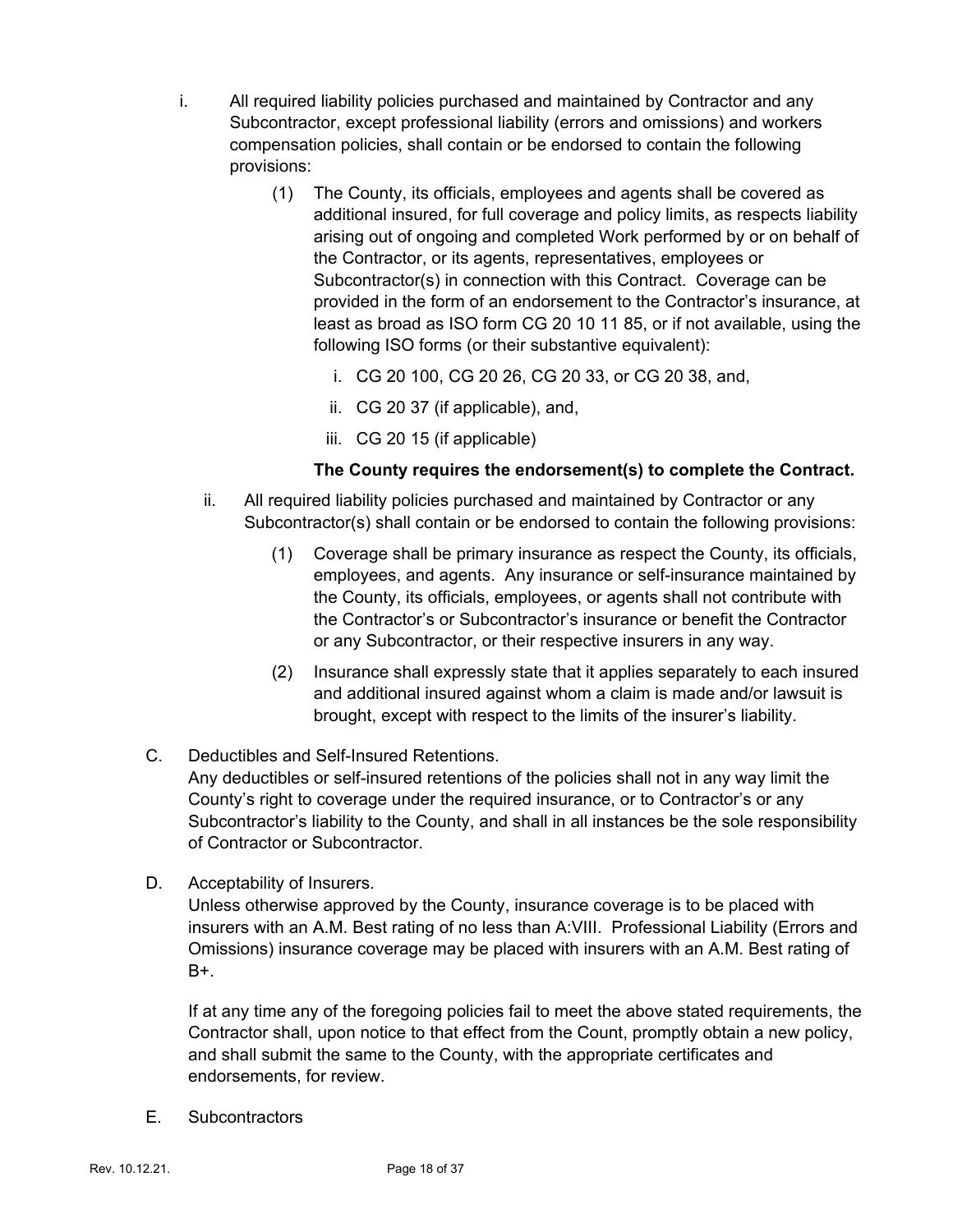- i. All required liability policies purchased and maintained by Contractor and any Subcontractor, except professional liability (errors and omissions) and workers compensation policies, shall contain or be endorsed to contain the following provisions:
	- (1) The County, its officials, employees and agents shall be covered as additional insured, for full coverage and policy limits, as respects liability arising out of ongoing and completed Work performed by or on behalf of the Contractor, or its agents, representatives, employees or Subcontractor(s) in connection with this Contract. Coverage can be provided in the form of an endorsement to the Contractor's insurance, at least as broad as ISO form CG 20 10 11 85, or if not available, using the following ISO forms (or their substantive equivalent):
		- i. CG 20 100, CG 20 26, CG 20 33, or CG 20 38, and,
		- ii. CG 20 37 (if applicable), and,
		- iii. CG 20 15 (if applicable)

### **The County requires the endorsement(s) to complete the Contract.**

- ii. All required liability policies purchased and maintained by Contractor or any Subcontractor(s) shall contain or be endorsed to contain the following provisions:
	- (1) Coverage shall be primary insurance as respect the County, its officials, employees, and agents. Any insurance or self-insurance maintained by the County, its officials, employees, or agents shall not contribute with the Contractor's or Subcontractor's insurance or benefit the Contractor or any Subcontractor, or their respective insurers in any way.
	- (2) Insurance shall expressly state that it applies separately to each insured and additional insured against whom a claim is made and/or lawsuit is brought, except with respect to the limits of the insurer's liability.
- C. Deductibles and Self-Insured Retentions.

Any deductibles or self-insured retentions of the policies shall not in any way limit the County's right to coverage under the required insurance, or to Contractor's or any Subcontractor's liability to the County, and shall in all instances be the sole responsibility of Contractor or Subcontractor.

D. Acceptability of Insurers.

Unless otherwise approved by the County, insurance coverage is to be placed with insurers with an A.M. Best rating of no less than A:VIII. Professional Liability (Errors and Omissions) insurance coverage may be placed with insurers with an A.M. Best rating of  $B+$ .

If at any time any of the foregoing policies fail to meet the above stated requirements, the Contractor shall, upon notice to that effect from the Count, promptly obtain a new policy, and shall submit the same to the County, with the appropriate certificates and endorsements, for review.

E. Subcontractors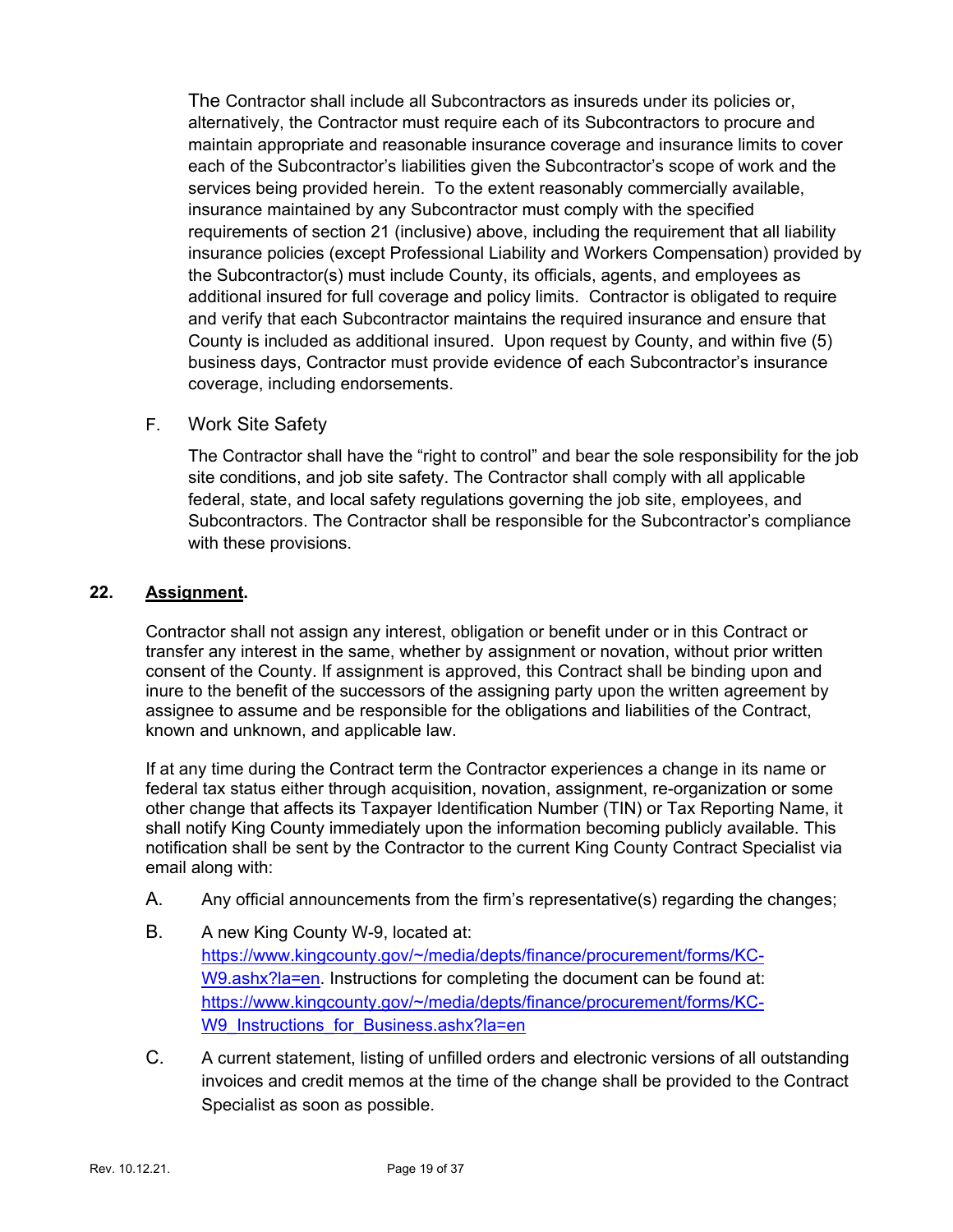The Contractor shall include all Subcontractors as insureds under its policies or, alternatively, the Contractor must require each of its Subcontractors to procure and maintain appropriate and reasonable insurance coverage and insurance limits to cover each of the Subcontractor's liabilities given the Subcontractor's scope of work and the services being provided herein. To the extent reasonably commercially available, insurance maintained by any Subcontractor must comply with the specified requirements of section 21 (inclusive) above, including the requirement that all liability insurance policies (except Professional Liability and Workers Compensation) provided by the Subcontractor(s) must include County, its officials, agents, and employees as additional insured for full coverage and policy limits. Contractor is obligated to require and verify that each Subcontractor maintains the required insurance and ensure that County is included as additional insured. Upon request by County, and within five (5) business days, Contractor must provide evidence of each Subcontractor's insurance coverage, including endorsements.

### F. Work Site Safety

The Contractor shall have the "right to control" and bear the sole responsibility for the job site conditions, and job site safety. The Contractor shall comply with all applicable federal, state, and local safety regulations governing the job site, employees, and Subcontractors. The Contractor shall be responsible for the Subcontractor's compliance with these provisions.

### **22. Assignment.**

Contractor shall not assign any interest, obligation or benefit under or in this Contract or transfer any interest in the same, whether by assignment or novation, without prior written consent of the County. If assignment is approved, this Contract shall be binding upon and inure to the benefit of the successors of the assigning party upon the written agreement by assignee to assume and be responsible for the obligations and liabilities of the Contract, known and unknown, and applicable law.

If at any time during the Contract term the Contractor experiences a change in its name or federal tax status either through acquisition, novation, assignment, re-organization or some other change that affects its Taxpayer Identification Number (TIN) or Tax Reporting Name, it shall notify King County immediately upon the information becoming publicly available. This notification shall be sent by the Contractor to the current King County Contract Specialist via email along with:

- A. Any official announcements from the firm's representative(s) regarding the changes;
- B. A new King County W-9, located at: [https://www.kingcounty.gov/~/media/depts/finance/procurement/forms/KC-](https://www.kingcounty.gov/%7E/media/depts/finance/procurement/forms/KC-W9.ashx?la=en)[W9.ashx?la=en.](https://www.kingcounty.gov/%7E/media/depts/finance/procurement/forms/KC-W9.ashx?la=en) Instructions for completing the document can be found at: [https://www.kingcounty.gov/~/media/depts/finance/procurement/forms/KC-](https://www.kingcounty.gov/%7E/media/depts/finance/procurement/forms/KC-W9_Instructions_for_Business.ashx?la=en)[W9\\_Instructions\\_for\\_Business.ashx?la=en](https://www.kingcounty.gov/%7E/media/depts/finance/procurement/forms/KC-W9_Instructions_for_Business.ashx?la=en)
- C. A current statement, listing of unfilled orders and electronic versions of all outstanding invoices and credit memos at the time of the change shall be provided to the Contract Specialist as soon as possible.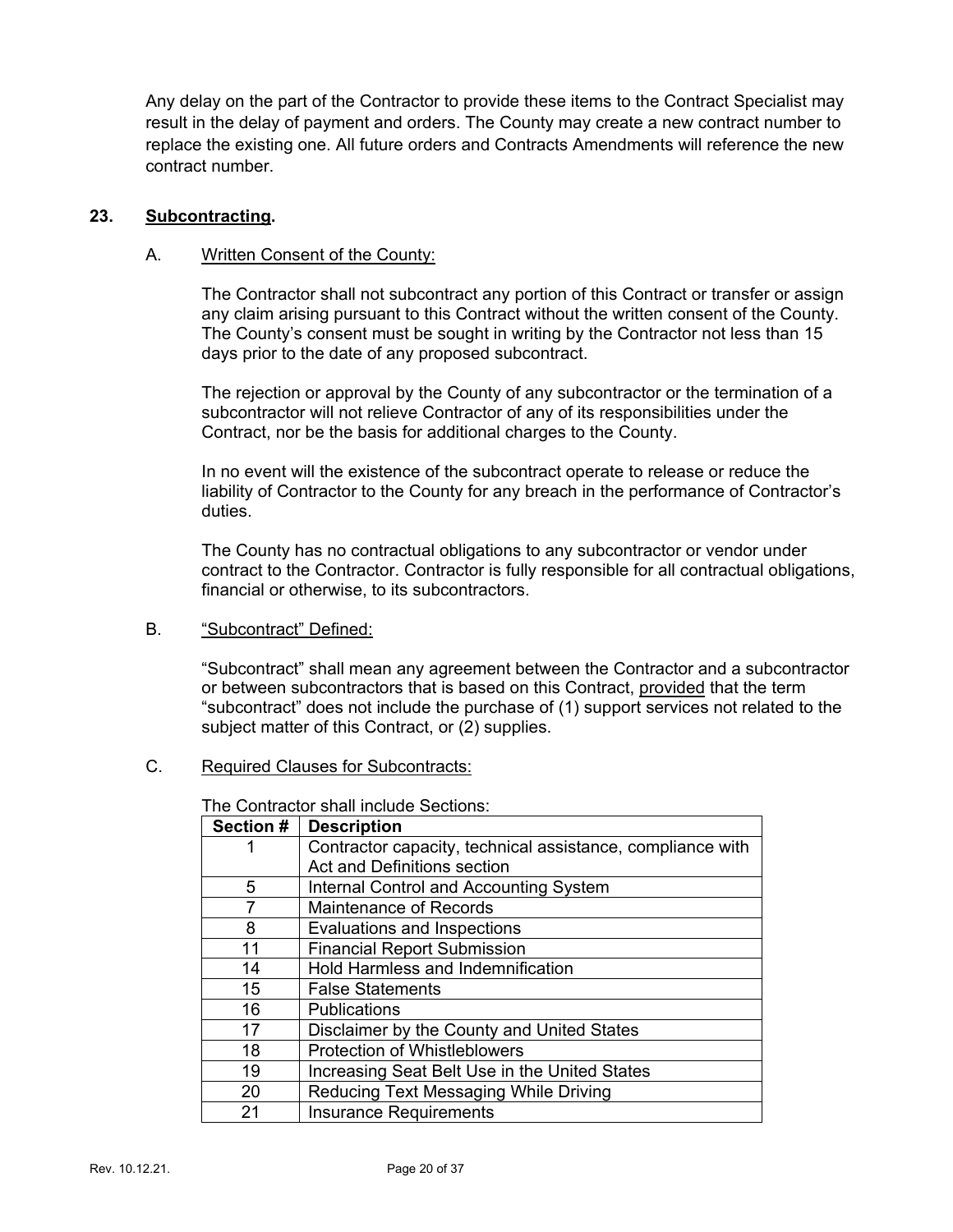Any delay on the part of the Contractor to provide these items to the Contract Specialist may result in the delay of payment and orders. The County may create a new contract number to replace the existing one. All future orders and Contracts Amendments will reference the new contract number.

### **23. Subcontracting.**

### A. Written Consent of the County:

The Contractor shall not subcontract any portion of this Contract or transfer or assign any claim arising pursuant to this Contract without the written consent of the County. The County's consent must be sought in writing by the Contractor not less than 15 days prior to the date of any proposed subcontract.

The rejection or approval by the County of any subcontractor or the termination of a subcontractor will not relieve Contractor of any of its responsibilities under the Contract, nor be the basis for additional charges to the County.

In no event will the existence of the subcontract operate to release or reduce the liability of Contractor to the County for any breach in the performance of Contractor's duties.

The County has no contractual obligations to any subcontractor or vendor under contract to the Contractor. Contractor is fully responsible for all contractual obligations, financial or otherwise, to its subcontractors.

### B. "Subcontract" Defined:

"Subcontract" shall mean any agreement between the Contractor and a subcontractor or between subcontractors that is based on this Contract, provided that the term "subcontract" does not include the purchase of (1) support services not related to the subject matter of this Contract, or (2) supplies.

### C. Required Clauses for Subcontracts:

The Contractor shall include Sections:

| <b>Section #</b> | <b>Description</b>                                         |
|------------------|------------------------------------------------------------|
|                  | Contractor capacity, technical assistance, compliance with |
|                  | Act and Definitions section                                |
| 5                | Internal Control and Accounting System                     |
| 7                | <b>Maintenance of Records</b>                              |
| 8                | Evaluations and Inspections                                |
| 11               | <b>Financial Report Submission</b>                         |
| 14               | <b>Hold Harmless and Indemnification</b>                   |
| 15               | <b>False Statements</b>                                    |
| 16               | <b>Publications</b>                                        |
| 17               | Disclaimer by the County and United States                 |
| 18               | <b>Protection of Whistleblowers</b>                        |
| 19               | Increasing Seat Belt Use in the United States              |
| 20               | Reducing Text Messaging While Driving                      |
| 21               | <b>Insurance Requirements</b>                              |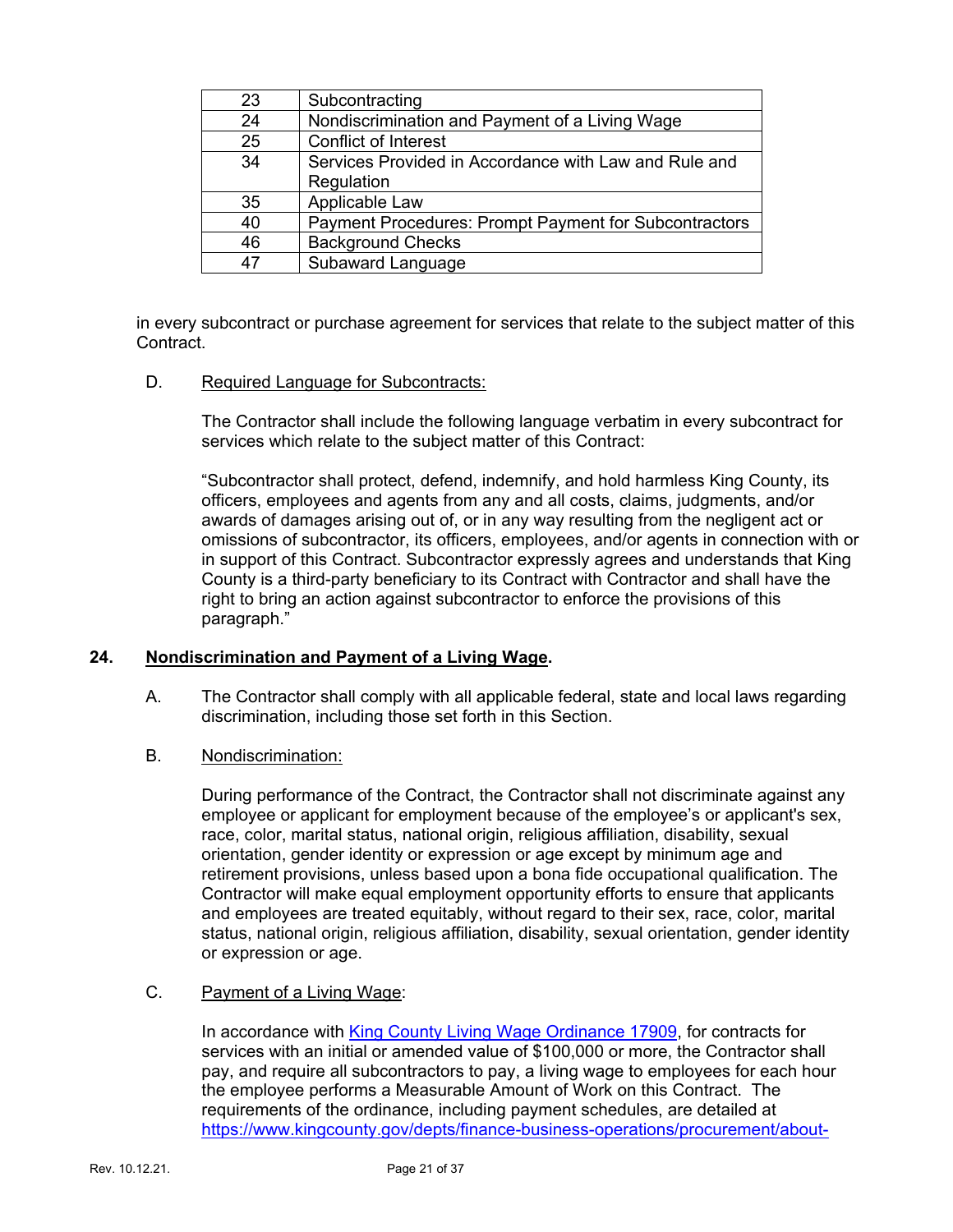| 23 | Subcontracting                                        |
|----|-------------------------------------------------------|
| 24 | Nondiscrimination and Payment of a Living Wage        |
| 25 | <b>Conflict of Interest</b>                           |
| 34 | Services Provided in Accordance with Law and Rule and |
|    | Regulation                                            |
| 35 | Applicable Law                                        |
| 40 | Payment Procedures: Prompt Payment for Subcontractors |
| 46 | <b>Background Checks</b>                              |
| 47 | Subaward Language                                     |

in every subcontract or purchase agreement for services that relate to the subject matter of this Contract.

D. Required Language for Subcontracts:

The Contractor shall include the following language verbatim in every subcontract for services which relate to the subject matter of this Contract:

"Subcontractor shall protect, defend, indemnify, and hold harmless King County, its officers, employees and agents from any and all costs, claims, judgments, and/or awards of damages arising out of, or in any way resulting from the negligent act or omissions of subcontractor, its officers, employees, and/or agents in connection with or in support of this Contract. Subcontractor expressly agrees and understands that King County is a third-party beneficiary to its Contract with Contractor and shall have the right to bring an action against subcontractor to enforce the provisions of this paragraph."

### **24. Nondiscrimination and Payment of a Living Wage.**

- A. The Contractor shall comply with all applicable federal, state and local laws regarding discrimination, including those set forth in this Section.
- B. Nondiscrimination:

During performance of the Contract, the Contractor shall not discriminate against any employee or applicant for employment because of the employee's or applicant's sex, race, color, marital status, national origin, religious affiliation, disability, sexual orientation, gender identity or expression or age except by minimum age and retirement provisions, unless based upon a bona fide occupational qualification. The Contractor will make equal employment opportunity efforts to ensure that applicants and employees are treated equitably, without regard to their sex, race, color, marital status, national origin, religious affiliation, disability, sexual orientation, gender identity or expression or age.

### C. Payment of a Living Wage:

In accordance with [King County Living Wage Ordinance 17909,](https://www.kingcounty.gov/%7E/media/depts/finance/procurement/Documents/17909.ashx?la=en) for contracts for services with an initial or amended value of \$100,000 or more, the Contractor shall pay, and require all subcontractors to pay, a living wage to employees for each hour the employee performs a Measurable Amount of Work on this Contract. The requirements of the ordinance, including payment schedules, are detailed at [https://www.kingcounty.gov/depts/finance-business-operations/procurement/about-](https://www.kingcounty.gov/depts/finance-business-operations/procurement/about-us/Living-Wage.aspx)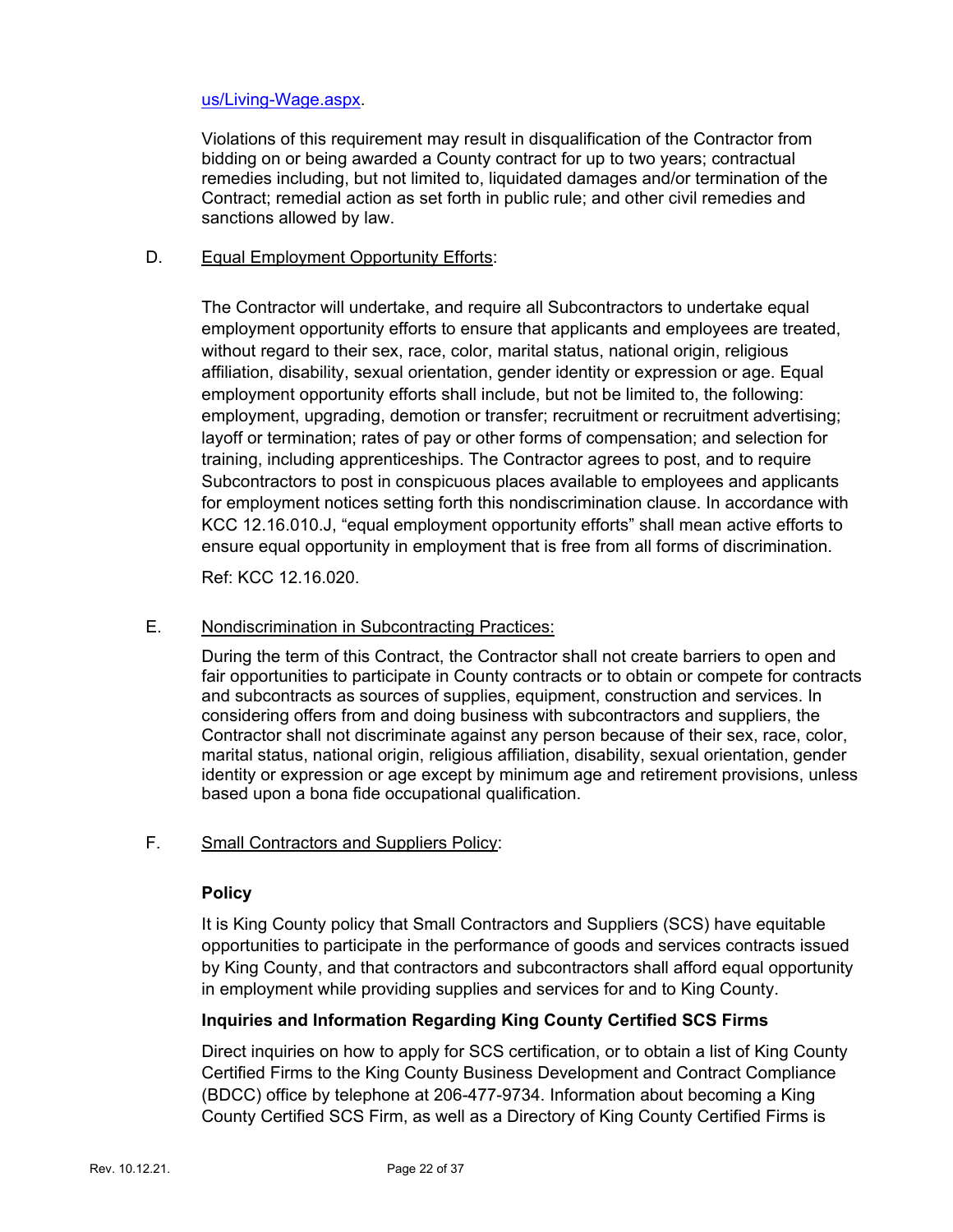### [us/Living-Wage.aspx.](https://www.kingcounty.gov/depts/finance-business-operations/procurement/about-us/Living-Wage.aspx)

Violations of this requirement may result in disqualification of the Contractor from bidding on or being awarded a County contract for up to two years; contractual remedies including, but not limited to, liquidated damages and/or termination of the Contract; remedial action as set forth in public rule; and other civil remedies and sanctions allowed by law.

### D. Equal Employment Opportunity Efforts:

The Contractor will undertake, and require all Subcontractors to undertake equal employment opportunity efforts to ensure that applicants and employees are treated, without regard to their sex, race, color, marital status, national origin, religious affiliation, disability, sexual orientation, gender identity or expression or age. Equal employment opportunity efforts shall include, but not be limited to, the following: employment, upgrading, demotion or transfer; recruitment or recruitment advertising; layoff or termination; rates of pay or other forms of compensation; and selection for training, including apprenticeships. The Contractor agrees to post, and to require Subcontractors to post in conspicuous places available to employees and applicants for employment notices setting forth this nondiscrimination clause. In accordance with KCC 12.16.010.J, "equal employment opportunity efforts" shall mean active efforts to ensure equal opportunity in employment that is free from all forms of discrimination.

Ref: KCC 12.16.020.

### E. Nondiscrimination in Subcontracting Practices:

During the term of this Contract, the Contractor shall not create barriers to open and fair opportunities to participate in County contracts or to obtain or compete for contracts and subcontracts as sources of supplies, equipment, construction and services. In considering offers from and doing business with subcontractors and suppliers, the Contractor shall not discriminate against any person because of their sex, race, color, marital status, national origin, religious affiliation, disability, sexual orientation, gender identity or expression or age except by minimum age and retirement provisions, unless based upon a bona fide occupational qualification.

### F. Small Contractors and Suppliers Policy:

### **Policy**

It is King County policy that Small Contractors and Suppliers (SCS) have equitable opportunities to participate in the performance of goods and services contracts issued by King County, and that contractors and subcontractors shall afford equal opportunity in employment while providing supplies and services for and to King County.

### **Inquiries and Information Regarding King County Certified SCS Firms**

Direct inquiries on how to apply for SCS certification, or to obtain a list of King County Certified Firms to the King County Business Development and Contract Compliance (BDCC) office by telephone at 206-477-9734. Information about becoming a King County Certified SCS Firm, as well as a Directory of King County Certified Firms is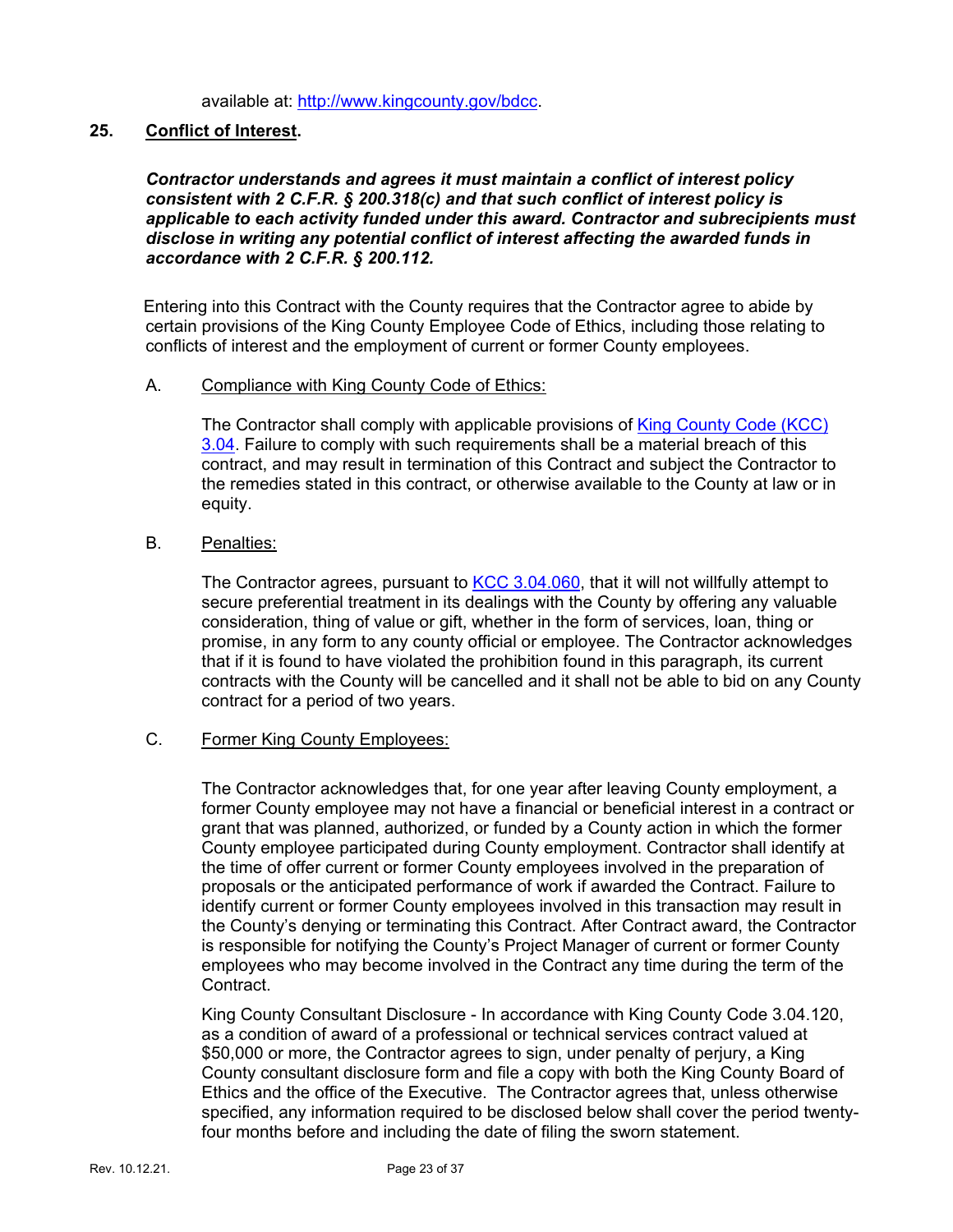available at: [http://www.kingcounty.gov/bdcc.](http://www.kingcounty.gov/bdcc)

### **25. Conflict of Interest.**

*Contractor understands and agrees it must maintain a conflict of interest policy consistent with 2 C.F.R. § 200.318(c) and that such conflict of interest policy is applicable to each activity funded under this award. Contractor and subrecipients must disclose in writing any potential conflict of interest affecting the awarded funds in accordance with 2 C.F.R. § 200.112.*

Entering into this Contract with the County requires that the Contractor agree to abide by certain provisions of the King County Employee Code of Ethics, including those relating to conflicts of interest and the employment of current or former County employees.

### A. Compliance with King County Code of Ethics:

The Contractor shall comply with applicable provisions of [King County Code](https://www.kingcounty.gov/%7E/media/independent/ombuds/KCC3-04.ashx?la=en) (KCC) [3.04.](https://www.kingcounty.gov/%7E/media/independent/ombuds/KCC3-04.ashx?la=en) Failure to comply with such requirements shall be a material breach of this contract, and may result in termination of this Contract and subject the Contractor to the remedies stated in this contract, or otherwise available to the County at law or in equity.

### B. Penalties:

The Contractor agrees, pursuant to [KCC 3.04.060,](https://www.kingcounty.gov/%7E/media/independent/ombuds/KCC3-04.ashx?la=en) that it will not willfully attempt to secure preferential treatment in its dealings with the County by offering any valuable consideration, thing of value or gift, whether in the form of services, loan, thing or promise, in any form to any county official or employee. The Contractor acknowledges that if it is found to have violated the prohibition found in this paragraph, its current contracts with the County will be cancelled and it shall not be able to bid on any County contract for a period of two years.

### C. Former King County Employees:

The Contractor acknowledges that, for one year after leaving County employment, a former County employee may not have a financial or beneficial interest in a contract or grant that was planned, authorized, or funded by a County action in which the former County employee participated during County employment. Contractor shall identify at the time of offer current or former County employees involved in the preparation of proposals or the anticipated performance of work if awarded the Contract. Failure to identify current or former County employees involved in this transaction may result in the County's denying or terminating this Contract. After Contract award, the Contractor is responsible for notifying the County's Project Manager of current or former County employees who may become involved in the Contract any time during the term of the Contract.

King County Consultant Disclosure - In accordance with King County Code 3.04.120, as a condition of award of a professional or technical services contract valued at \$50,000 or more, the Contractor agrees to sign, under penalty of perjury, a King County consultant disclosure form and file a copy with both the King County Board of Ethics and the office of the Executive. The Contractor agrees that, unless otherwise specified, any information required to be disclosed below shall cover the period twentyfour months before and including the date of filing the sworn statement.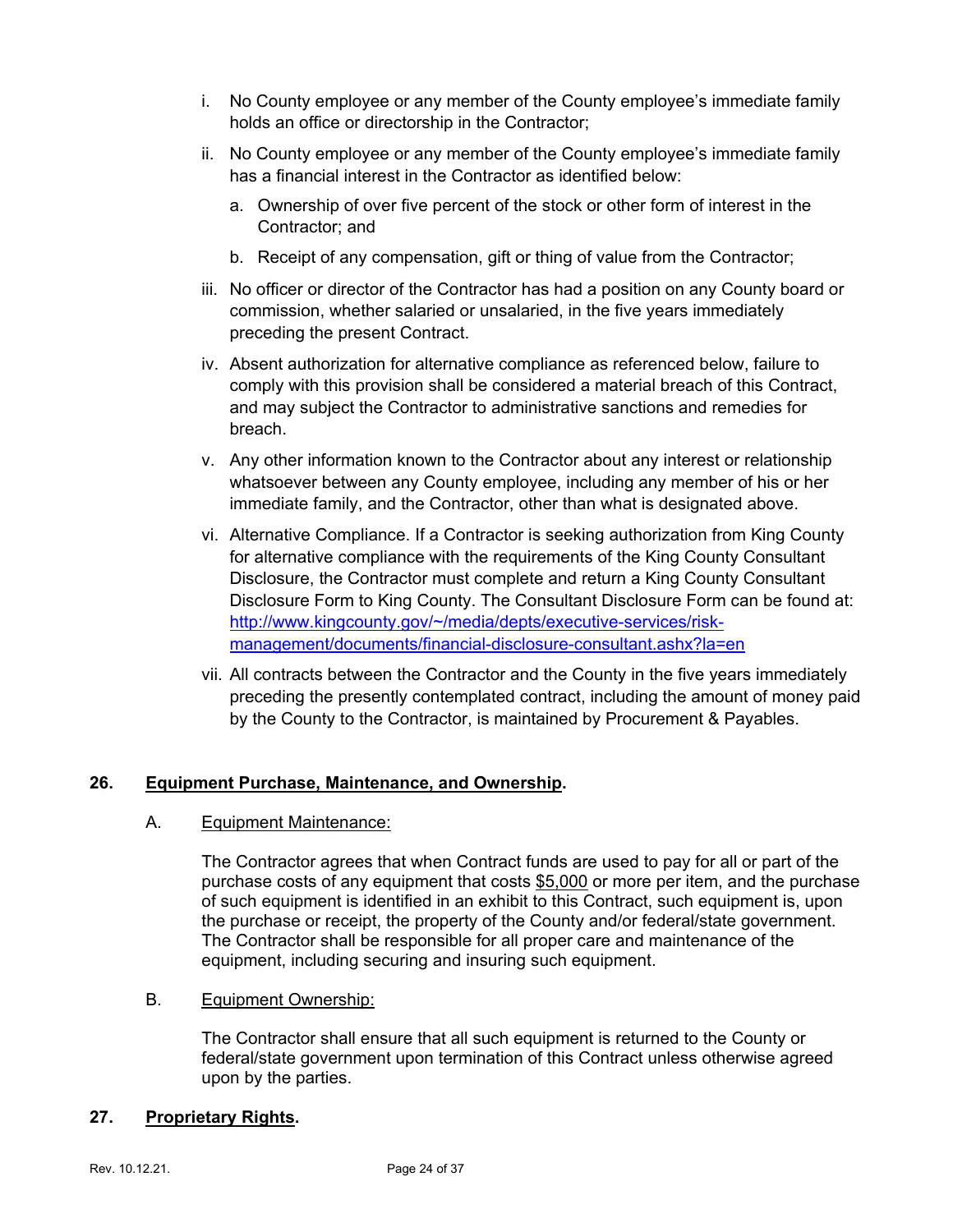- i. No County employee or any member of the County employee's immediate family holds an office or directorship in the Contractor;
- ii. No County employee or any member of the County employee's immediate family has a financial interest in the Contractor as identified below:
	- a. Ownership of over five percent of the stock or other form of interest in the Contractor; and
	- b. Receipt of any compensation, gift or thing of value from the Contractor;
- iii. No officer or director of the Contractor has had a position on any County board or commission, whether salaried or unsalaried, in the five years immediately preceding the present Contract.
- iv. Absent authorization for alternative compliance as referenced below, failure to comply with this provision shall be considered a material breach of this Contract, and may subject the Contractor to administrative sanctions and remedies for breach.
- v. Any other information known to the Contractor about any interest or relationship whatsoever between any County employee, including any member of his or her immediate family, and the Contractor, other than what is designated above.
- vi. Alternative Compliance. If a Contractor is seeking authorization from King County for alternative compliance with the requirements of the King County Consultant Disclosure, the Contractor must complete and return a King County Consultant Disclosure Form to King County. The Consultant Disclosure Form can be found at: [http://www.kingcounty.gov/~/media/depts/executive-services/risk](http://www.kingcounty.gov/%7E/media/depts/executive-services/risk-management/documents/financial-disclosure-consultant.ashx?la=en)[management/documents/financial-disclosure-consultant.ashx?la=en](http://www.kingcounty.gov/%7E/media/depts/executive-services/risk-management/documents/financial-disclosure-consultant.ashx?la=en)
- vii. All contracts between the Contractor and the County in the five years immediately preceding the presently contemplated contract, including the amount of money paid by the County to the Contractor, is maintained by Procurement & Payables.

### **26. Equipment Purchase, Maintenance, and Ownership.**

### A. Equipment Maintenance:

The Contractor agrees that when Contract funds are used to pay for all or part of the purchase costs of any equipment that costs \$5,000 or more per item, and the purchase of such equipment is identified in an exhibit to this Contract, such equipment is, upon the purchase or receipt, the property of the County and/or federal/state government. The Contractor shall be responsible for all proper care and maintenance of the equipment, including securing and insuring such equipment.

### B. Equipment Ownership:

The Contractor shall ensure that all such equipment is returned to the County or federal/state government upon termination of this Contract unless otherwise agreed upon by the parties.

### **27. Proprietary Rights.**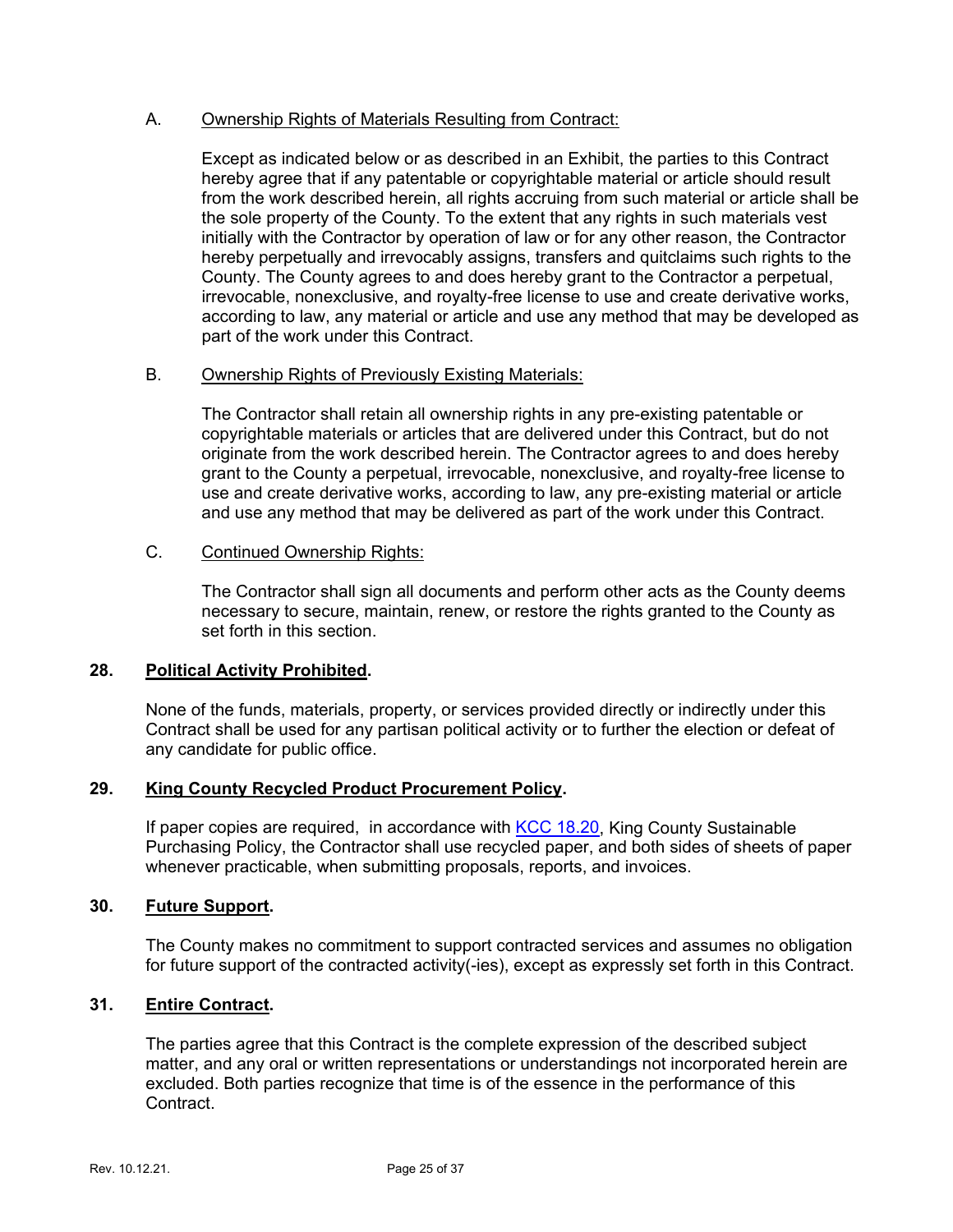### A. Ownership Rights of Materials Resulting from Contract:

Except as indicated below or as described in an Exhibit, the parties to this Contract hereby agree that if any patentable or copyrightable material or article should result from the work described herein, all rights accruing from such material or article shall be the sole property of the County. To the extent that any rights in such materials vest initially with the Contractor by operation of law or for any other reason, the Contractor hereby perpetually and irrevocably assigns, transfers and quitclaims such rights to the County. The County agrees to and does hereby grant to the Contractor a perpetual, irrevocable, nonexclusive, and royalty-free license to use and create derivative works, according to law, any material or article and use any method that may be developed as part of the work under this Contract.

### B. Ownership Rights of Previously Existing Materials:

The Contractor shall retain all ownership rights in any pre-existing patentable or copyrightable materials or articles that are delivered under this Contract, but do not originate from the work described herein. The Contractor agrees to and does hereby grant to the County a perpetual, irrevocable, nonexclusive, and royalty-free license to use and create derivative works, according to law, any pre-existing material or article and use any method that may be delivered as part of the work under this Contract.

### C. Continued Ownership Rights:

The Contractor shall sign all documents and perform other acts as the County deems necessary to secure, maintain, renew, or restore the rights granted to the County as set forth in this section.

### **28. Political Activity Prohibited.**

None of the funds, materials, property, or services provided directly or indirectly under this Contract shall be used for any partisan political activity or to further the election or defeat of any candidate for public office.

### **29. King County Recycled Product Procurement Policy.**

If paper copies are required, in accordance with [KCC 18.20,](https://kingcounty.gov/council/legislation/kc_code/21_Title_18.aspx) King County Sustainable Purchasing Policy, the Contractor shall use recycled paper, and both sides of sheets of paper whenever practicable, when submitting proposals, reports, and invoices.

### **30. Future Support.**

The County makes no commitment to support contracted services and assumes no obligation for future support of the contracted activity(-ies), except as expressly set forth in this Contract.

### **31. Entire Contract.**

The parties agree that this Contract is the complete expression of the described subject matter, and any oral or written representations or understandings not incorporated herein are excluded. Both parties recognize that time is of the essence in the performance of this Contract.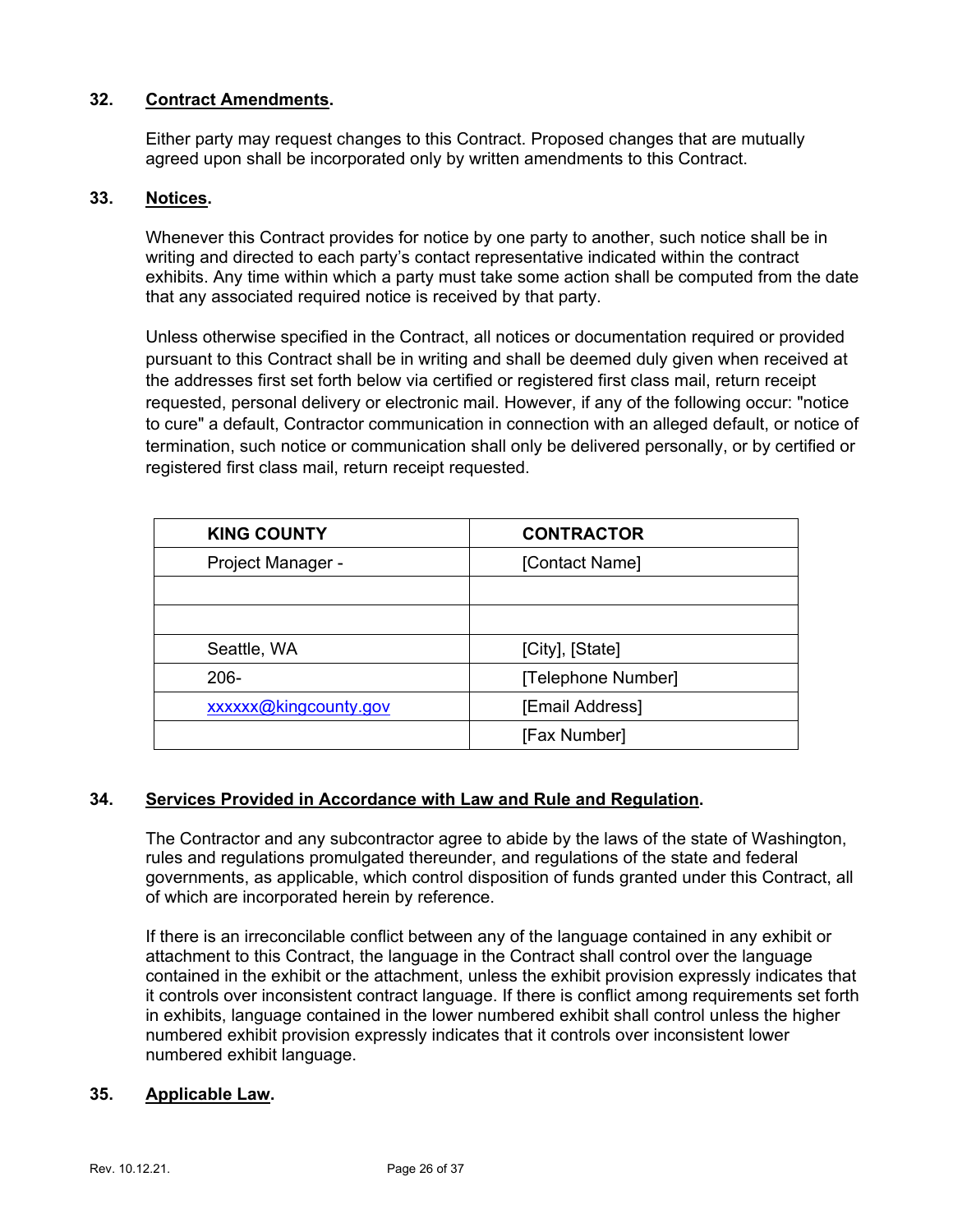### **32. Contract Amendments.**

Either party may request changes to this Contract. Proposed changes that are mutually agreed upon shall be incorporated only by written amendments to this Contract.

### **33. Notices.**

Whenever this Contract provides for notice by one party to another, such notice shall be in writing and directed to each party's contact representative indicated within the contract exhibits. Any time within which a party must take some action shall be computed from the date that any associated required notice is received by that party.

Unless otherwise specified in the Contract, all notices or documentation required or provided pursuant to this Contract shall be in writing and shall be deemed duly given when received at the addresses first set forth below via certified or registered first class mail, return receipt requested, personal delivery or electronic mail. However, if any of the following occur: "notice to cure" a default, Contractor communication in connection with an alleged default, or notice of termination, such notice or communication shall only be delivered personally, or by certified or registered first class mail, return receipt requested.

| <b>KING COUNTY</b>    | <b>CONTRACTOR</b>  |
|-----------------------|--------------------|
| Project Manager -     | [Contact Name]     |
|                       |                    |
|                       |                    |
| Seattle, WA           | [City], [State]    |
| $206 -$               | [Telephone Number] |
| xxxxxx@kingcounty.gov | [Email Address]    |
|                       | [Fax Number]       |

### **34. Services Provided in Accordance with Law and Rule and Regulation.**

The Contractor and any subcontractor agree to abide by the laws of the state of Washington, rules and regulations promulgated thereunder, and regulations of the state and federal governments, as applicable, which control disposition of funds granted under this Contract, all of which are incorporated herein by reference.

If there is an irreconcilable conflict between any of the language contained in any exhibit or attachment to this Contract, the language in the Contract shall control over the language contained in the exhibit or the attachment, unless the exhibit provision expressly indicates that it controls over inconsistent contract language. If there is conflict among requirements set forth in exhibits, language contained in the lower numbered exhibit shall control unless the higher numbered exhibit provision expressly indicates that it controls over inconsistent lower numbered exhibit language.

### **35. Applicable Law.**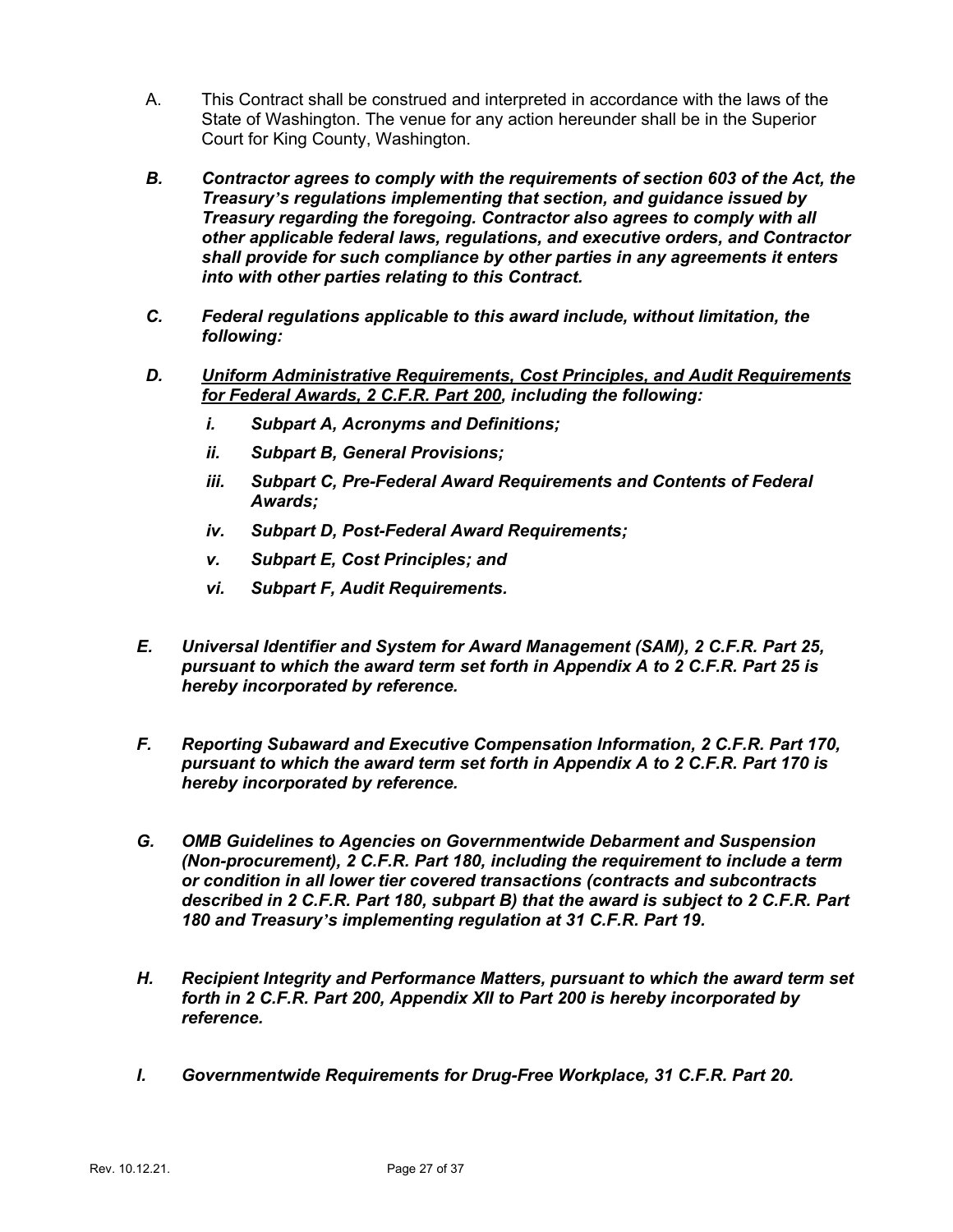- A. This Contract shall be construed and interpreted in accordance with the laws of the State of Washington. The venue for any action hereunder shall be in the Superior Court for King County, Washington.
- *B. Contractor agrees to comply with the requirements of section 603 of the Act, the Treasury's regulations implementing that section, and guidance issued by Treasury regarding the foregoing. Contractor also agrees to comply with all other applicable federal laws, regulations, and executive orders, and Contractor shall provide for such compliance by other parties in any agreements it enters into with other parties relating to this Contract.*
- *C. Federal regulations applicable to this award include, without limitation, the following:*
- *D. Uniform Administrative Requirements, Cost Principles, and Audit Requirements for Federal Awards, 2 C.F.R. Part 200, including the following:*
	- *i. Subpart A, Acronyms and Definitions;*
	- *ii. Subpart B, General Provisions;*
	- iii. Subpart C, Pre-Federal Award Requirements and Contents of Federal *Awards;*
	- *iv. Subpart D, Post-Federal Award Requirements;*
	- *v. Subpart E, Cost Principles; and*
	- *vi. Subpart F, Audit Requirements.*
- *E. Universal Identifier and System for Award Management (SAM), 2 C.F.R. Part 25, pursuant to which the award term set forth in Appendix A to 2 C.F.R. Part 25 is hereby incorporated by reference.*
- *F. Reporting Subaward and Executive Compensation Information, 2 C.F.R. Part 170, pursuant to which the award term set forth in Appendix A to 2 C.F.R. Part 170 is hereby incorporated by reference.*
- *G. OMB Guidelines to Agencies on Governmentwide Debarment and Suspension (Non-procurement), 2 C.F.R. Part 180, including the requirement to include a term or condition in all lower tier covered transactions (contracts and subcontracts described in 2 C.F.R. Part 180, subpart B) that the award is subject to 2 C.F.R. Part 180 and Treasury's implementing regulation at 31 C.F.R. Part 19.*
- *H. Recipient Integrity and Performance Matters, pursuant to which the award term set forth in 2 C.F.R. Part 200, Appendix XII to Part 200 is hereby incorporated by reference.*
- *I. Governmentwide Requirements for Drug-Free Workplace, 31 C.F.R. Part 20.*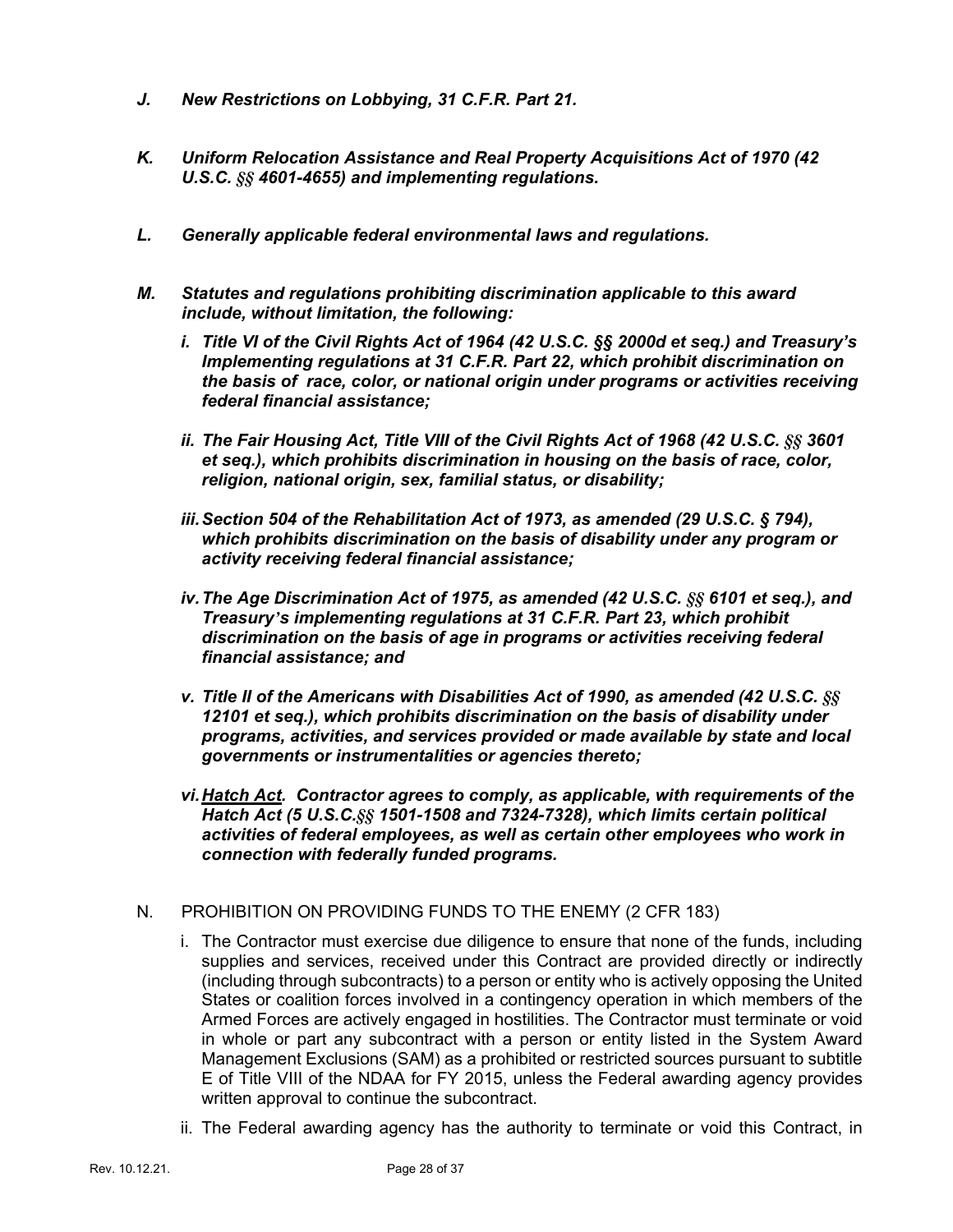- *J. New Restrictions on Lobbying, 31 C.F.R. Part 21.*
- *K. Uniform Relocation Assistance and Real Property Acquisitions Act of 1970 (42 U.S.C. §§ 4601-4655) and implementing regulations.*
- *L. Generally applicable federal environmental laws and regulations.*
- *M. Statutes and regulations prohibiting discrimination applicable to this award include, without limitation, the following:*
	- *i. Title VI of the Civil Rights Act of 1964 (42 U.S.C. §§ 2000d et seq.) and Treasury's Implementing regulations at 31 C.F.R. Part 22, which prohibit discrimination on the basis of race, color, or national origin under programs or activities receiving federal financial assistance;*
	- *ii. The Fair Housing Act, Title VIII of the Civil Rights Act of 1968 (42 U.S.C. §§ 3601 et seq.), which prohibits discrimination in housing on the basis of race, color, religion, national origin, sex, familial status, or disability;*
	- *iii.Section 504 of the Rehabilitation Act of 1973, as amended (29 U.S.C. § 794), which prohibits discrimination on the basis of disability under any program or activity receiving federal financial assistance;*
	- *iv.The Age Discrimination Act of 1975, as amended (42 U.S.C. §§ 6101 et seq.), and Treasury's implementing regulations at 31 C.F.R. Part 23, which prohibit discrimination on the basis of age in programs or activities receiving federal financial assistance; and*
	- *v. Title II of the Americans with Disabilities Act of 1990, as amended (42 U.S.C. §§ 12101 et seq.), which prohibits discrimination on the basis of disability under programs, activities, and services provided or made available by state and local governments or instrumentalities or agencies thereto;*
	- *vi.Hatch Act. Contractor agrees to comply, as applicable, with requirements of the Hatch Act (5 U.S.C.§§ 1501-1508 and 7324-7328), which limits certain political activities of federal employees, as well as certain other employees who work in connection with federally funded programs.*
- N. PROHIBITION ON PROVIDING FUNDS TO THE ENEMY (2 CFR 183)
	- i. The Contractor must exercise due diligence to ensure that none of the funds, including supplies and services, received under this Contract are provided directly or indirectly (including through subcontracts) to a person or entity who is actively opposing the United States or coalition forces involved in a contingency operation in which members of the Armed Forces are actively engaged in hostilities. The Contractor must terminate or void in whole or part any subcontract with a person or entity listed in the System Award Management Exclusions (SAM) as a prohibited or restricted sources pursuant to subtitle E of Title VIII of the NDAA for FY 2015, unless the Federal awarding agency provides written approval to continue the subcontract.
	- ii. The Federal awarding agency has the authority to terminate or void this Contract, in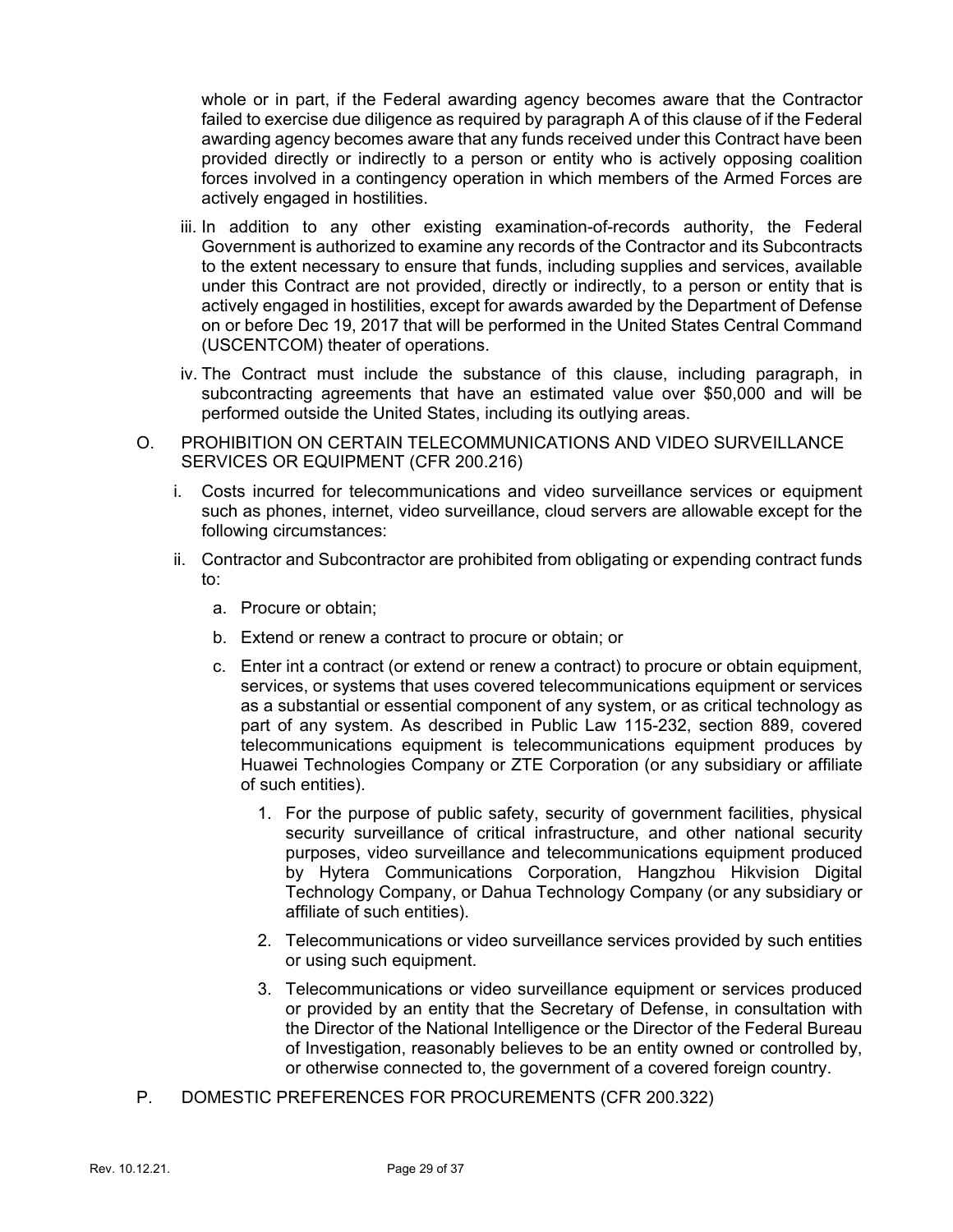whole or in part, if the Federal awarding agency becomes aware that the Contractor failed to exercise due diligence as required by paragraph A of this clause of if the Federal awarding agency becomes aware that any funds received under this Contract have been provided directly or indirectly to a person or entity who is actively opposing coalition forces involved in a contingency operation in which members of the Armed Forces are actively engaged in hostilities.

- iii. In addition to any other existing examination-of-records authority, the Federal Government is authorized to examine any records of the Contractor and its Subcontracts to the extent necessary to ensure that funds, including supplies and services, available under this Contract are not provided, directly or indirectly, to a person or entity that is actively engaged in hostilities, except for awards awarded by the Department of Defense on or before Dec 19, 2017 that will be performed in the United States Central Command (USCENTCOM) theater of operations.
- iv. The Contract must include the substance of this clause, including paragraph, in subcontracting agreements that have an estimated value over \$50,000 and will be performed outside the United States, including its outlying areas.
- O. PROHIBITION ON CERTAIN TELECOMMUNICATIONS AND VIDEO SURVEILLANCE SERVICES OR EQUIPMENT (CFR 200.216)
	- i. Costs incurred for telecommunications and video surveillance services or equipment such as phones, internet, video surveillance, cloud servers are allowable except for the following circumstances:
	- ii. Contractor and Subcontractor are prohibited from obligating or expending contract funds to:
		- a. Procure or obtain;
		- b. Extend or renew a contract to procure or obtain; or
		- c. Enter int a contract (or extend or renew a contract) to procure or obtain equipment, services, or systems that uses covered telecommunications equipment or services as a substantial or essential component of any system, or as critical technology as part of any system. As described in Public Law 115-232, section 889, covered telecommunications equipment is telecommunications equipment produces by Huawei Technologies Company or ZTE Corporation (or any subsidiary or affiliate of such entities).
			- 1. For the purpose of public safety, security of government facilities, physical security surveillance of critical infrastructure, and other national security purposes, video surveillance and telecommunications equipment produced by Hytera Communications Corporation, Hangzhou Hikvision Digital Technology Company, or Dahua Technology Company (or any subsidiary or affiliate of such entities).
			- 2. Telecommunications or video surveillance services provided by such entities or using such equipment.
			- 3. Telecommunications or video surveillance equipment or services produced or provided by an entity that the Secretary of Defense, in consultation with the Director of the National Intelligence or the Director of the Federal Bureau of Investigation, reasonably believes to be an entity owned or controlled by, or otherwise connected to, the government of a covered foreign country.
- P. DOMESTIC PREFERENCES FOR PROCUREMENTS (CFR 200.322)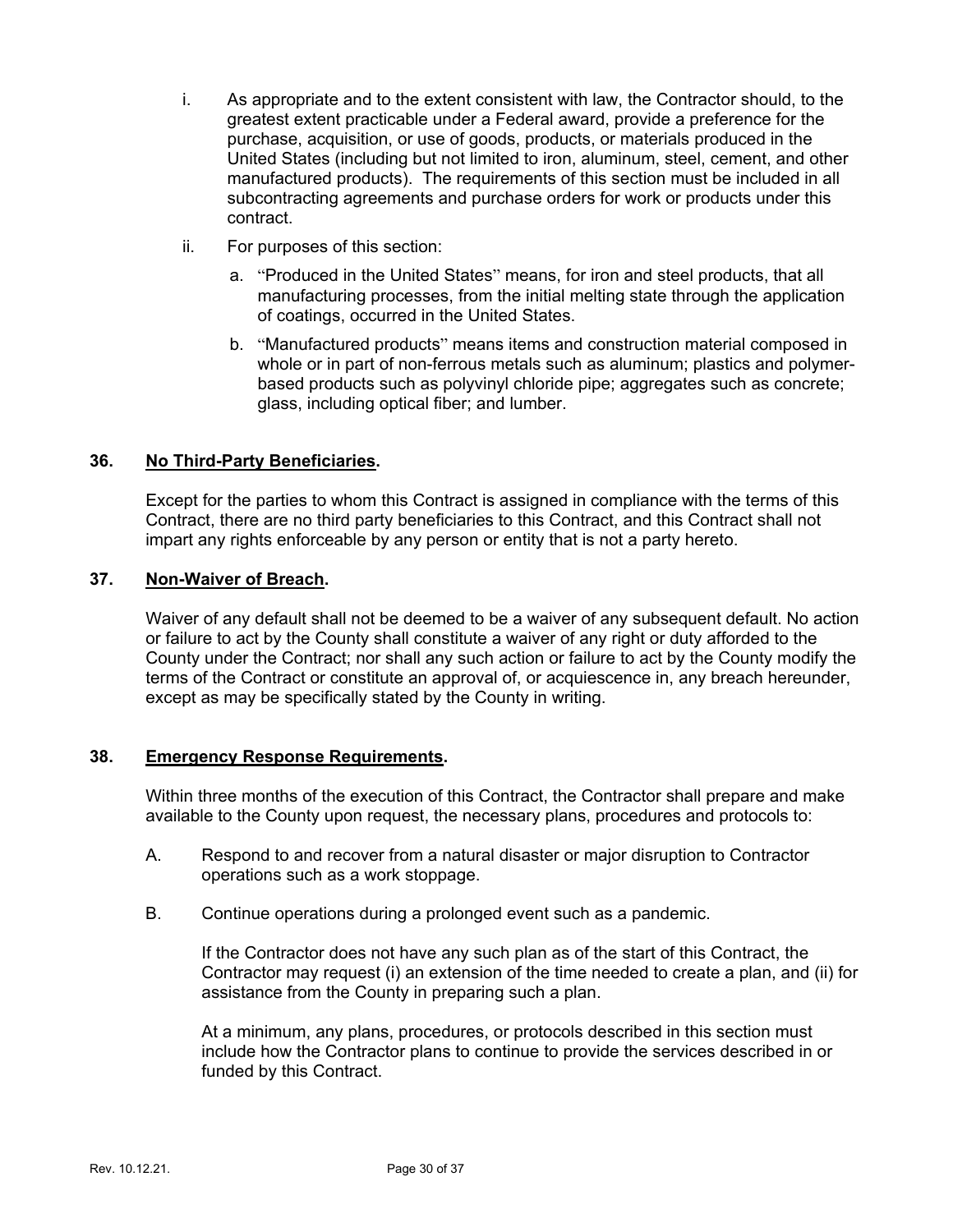- i. As appropriate and to the extent consistent with law, the Contractor should, to the greatest extent practicable under a Federal award, provide a preference for the purchase, acquisition, or use of goods, products, or materials produced in the United States (including but not limited to iron, aluminum, steel, cement, and other manufactured products). The requirements of this section must be included in all subcontracting agreements and purchase orders for work or products under this contract.
- ii. For purposes of this section:
	- a. "Produced in the United States" means, for iron and steel products, that all manufacturing processes, from the initial melting state through the application of coatings, occurred in the United States.
	- b. "Manufactured products" means items and construction material composed in whole or in part of non-ferrous metals such as aluminum; plastics and polymerbased products such as polyvinyl chloride pipe; aggregates such as concrete; glass, including optical fiber; and lumber.

### **36. No Third-Party Beneficiaries.**

Except for the parties to whom this Contract is assigned in compliance with the terms of this Contract, there are no third party beneficiaries to this Contract, and this Contract shall not impart any rights enforceable by any person or entity that is not a party hereto.

### **37. Non-Waiver of Breach.**

Waiver of any default shall not be deemed to be a waiver of any subsequent default. No action or failure to act by the County shall constitute a waiver of any right or duty afforded to the County under the Contract; nor shall any such action or failure to act by the County modify the terms of the Contract or constitute an approval of, or acquiescence in, any breach hereunder, except as may be specifically stated by the County in writing.

### **38. Emergency Response Requirements.**

Within three months of the execution of this Contract, the Contractor shall prepare and make available to the County upon request, the necessary plans, procedures and protocols to:

- A. Respond to and recover from a natural disaster or major disruption to Contractor operations such as a work stoppage.
- B. Continue operations during a prolonged event such as a pandemic.

If the Contractor does not have any such plan as of the start of this Contract, the Contractor may request (i) an extension of the time needed to create a plan, and (ii) for assistance from the County in preparing such a plan.

At a minimum, any plans, procedures, or protocols described in this section must include how the Contractor plans to continue to provide the services described in or funded by this Contract.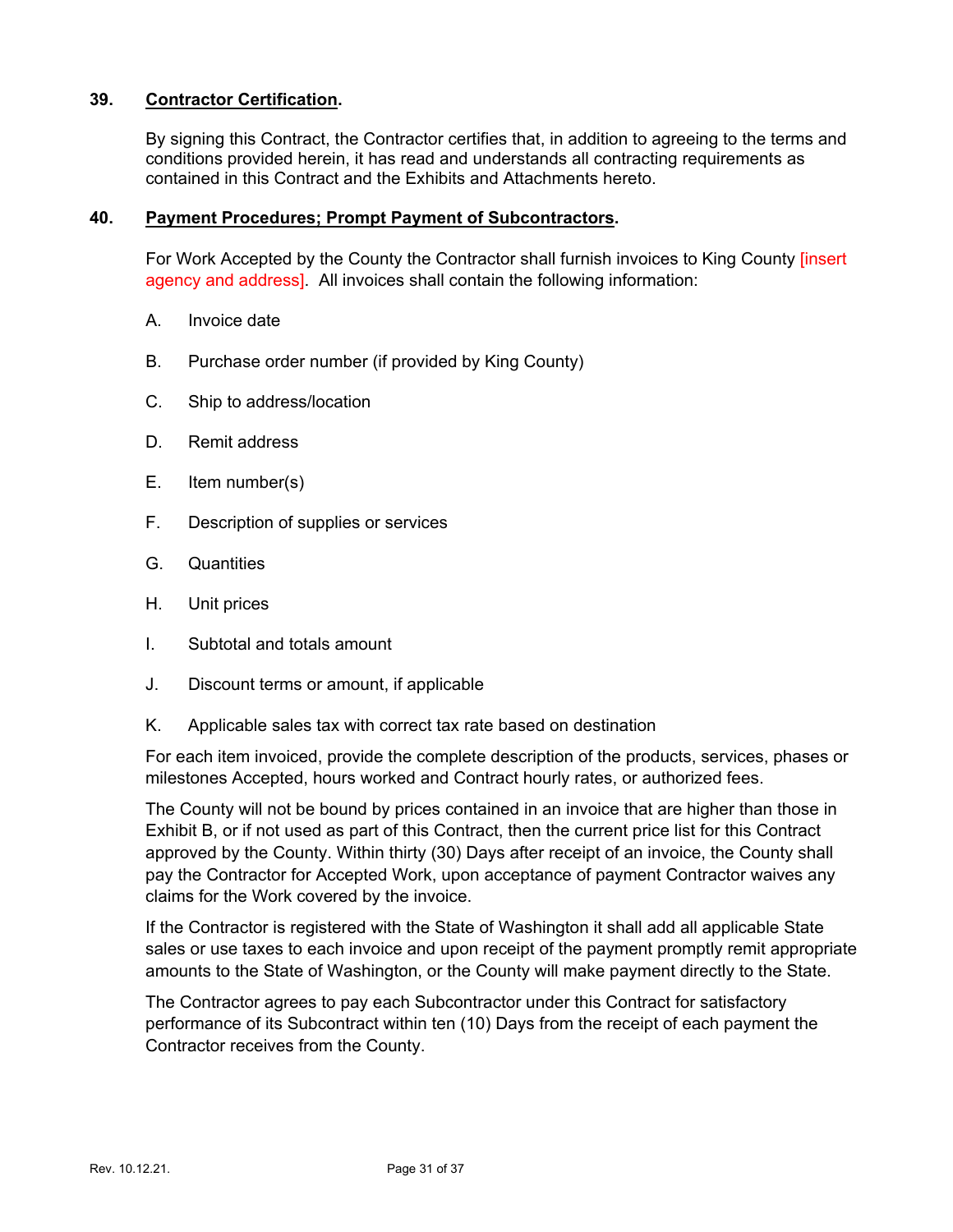### **39. Contractor Certification.**

By signing this Contract, the Contractor certifies that, in addition to agreeing to the terms and conditions provided herein, it has read and understands all contracting requirements as contained in this Contract and the Exhibits and Attachments hereto.

### **40. Payment Procedures; Prompt Payment of Subcontractors.**

For Work Accepted by the County the Contractor shall furnish invoices to King County [insert agency and address]. All invoices shall contain the following information:

- A. Invoice date
- B. Purchase order number (if provided by King County)
- C. Ship to address/location
- D. Remit address
- E. Item number(s)
- F. Description of supplies or services
- G. Quantities
- H. Unit prices
- I. Subtotal and totals amount
- J. Discount terms or amount, if applicable
- K. Applicable sales tax with correct tax rate based on destination

For each item invoiced, provide the complete description of the products, services, phases or milestones Accepted, hours worked and Contract hourly rates, or authorized fees.

The County will not be bound by prices contained in an invoice that are higher than those in Exhibit B, or if not used as part of this Contract, then the current price list for this Contract approved by the County. Within thirty (30) Days after receipt of an invoice, the County shall pay the Contractor for Accepted Work, upon acceptance of payment Contractor waives any claims for the Work covered by the invoice.

If the Contractor is registered with the State of Washington it shall add all applicable State sales or use taxes to each invoice and upon receipt of the payment promptly remit appropriate amounts to the State of Washington, or the County will make payment directly to the State.

The Contractor agrees to pay each Subcontractor under this Contract for satisfactory performance of its Subcontract within ten (10) Days from the receipt of each payment the Contractor receives from the County.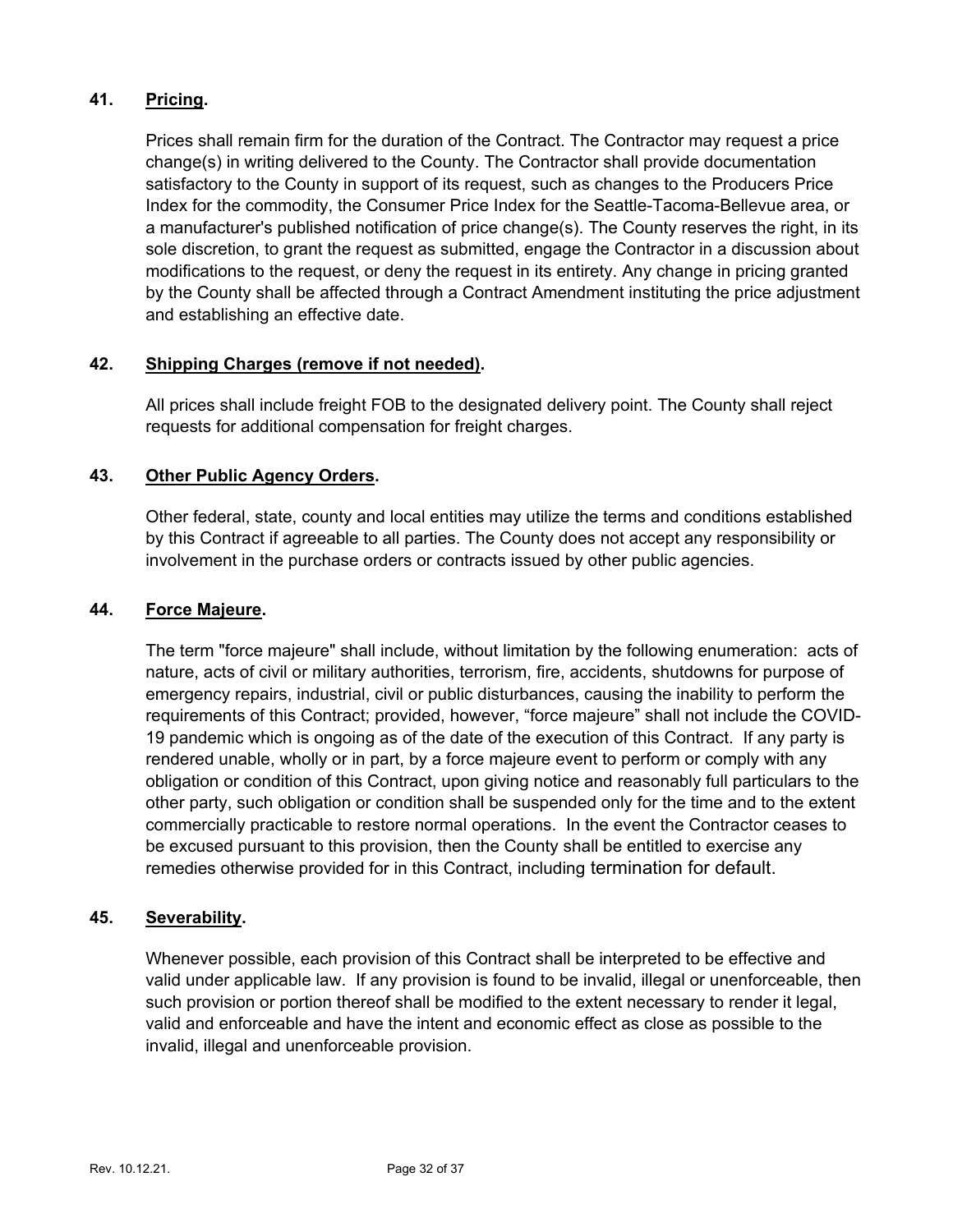### **41. Pricing.**

Prices shall remain firm for the duration of the Contract. The Contractor may request a price change(s) in writing delivered to the County. The Contractor shall provide documentation satisfactory to the County in support of its request, such as changes to the Producers Price Index for the commodity, the Consumer Price Index for the Seattle-Tacoma-Bellevue area, or a manufacturer's published notification of price change(s). The County reserves the right, in its sole discretion, to grant the request as submitted, engage the Contractor in a discussion about modifications to the request, or deny the request in its entirety. Any change in pricing granted by the County shall be affected through a Contract Amendment instituting the price adjustment and establishing an effective date.

### **42. Shipping Charges (remove if not needed).**

All prices shall include freight FOB to the designated delivery point. The County shall reject requests for additional compensation for freight charges.

### **43. Other Public Agency Orders.**

Other federal, state, county and local entities may utilize the terms and conditions established by this Contract if agreeable to all parties. The County does not accept any responsibility or involvement in the purchase orders or contracts issued by other public agencies.

### **44. Force Majeure.**

The term "force majeure" shall include, without limitation by the following enumeration: acts of nature, acts of civil or military authorities, terrorism, fire, accidents, shutdowns for purpose of emergency repairs, industrial, civil or public disturbances, causing the inability to perform the requirements of this Contract; provided, however, "force majeure" shall not include the COVID-19 pandemic which is ongoing as of the date of the execution of this Contract. If any party is rendered unable, wholly or in part, by a force majeure event to perform or comply with any obligation or condition of this Contract, upon giving notice and reasonably full particulars to the other party, such obligation or condition shall be suspended only for the time and to the extent commercially practicable to restore normal operations. In the event the Contractor ceases to be excused pursuant to this provision, then the County shall be entitled to exercise any remedies otherwise provided for in this Contract, including termination for default.

### **45. Severability.**

Whenever possible, each provision of this Contract shall be interpreted to be effective and valid under applicable law. If any provision is found to be invalid, illegal or unenforceable, then such provision or portion thereof shall be modified to the extent necessary to render it legal, valid and enforceable and have the intent and economic effect as close as possible to the invalid, illegal and unenforceable provision.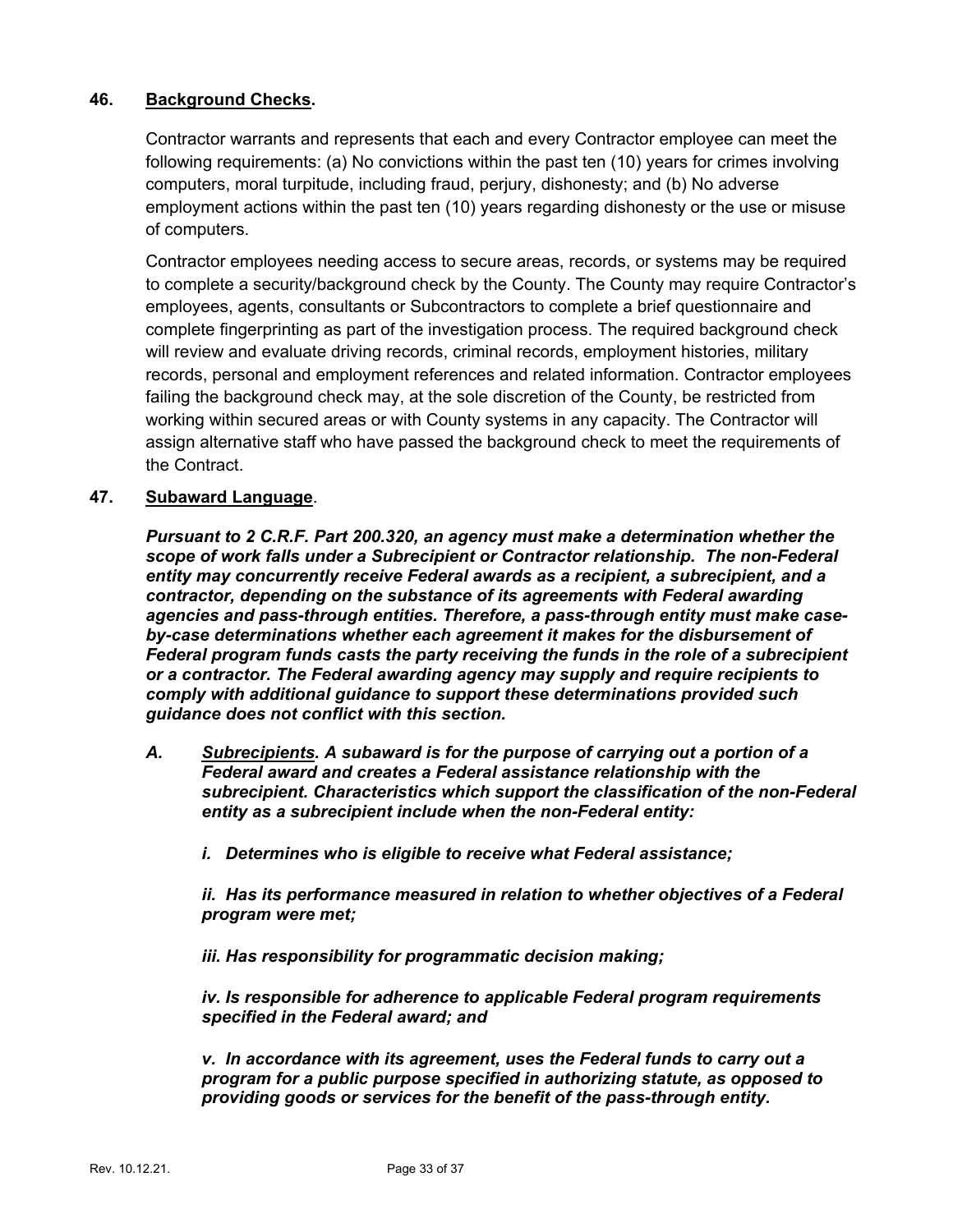### **46. Background Checks.**

Contractor warrants and represents that each and every Contractor employee can meet the following requirements: (a) No convictions within the past ten (10) years for crimes involving computers, moral turpitude, including fraud, perjury, dishonesty; and (b) No adverse employment actions within the past ten (10) years regarding dishonesty or the use or misuse of computers.

Contractor employees needing access to secure areas, records, or systems may be required to complete a security/background check by the County. The County may require Contractor's employees, agents, consultants or Subcontractors to complete a brief questionnaire and complete fingerprinting as part of the investigation process. The required background check will review and evaluate driving records, criminal records, employment histories, military records, personal and employment references and related information. Contractor employees failing the background check may, at the sole discretion of the County, be restricted from working within secured areas or with County systems in any capacity. The Contractor will assign alternative staff who have passed the background check to meet the requirements of the Contract.

### **47. Subaward Language**.

*Pursuant to 2 C.R.F. Part 200.320, an agency must make a determination whether the scope of work falls under a Subrecipient or Contractor relationship. The non-Federal entity may concurrently receive Federal awards as a recipient, a subrecipient, and a contractor, depending on the substance of its agreements with Federal awarding agencies and pass-through entities. Therefore, a pass-through entity must make caseby-case determinations whether each agreement it makes for the disbursement of Federal program funds casts the party receiving the funds in the role of a subrecipient or a contractor. The Federal awarding agency may supply and require recipients to comply with additional guidance to support these determinations provided such guidance does not conflict with this section.*

- *A. Subrecipients. A subaward is for the purpose of carrying out a portion of a Federal award and creates a Federal assistance relationship with the subrecipient. Characteristics which support the classification of the non-Federal entity as a subrecipient include when the non-Federal entity:*
	- *i. Determines who is eligible to receive what Federal assistance;*

*ii. Has its performance measured in relation to whether objectives of a Federal program were met;*

*iii. Has responsibility for programmatic decision making;*

*iv. Is responsible for adherence to applicable Federal program requirements specified in the Federal award; and*

*v. In accordance with its agreement, uses the Federal funds to carry out a program for a public purpose specified in authorizing statute, as opposed to providing goods or services for the benefit of the pass-through entity.*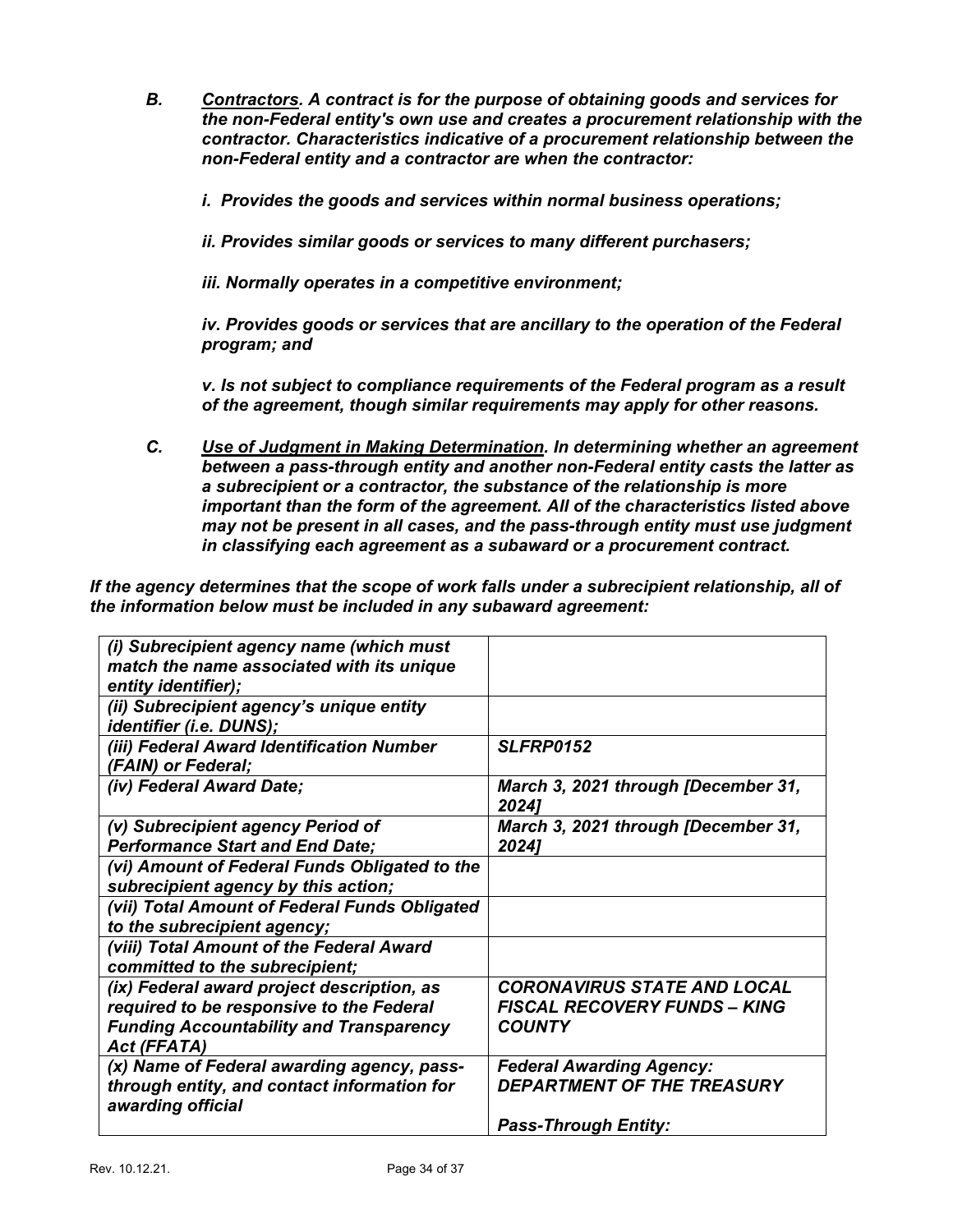- *B. Contractors. A contract is for the purpose of obtaining goods and services for the non-Federal entity's own use and creates a procurement relationship with the contractor. Characteristics indicative of a procurement relationship between the non-Federal entity and a contractor are when the contractor:*
	- *i. Provides the goods and services within normal business operations;*
	- *ii. Provides similar goods or services to many different purchasers;*

*iii. Normally operates in a competitive environment;*

*iv. Provides goods or services that are ancillary to the operation of the Federal program; and*

*v. Is not subject to compliance requirements of the Federal program as a result of the agreement, though similar requirements may apply for other reasons.*

*C. Use of Judgment in Making Determination. In determining whether an agreement between a pass-through entity and another non-Federal entity casts the latter as a subrecipient or a contractor, the substance of the relationship is more important than the form of the agreement. All of the characteristics listed above may not be present in all cases, and the pass-through entity must use judgment in classifying each agreement as a subaward or a procurement contract.*

*If the agency determines that the scope of work falls under a subrecipient relationship, all of the information below must be included in any subaward agreement:*

| (i) Subrecipient agency name (which must<br>match the name associated with its unique<br>entity identifier);                                                   |                                                                                            |
|----------------------------------------------------------------------------------------------------------------------------------------------------------------|--------------------------------------------------------------------------------------------|
| (ii) Subrecipient agency's unique entity<br>identifier (i.e. DUNS);                                                                                            |                                                                                            |
| (iii) Federal Award Identification Number<br>(FAIN) or Federal;                                                                                                | <b>SLFRP0152</b>                                                                           |
| (iv) Federal Award Date;                                                                                                                                       | March 3, 2021 through [December 31,<br>2024]                                               |
| (v) Subrecipient agency Period of<br><b>Performance Start and End Date;</b>                                                                                    | March 3, 2021 through [December 31,<br>20241                                               |
| (vi) Amount of Federal Funds Obligated to the<br>subrecipient agency by this action;                                                                           |                                                                                            |
| (vii) Total Amount of Federal Funds Obligated<br>to the subrecipient agency;                                                                                   |                                                                                            |
| (viii) Total Amount of the Federal Award<br>committed to the subrecipient;                                                                                     |                                                                                            |
| (ix) Federal award project description, as<br>required to be responsive to the Federal<br><b>Funding Accountability and Transparency</b><br><b>Act (FFATA)</b> | <b>CORONAVIRUS STATE AND LOCAL</b><br><b>FISCAL RECOVERY FUNDS - KING</b><br><b>COUNTY</b> |
| (x) Name of Federal awarding agency, pass-<br>through entity, and contact information for<br>awarding official                                                 | <b>Federal Awarding Agency:</b><br><b>DEPARTMENT OF THE TREASURY</b>                       |
|                                                                                                                                                                | <b>Pass-Through Entity:</b>                                                                |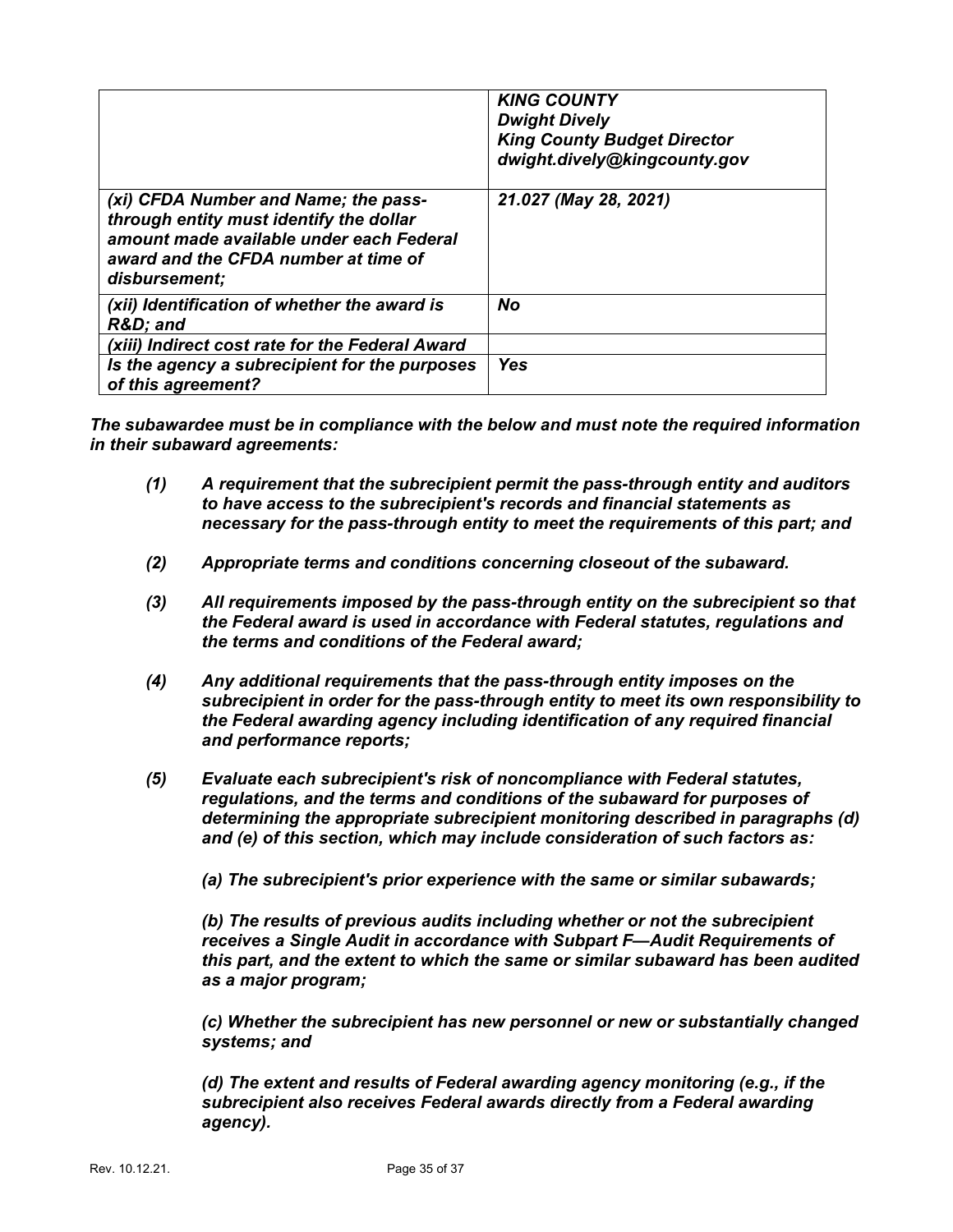|                                                                                                                                                                                      | <b>KING COUNTY</b><br><b>Dwight Dively</b><br><b>King County Budget Director</b><br>dwight.dively@kingcounty.gov |
|--------------------------------------------------------------------------------------------------------------------------------------------------------------------------------------|------------------------------------------------------------------------------------------------------------------|
| (xi) CFDA Number and Name; the pass-<br>through entity must identify the dollar<br>amount made available under each Federal<br>award and the CFDA number at time of<br>disbursement; | 21.027 (May 28, 2021)                                                                                            |
| (xii) Identification of whether the award is<br>R&D and                                                                                                                              | No                                                                                                               |
| (xiii) Indirect cost rate for the Federal Award                                                                                                                                      |                                                                                                                  |
| Is the agency a subrecipient for the purposes<br>of this agreement?                                                                                                                  | <b>Yes</b>                                                                                                       |

*The subawardee must be in compliance with the below and must note the required information in their subaward agreements:*

- *(1) A requirement that the subrecipient permit the pass-through entity and auditors to have access to the subrecipient's records and financial statements as necessary for the pass-through entity to meet the requirements of this part; and*
- *(2) Appropriate terms and conditions concerning closeout of the subaward.*
- *(3) All requirements imposed by the pass-through entity on the subrecipient so that the Federal award is used in accordance with Federal statutes, regulations and the terms and conditions of the Federal award;*
- *(4) Any additional requirements that the pass-through entity imposes on the subrecipient in order for the pass-through entity to meet its own responsibility to the Federal awarding agency including identification of any required financial and performance reports;*
- *(5) Evaluate each subrecipient's risk of noncompliance with Federal statutes, regulations, and the terms and conditions of the subaward for purposes of determining the appropriate subrecipient monitoring described in paragraphs (d) and (e) of this section, which may include consideration of such factors as:*

*(a) The subrecipient's prior experience with the same or similar subawards;*

*(b) The results of previous audits including whether or not the subrecipient receives a Single Audit in accordance with Subpart F—Audit Requirements of this part, and the extent to which the same or similar subaward has been audited as a major program;*

*(c) Whether the subrecipient has new personnel or new or substantially changed systems; and*

*(d) The extent and results of Federal awarding agency monitoring (e.g., if the subrecipient also receives Federal awards directly from a Federal awarding agency).*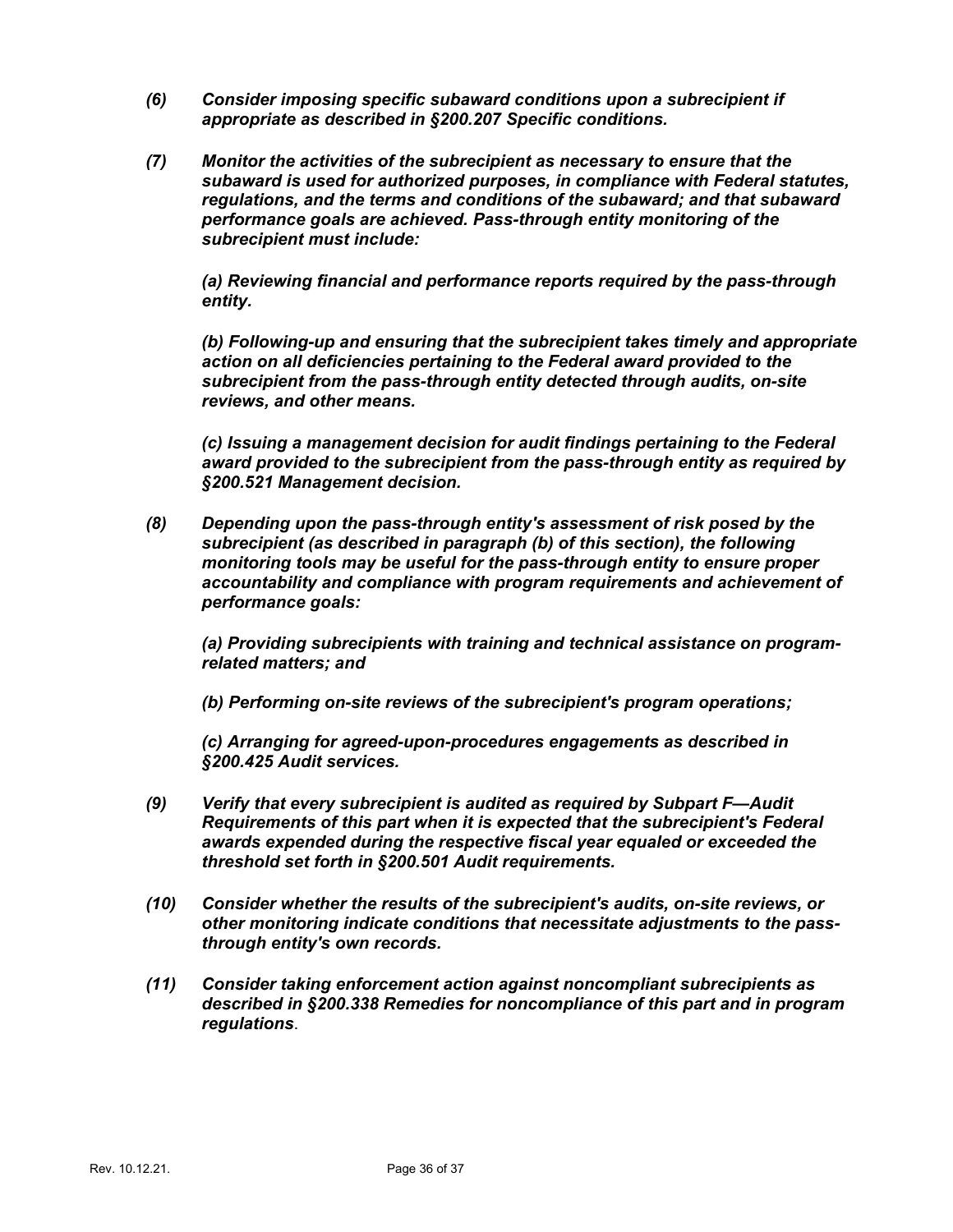- *(6) Consider imposing specific subaward conditions upon a subrecipient if appropriate as described in §200.207 Specific conditions.*
- *(7) Monitor the activities of the subrecipient as necessary to ensure that the subaward is used for authorized purposes, in compliance with Federal statutes, regulations, and the terms and conditions of the subaward; and that subaward performance goals are achieved. Pass-through entity monitoring of the subrecipient must include:*

*(a) Reviewing financial and performance reports required by the pass-through entity.*

*(b) Following-up and ensuring that the subrecipient takes timely and appropriate action on all deficiencies pertaining to the Federal award provided to the subrecipient from the pass-through entity detected through audits, on-site reviews, and other means.*

*(c) Issuing a management decision for audit findings pertaining to the Federal award provided to the subrecipient from the pass-through entity as required by §200.521 Management decision.*

*(8) Depending upon the pass-through entity's assessment of risk posed by the subrecipient (as described in paragraph (b) of this section), the following monitoring tools may be useful for the pass-through entity to ensure proper accountability and compliance with program requirements and achievement of performance goals:*

*(a) Providing subrecipients with training and technical assistance on programrelated matters; and*

*(b) Performing on-site reviews of the subrecipient's program operations;*

*(c) Arranging for agreed-upon-procedures engagements as described in §200.425 Audit services.*

- *(9) Verify that every subrecipient is audited as required by Subpart F—Audit Requirements of this part when it is expected that the subrecipient's Federal awards expended during the respective fiscal year equaled or exceeded the threshold set forth in §200.501 Audit requirements.*
- *(10) Consider whether the results of the subrecipient's audits, on-site reviews, or other monitoring indicate conditions that necessitate adjustments to the passthrough entity's own records.*
- *(11) Consider taking enforcement action against noncompliant subrecipients as described in §200.338 Remedies for noncompliance of this part and in program regulations*.